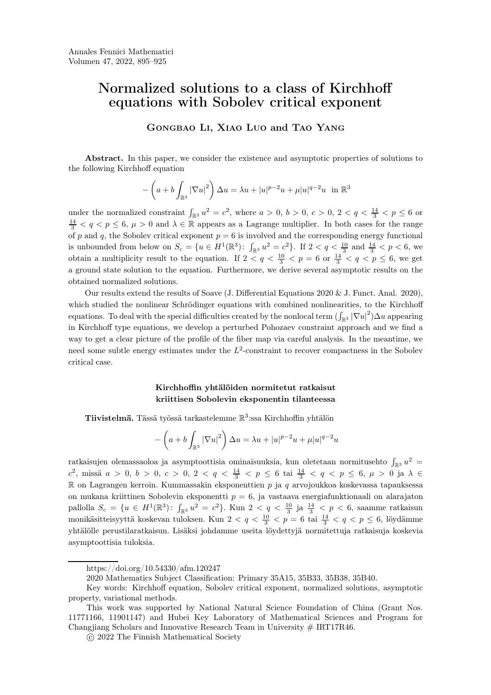# Normalized solutions to a class of Kirchhoff equations with Sobolev critical exponent

Gongbao Li, Xiao Luo and Tao Yang

Abstract. In this paper, we consider the existence and asymptotic properties of solutions to the following Kirchhoff equation

$$
-\left(a+b\int_{\mathbb{R}^3}|\nabla u|^2\right)\Delta u=\lambda u+|u|^{p-2}u+\mu|u|^{q-2}u\quad\text{in }\mathbb{R}^3
$$

under the normalized constraint  $\int_{\mathbb{R}^3} u^2 = c^2$ , where  $a > 0$ ,  $b > 0$ ,  $c > 0$ ,  $2 < q < \frac{14}{3} < p \le 6$  or  $\frac{14}{3} < q < p \leq 6$ ,  $\mu > 0$  and  $\lambda \in \mathbb{R}$  appears as a Lagrange multiplier. In both cases for the range of p and q, the Sobolev critical exponent  $p = 6$  is involved and the corresponding energy functional is unbounded from below on  $S_c = \{u \in H^1(\mathbb{R}^3): \int_{\mathbb{R}^3} u^2 = c^2\}$ . If  $2 < q < \frac{10}{3}$  and  $\frac{14}{3} < p < 6$ , we obtain a multiplicity result to the equation. If  $2 < q < \frac{10}{3} < p = 6$  or  $\frac{14}{3} < q < p \le 6$ , we get a ground state solution to the equation. Furthermore, we derive several asymptotic results on the obtained normalized solutions.

Our results extend the results of Soave (J. Differential Equations 2020 & J. Funct. Anal. 2020), which studied the nonlinear Schrödinger equations with combined nonlinearities, to the Kirchhoff equations. To deal with the special difficulties created by the nonlocal term  $(\int_{\mathbb{R}^3} |\nabla u|^2) \Delta u$  appearing in Kirchhoff type equations, we develop a perturbed Pohozaev constraint approach and we find a way to get a clear picture of the profile of the fiber map via careful analysis. In the meantime, we need some subtle energy estimates under the  $L^2$ -constraint to recover compactness in the Sobolev criti[c](#page-0-0)[a](#page-0-1)[l](#page-0-2) [c](#page-0-4)ase.

#### Kirchhoffin yhtälöiden normitetut ratkaisut kriittisen Sobolevin eksponentin tilanteessa

**Tiivistelmä.** Tässä työssä tarkastelemme  $\mathbb{R}^3$ :ssa Kirchhoffin yhtälön

$$
-\left(a+b\int_{\mathbb{R}^3}|\nabla u|^2\right)\Delta u=\lambda u+|u|^{p-2}u+\mu|u|^{q-2}u
$$

ratkaisujen olemassaoloa ja asymptoottisia ominaisuuksia, kun oletetaan normitusehto  $\int_{\mathbb{R}^3} u^2 =$ c<sup>2</sup>, missä  $a > 0, b > 0, c > 0, 2 < q < \frac{14}{3} < p \le 6$  tai  $\frac{14}{3} < q < p \le 6, \mu > 0$  ja  $\lambda \in$  $\mathbb R$  on Lagrangen kerroin. Kummassakin eksponenttien p ja q arvojoukkoa koskevassa tapauksessa on mukana kriittinen Sobolevin eksponentti  $p = 6$ , ja vastaava energiafunktionaali on alarajaton pallolla  $S_c = \{u \in H^1(\mathbb{R}^3): \int_{\mathbb{R}^3} u^2 = c^2\}$ . Kun  $2 < q < \frac{10}{3}$  ja  $\frac{14}{3} < p < 6$ , saamme ratkaisun monikäsitteisyyttä koskevan tuloksen. Kun 2 <  $q < \frac{10}{3} < p = 6$  tai $\frac{14}{3} < q < p \leq 6$ , löydämme yhtälölle perustilaratkaisun. Lisäksi johdamme useita löydettyjä normitettuja ratkaisuja koskevia asymptoottisia tuloksia.

https://doi.org/10.54330/afm.120247

<span id="page-0-0"></span><sup>2020</sup> Mathematics Subject Classification: Primary 35A15, 35B33, 35B38, 35B40.

<span id="page-0-2"></span><span id="page-0-1"></span>Key words: Kirchhoff equation, Sobolev critical exponent, normalized solutions, asymptotic property, variational methods.

<span id="page-0-3"></span>This work was supported by National Natural Science Foundation of China (Grant Nos. 11771166, 11901147) and Hubei Key Laboratory of Mathematical Sciences and Program for Changjiang Scholars and Innovative Research Team in University  $# \text{ IRT17R46}$ .

<span id="page-0-4"></span>c 2022 The Finnish Mathematical Society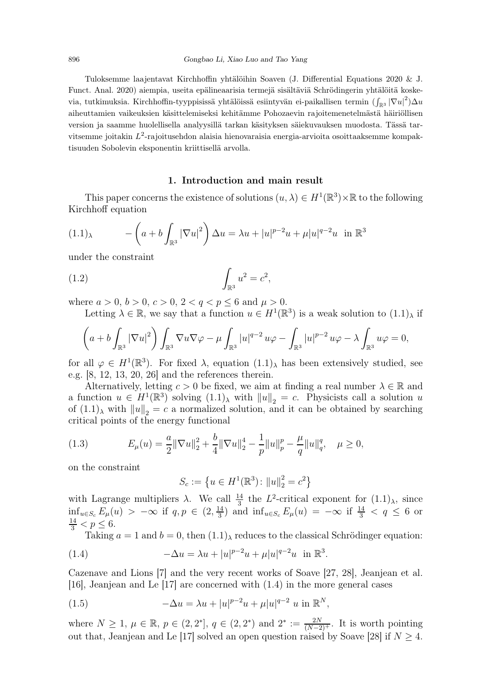Tuloksemme laajentavat Kirchhoffin yhtälöihin Soaven (J. Differential Equations 2020 & J. Funct. Anal. 2020) aiempia, useita epälineaarisia termejä sisältäviä Schrödingerin yhtälöitä koskevia, tutkimuksia. Kirchhoffin-tyyppisissä yhtälöissä esiintyvän ei-paikallisen termin  $(\int_{\mathbb{R}^3}|\nabla u|^2)\Delta u$ aiheuttamien vaikeuksien käsittelemiseksi kehitämme Pohozaevin rajoitemenetelmästä häiriöllisen version ja saamme huolellisella analyysillä tarkan käsityksen säiekuvauksen muodosta. Tässä tarvitsemme joitakin  $L^2$ -rajoitusehdon alaisia hienovaraisia energia-arvioita osoittaaksemme kompaktisuuden Sobolevin eksponentin kriittisellä arvolla.

#### <span id="page-1-2"></span>1. Introduction and main result

This paper concerns the existence of solutions  $(u, \lambda) \in H^1(\mathbb{R}^3) \times \mathbb{R}$  to the following Kirchhoff equation

$$
(1.1)_{\lambda} \qquad -\left(a+b\int_{\mathbb{R}^3} |\nabla u|^2\right)\Delta u = \lambda u + |u|^{p-2}u + \mu|u|^{q-2}u \text{ in } \mathbb{R}^3
$$

under the constraint

(1.2) 
$$
\int_{\mathbb{R}^3} u^2 = c^2,
$$

where  $a > 0$ ,  $b > 0$ ,  $c > 0$ ,  $2 < q < p < 6$  and  $\mu > 0$ .

Letting  $\lambda \in \mathbb{R}$ , we say that a function  $u \in H^1(\mathbb{R}^3)$  is a weak solution to  $(1.1)_{\lambda}$  if

$$
\left(a+b\int_{\mathbb{R}^3}|\nabla u|^2\right)\int_{\mathbb{R}^3}\nabla u\nabla \varphi-\mu\int_{\mathbb{R}^3}|u|^{q-2}u\varphi-\int_{\mathbb{R}^3}|u|^{p-2}u\varphi-\lambda\int_{\mathbb{R}^3}u\varphi=0,
$$

for all  $\varphi \in H^1(\mathbb{R}^3)$ . For fixed  $\lambda$ , equation  $(1.1)_{\lambda}$  has been extensively studied, see e.g. [\[8,](#page-29-0) [12,](#page-29-1) [13,](#page-29-2) [20,](#page-30-0) [26\]](#page-30-1) and the references therein.

Alternatively, letting  $c > 0$  be fixed, we aim at finding a real number  $\lambda \in \mathbb{R}$  and a function  $u \in H^1(\mathbb{R}^3)$  solving  $(1.1)$ , with  $||u||_2 = c$ . Physicists call a solution u of  $(1.1)$ <sub>λ</sub> with  $||u||_2 = c$  a normalized solution, and it can be obtained by searching critical points of the energy functional

(1.3) 
$$
E_{\mu}(u) = \frac{a}{2} \|\nabla u\|_{2}^{2} + \frac{b}{4} \|\nabla u\|_{2}^{4} - \frac{1}{p} \|u\|_{p}^{p} - \frac{\mu}{q} \|u\|_{q}^{q}, \quad \mu \ge 0,
$$

on the constraint

$$
S_c := \left\{ u \in H^1(\mathbb{R}^3) : ||u||_2^2 = c^2 \right\}
$$

with Lagrange multipliers  $\lambda$ . We call  $\frac{14}{3}$  the  $L^2$ -critical exponent for  $(1.1)_{\lambda}$ , since inf<sub>u∈Sc</sub>  $E_{\mu}(u) > -\infty$  if  $q, p \in (2, \frac{14}{3})$  $\frac{14}{3}$ ) and  $\inf_{u \in S_c} E_{\mu}(u) = -\infty$  if  $\frac{14}{3} < q \leq 6$  or  $\frac{14}{3} < p \leq 6.$ 

Taking  $a = 1$  and  $b = 0$ , then  $(1.1)_{\lambda}$  reduces to the classical Schrödinger equation:

<span id="page-1-0"></span>(1.4) 
$$
-\Delta u = \lambda u + |u|^{p-2}u + \mu |u|^{q-2}u \text{ in } \mathbb{R}^3.
$$

Cazenave and Lions [\[7\]](#page-29-3) and the very recent works of Soave [\[27,](#page-30-2) [28\]](#page-30-3), Jeanjean et al. [\[16\]](#page-29-4), Jeanjean and Le [\[17\]](#page-29-5) are concerned with [\(1.4\)](#page-1-0) in the more general cases

<span id="page-1-1"></span>(1.5) 
$$
-\Delta u = \lambda u + |u|^{p-2}u + \mu |u|^{q-2} u \text{ in } \mathbb{R}^N,
$$

where  $N \ge 1$ ,  $\mu \in \mathbb{R}$ ,  $p \in (2, 2^*)$ ,  $q \in (2, 2^*)$  and  $2^* := \frac{2N}{(N-2)^+}$ . It is worth pointing out that, Jeanjean and Le [\[17\]](#page-29-5) solved an open question raised by Soave [\[28\]](#page-30-3) if  $N \geq 4$ .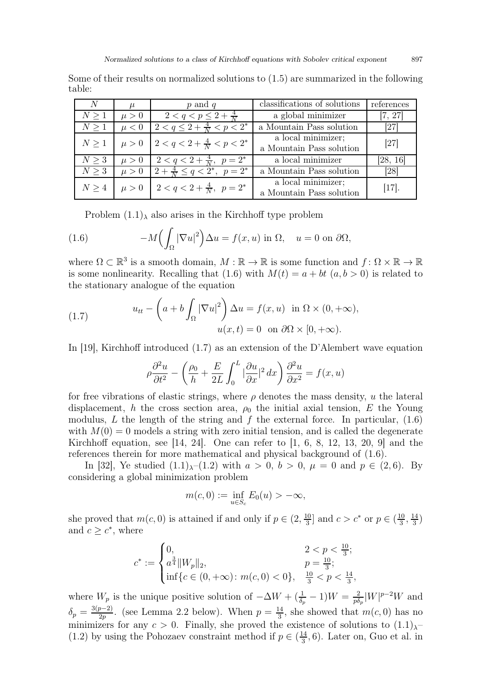Some of their results on normalized solutions to [\(1.5\)](#page-1-1) are summarized in the following table:

| N                    | $\mu$     | $p$ and $q$                                 | classifications of solutions                   | references |
|----------------------|-----------|---------------------------------------------|------------------------------------------------|------------|
| $N \geq 1$           | $\mu > 0$ | $2 < q < p \leq 2 + \frac{4}{N}$            | a global minimizer                             | [7, 27]    |
| $N \geq 1$           | $\mu < 0$ | $2 < q \leq 2 + \frac{4}{N} < p < 2^*$      | a Mountain Pass solution                       | [27]       |
| $N\geq 1$            | $\mu > 0$ | $ 2 < q < 2 + \frac{4}{N} < p < 2^* $       | a local minimizer;<br>a Mountain Pass solution | [27]       |
| $N \geq 3$           | $\mu > 0$ | $2 < q < 2 + \frac{4}{N}, \ \ p = 2^*$      | a local minimizer                              | [28, 16]   |
| $N \geq 3$           | $\mu > 0$ | $2 + \frac{4}{N} \leq q < 2^*, \ \ p = 2^*$ | a Mountain Pass solution                       | [28]       |
| $N \geq 4$ $\mu > 0$ |           | $2 < q < 2 + \frac{4}{N}, \ \ p = 2^*$      | a local minimizer;<br>a Mountain Pass solution | $[17]$ .   |

Problem  $(1.1)$ <sub>λ</sub> also arises in the Kirchhoff type problem

<span id="page-2-0"></span>(1.6) 
$$
-M\left(\int_{\Omega} |\nabla u|^2\right) \Delta u = f(x, u) \text{ in } \Omega, \quad u = 0 \text{ on } \partial \Omega,
$$

where  $\Omega \subset \mathbb{R}^3$  is a smooth domain,  $M : \mathbb{R} \to \mathbb{R}$  is some function and  $f : \Omega \times \mathbb{R} \to \mathbb{R}$ is some nonlinearity. Recalling that [\(1.6\)](#page-2-0) with  $M(t) = a + bt$   $(a, b > 0)$  is related to the stationary analogue of the equation

<span id="page-2-1"></span>(1.7) 
$$
u_{tt} - \left(a + b \int_{\Omega} |\nabla u|^2\right) \Delta u = f(x, u) \text{ in } \Omega \times (0, +\infty),
$$

$$
u(x, t) = 0 \text{ on } \partial\Omega \times [0, +\infty).
$$

In [\[19\]](#page-30-4), Kirchhoff introduced [\(1.7\)](#page-2-1) as an extension of the D'Alembert wave equation

$$
\rho \frac{\partial^2 u}{\partial t^2} - \left(\frac{\rho_0}{h} + \frac{E}{2L} \int_0^L |\frac{\partial u}{\partial x}|^2 dx\right) \frac{\partial^2 u}{\partial x^2} = f(x, u)
$$

for free vibrations of elastic strings, where  $\rho$  denotes the mass density, u the lateral displacement, h the cross section area,  $\rho_0$  the initial axial tension, E the Young modulus, L the length of the string and f the external force. In particular,  $(1.6)$ with  $M(0) = 0$  models a string with zero initial tension, and is called the degenerate Kirchhoff equation, see [\[14,](#page-29-6) [24\]](#page-30-5). One can refer to  $[1, 6, 8, 12, 13, 20, 9]$  $[1, 6, 8, 12, 13, 20, 9]$  $[1, 6, 8, 12, 13, 20, 9]$  $[1, 6, 8, 12, 13, 20, 9]$  $[1, 6, 8, 12, 13, 20, 9]$  $[1, 6, 8, 12, 13, 20, 9]$  $[1, 6, 8, 12, 13, 20, 9]$  $[1, 6, 8, 12, 13, 20, 9]$  and the references therein for more mathematical and physical background of [\(1.6\)](#page-2-0).

In [\[32\]](#page-30-6), Ye studied  $(1.1)_{\lambda}$ – $(1.2)$  with  $a > 0$ ,  $b > 0$ ,  $\mu = 0$  and  $p \in (2, 6)$ . By considering a global minimization problem

$$
m(c,0) := \inf_{u \in S_c} E_0(u) > -\infty,
$$

she proved that  $m(c, 0)$  is attained if and only if  $p \in (2, \frac{10}{3})$  $\frac{10}{3}$  and  $c > c^*$  or  $p \in (\frac{10}{3})$  $\frac{10}{3}, \frac{14}{3}$  $\frac{14}{3})$ and  $c \geq c^*$ , where

$$
c^* := \begin{cases} 0, & 2 < p < \frac{10}{3}; \\ a^{\frac{3}{4}} ||W_p||_2, & p = \frac{10}{3}; \\ \inf\{c \in (0, +\infty) : m(c, 0) < 0\}, & \frac{10}{3} < p < \frac{14}{3}, \end{cases}
$$

where  $W_p$  is the unique positive solution of  $-\Delta W + (\frac{1}{\delta_p} - 1)W = \frac{2}{p\delta_p}$  $\frac{2}{p\delta_p}|W|^{p-2}W$  and  $\delta_p = \frac{3(p-2)}{2p}$ . (see Lemma [2.2](#page-7-0) below). When  $p = \frac{14}{3}$  $\frac{14}{3}$ , she showed that  $m(c, 0)$  has no minimizers for any  $c > 0$ . Finally, she proved the existence of solutions to  $(1.1)_{\lambda}$ [\(1.2\)](#page-1-2) by using the Pohozaev constraint method if  $p \in (\frac{14}{3})$  $\frac{14}{3}$ , 6). Later on, Guo et al. in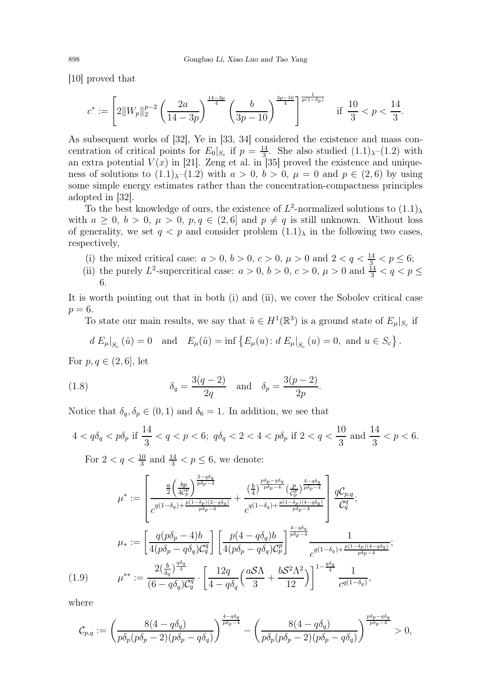[\[10\]](#page-29-10) proved that

$$
c^* := \left[2\|W_p\|_2^{p-2}\left(\frac{2a}{14-3p}\right)^{\frac{14-3p}{4}}\left(\frac{b}{3p-10}\right)^{\frac{3p-10}{4}}\right]^{\frac{1}{p(1-\delta_p)}} \quad \text{if } \frac{10}{3} < p < \frac{14}{3}.
$$

As subsequent works of [\[32\]](#page-30-6), Ye in [\[33,](#page-30-7) [34\]](#page-30-8) considered the existence and mass concentration of critical points for  $E_0|_{S_c}$  if  $p = \frac{14}{3}$  $\frac{14}{3}$ . She also studied  $(1.1)_{\lambda}$ - $(1.2)$  with an extra potential  $V(x)$  in [\[21\]](#page-30-9). Zeng et al. in [\[35\]](#page-30-10) proved the existence and uniqueness of solutions to  $(1.1)_{\lambda}$ – $(1.2)$  with  $a > 0$ ,  $b > 0$ ,  $\mu = 0$  and  $p \in (2, 6)$  by using some simple energy estimates rather than the concentration-compactness principles adopted in [\[32\]](#page-30-6).

To the best knowledge of ours, the existence of  $L^2$ -normalized solutions to  $(1.1)_{\lambda}$ with  $a \geq 0$ ,  $b > 0$ ,  $\mu > 0$ ,  $p, q \in (2, 6]$  and  $p \neq q$  is still unknown. Without loss of generality, we set  $q < p$  and consider problem  $(1.1)$ <sub>λ</sub> in the following two cases, respectively,

- (i) the mixed critical case:  $a > 0, b > 0, c > 0, \mu > 0$  and  $2 < q < \frac{14}{3} < p \le 6$ ;
- (ii) the purely  $L^2$ -supercritical case:  $a > 0$ ,  $b > 0$ ,  $c > 0$ ,  $\mu > 0$  and  $\frac{14}{3} < q < p \le$ 6.

It is worth pointing out that in both (i) and (ii), we cover the Sobolev critical case  $p=6$ .

To state our main results, we say that  $\tilde{u} \in H^1(\mathbb{R}^3)$  is a ground state of  $E_\mu|_{S_c}$  if

$$
d E_{\mu}|_{S_c}(\tilde{u}) = 0
$$
 and  $E_{\mu}(\tilde{u}) = \inf \{ E_{\mu}(u) : d E_{\mu}|_{S_c}(u) = 0$ , and  $u \in S_c \}.$ 

For  $p, q \in (2, 6]$ , let

(1.8) 
$$
\delta_q = \frac{3(q-2)}{2q} \text{ and } \delta_p = \frac{3(p-2)}{2p}.
$$

Notice that  $\delta_q, \delta_p \in (0, 1)$  and  $\delta_6 = 1$ . In addition, we see that

$$
4 < q\delta_q < p\delta_p \text{ if } \frac{14}{3} < q < p < 6; \ q\delta_q < 2 < 4 < p\delta_p \text{ if } 2 < q < \frac{10}{3} \text{ and } \frac{14}{3} < p < 6.
$$
  
For  $2 < q < \frac{10}{3}$  and  $\frac{14}{3} < p \le 6$ , we denote:

$$
\mu^* := \begin{bmatrix} \frac{a}{2} \left( \frac{bp}{4C_p^p} \right)^{\frac{2-q\delta_q}{p\delta_p - 4}} & \frac{\left( \frac{b}{4} \right)^{\frac{p\delta_p - q\delta_q}{p\delta_p - 4}} \left( \frac{p}{C_p^p} \right)^{\frac{4-q\delta_q}{p\delta_p - 4}}}{c^{q(1-\delta_q) + \frac{p(1-\delta_p)(2-q\delta_q)}{p\delta_p - 4}}} & \frac{qC_{p,q}}{C_q^q}; \\ \frac{p}{2} \left( \frac{p(1-\delta_q) + \frac{p(1-\delta_p)(2-q\delta_q)}{p\delta_p - 4}} \right)^{\frac{4-q\delta_q}{p\delta_p - 4}} & \frac{1}{C_q^q}; \\ \frac{p}{2} \left( \frac{p(1-\delta_q) + \frac{p(1-\delta_p)(4-q\delta_q)}{p\delta_p - 4}} \right)^{\frac{4-q\delta_q}{p\delta_p - 4}} & \frac{1}{C_q^q}; \\ \frac{p}{2} \left( \frac{p(1-\delta_q) + \frac{p(1-\delta_p)(4-q\delta_q)}{p\delta_p - 4}} \right)^{\frac{4-q\delta_q}{p\delta_p - 4}} & \frac{1}{C_q^q}; \\ \frac{p}{2} \left( \frac{b}{2} \right)^{\frac{q\delta_q}{q}} & \frac{1}{2} \left( \frac{12q}{4 - q\delta_q} \left( \frac{aS\Lambda}{3} + \frac{bS^2\Lambda^2}{12} \right) \right)^{1-\frac{q\delta_q}{4}} & \frac{1}{C_q(1-\delta_q)}, \end{bmatrix}
$$

<span id="page-3-0"></span>where

$$
\mathcal{C}_{p,q}:=\left(\frac{8(4-q\delta_q)}{p\delta_p(p\delta_p-2)(p\delta_p-q\delta_q)}\right)^{\frac{4-q\delta_q}{p\delta_p-4}}-\left(\frac{8(4-q\delta_q)}{p\delta_p(p\delta_p-2)(p\delta_p-q\delta_q)}\right)^{\frac{p\delta_p-q\delta_q}{p\delta_p-4}}>0,
$$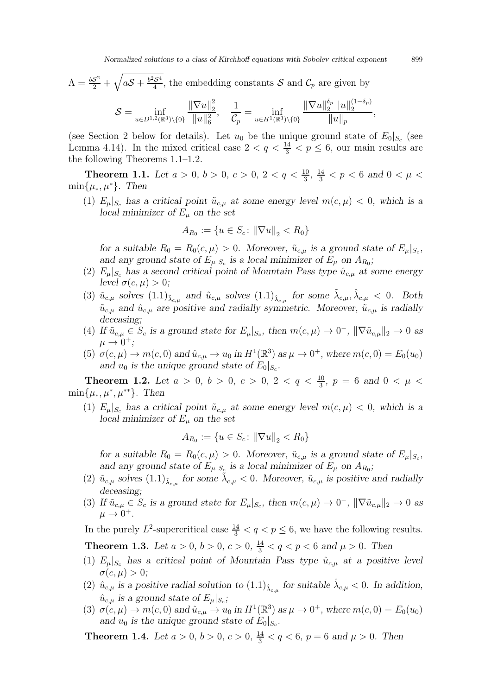$$
\Lambda = \frac{bS^2}{2} + \sqrt{aS + \frac{b^2S^4}{4}}
$$
, the embedding constants  $S$  and  $C_p$  are given by

$$
S = \inf_{u \in D^{1,2}(\mathbb{R}^3) \setminus \{0\}} \frac{\|\nabla u\|_2^2}{\|u\|_6^2}, \quad \frac{1}{\mathcal{C}_p} = \inf_{u \in H^1(\mathbb{R}^3) \setminus \{0\}} \frac{\|\nabla u\|_2^{\delta_p} \|u\|_2^{(1-\delta_p)}}{\|u\|_p}
$$

(see Section 2 below for details). Let  $u_0$  be the unique ground state of  $E_0|_{S_c}$  (see Lemma [4.14\)](#page-21-0). In the mixed critical case  $2 < q < \frac{14}{3} < p \le 6$ , our main results are the following Theorems [1.1](#page-4-0)[–1.2.](#page-4-1)

<span id="page-4-0"></span>**Theorem 1.1.** Let  $a > 0$ ,  $b > 0$ ,  $c > 0$ ,  $2 < q < \frac{10}{3}$ ,  $\frac{14}{3} < p < 6$  and  $0 < \mu <$  $\min\{\mu_*, \mu^*\}.$  Then

(1)  $E_{\mu}|_{S_c}$  has a critical point  $\tilde{u}_{c,\mu}$  at some energy level  $m(c, \mu) < 0$ , which is a local minimizer of  $E_u$  on the set

$$
A_{R_0} := \{ u \in S_c \colon ||\nabla u||_2 < R_0 \}
$$

for a suitable  $R_0 = R_0(c, \mu) > 0$ . Moreover,  $\tilde{u}_{c,\mu}$  is a ground state of  $E_{\mu}|_{S_c}$ , and any ground state of  $E_{\mu}|_{S_c}$  is a local minimizer of  $E_{\mu}$  on  $A_{R_0}$ ;

- (2)  $E_{\mu}|_{S_c}$  has a second critical point of Mountain Pass type  $\hat{u}_{c,\mu}$  at some energy level  $\sigma(c, \mu) > 0$ ;
- (3)  $\tilde{u}_{c,\mu}$  solves  $(1.1)_{\tilde{\lambda}_{c,\mu}}$  and  $\hat{u}_{c,\mu}$  solves  $(1.1)_{\hat{\lambda}_{c,\mu}}$  for some  $\tilde{\lambda}_{c,\mu}, \hat{\lambda}_{c,\mu} < 0$ . Both  $\tilde{u}_{c,\mu}$  and  $\hat{u}_{c,\mu}$  are positive and radially symmetric. Moreover,  $\tilde{u}_{c,\mu}$  is radially deceasing;
- (4) If  $\tilde{u}_{c,\mu} \in S_c$  is a ground state for  $E_{\mu}|_{S_c}$ , then  $m(c, \mu) \to 0^-$ ,  $\|\nabla \tilde{u}_{c,\mu}\|_2 \to 0$  as  $\mu \rightarrow 0^+$ ;
- (5)  $\sigma(c, \mu) \to m(c, 0)$  and  $\hat{u}_{c,\mu} \to u_0$  in  $H^1(\mathbb{R}^3)$  as  $\mu \to 0^+$ , where  $m(c, 0) = E_0(u_0)$ and  $u_0$  is the unique ground state of  $E_0|_{S_c}$ .

<span id="page-4-1"></span>**Theorem 1.2.** Let  $a > 0$ ,  $b > 0$ ,  $c > 0$ ,  $2 < q < \frac{10}{3}$ ,  $p = 6$  and  $0 < \mu <$  $\min\{\mu_*, \mu^*, \mu^{**}\}.$  Then

(1)  $E_{\mu}|_{S_c}$  has a critical point  $\tilde{u}_{c,\mu}$  at some energy level  $m(c, \mu) < 0$ , which is a local minimizer of  $E_{\mu}$  on the set

$$
A_{R_0} := \{ u \in S_c \colon ||\nabla u||_2 < R_0 \}
$$

for a suitable  $R_0 = R_0(c, \mu) > 0$ . Moreover,  $\tilde{u}_{c,\mu}$  is a ground state of  $E_{\mu}|_{S_c}$ , and any ground state of  $E_{\mu}|_{S_{\mathcal{L}}}$  is a local minimizer of  $E_{\mu}$  on  $A_{R_0}$ ;

- (2)  $\tilde{u}_{c,\mu}$  solves  $(1.1)_{\tilde{\lambda}_{c,\mu}}$  for some  $\tilde{\lambda}_{c,\mu} < 0$ . Moreover,  $\tilde{u}_{c,\mu}$  is positive and radially deceasing;
- (3) If  $\tilde{u}_{c,\mu} \in S_c$  is a ground state for  $E_{\mu}|_{S_c}$ , then  $m(c, \mu) \to 0^-$ ,  $\|\nabla \tilde{u}_{c,\mu}\|_2 \to 0$  as  $\mu \rightarrow 0^+$ .

In the purely  $L^2$ -supercritical case  $\frac{14}{3} < q < p \leq 6$ , we have the following results.

<span id="page-4-2"></span>**Theorem 1.3.** Let  $a > 0$ ,  $b > 0$ ,  $c > 0$ ,  $\frac{14}{3} < q < p < 6$  and  $\mu > 0$ . Then

- (1)  $E_{\mu}|_{S_c}$  has a critical point of Mountain Pass type  $\hat{u}_{c,\mu}$  at a positive level  $\sigma(c,\mu) > 0;$
- (2)  $\hat{u}_{c,\mu}$  is a positive radial solution to  $(1.1)_{\hat{\lambda}_{c,\mu}}$  for suitable  $\hat{\lambda}_{c,\mu} < 0$ . In addition,  $\hat{u}_{c,\mu}$  is a ground state of  $E_{\mu}|_{S_c}$ ;
- (3)  $\sigma(c, \mu) \to m(c, 0)$  and  $\hat{u}_{c, \mu} \to u_0$  in  $H^1(\mathbb{R}^3)$  as  $\mu \to 0^+$ , where  $m(c, 0) = E_0(u_0)$ and  $u_0$  is the unique ground state of  $E_0|_{S_c}$ .

<span id="page-4-3"></span>**Theorem 1.4.** Let  $a > 0$ ,  $b > 0$ ,  $c > 0$ ,  $\frac{14}{3} < q < 6$ ,  $p = 6$  and  $\mu > 0$ . Then

,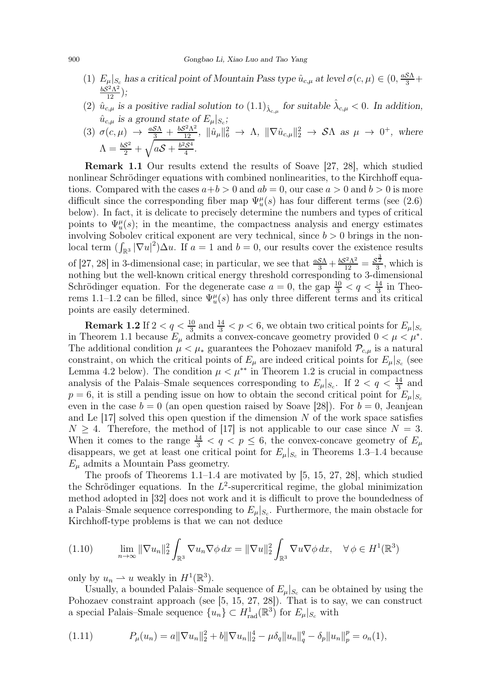- (1)  $E_{\mu}|_{S_c}$  has a critical point of Mountain Pass type  $\hat{u}_{c,\mu}$  at level  $\sigma(c,\mu) \in (0, \frac{aS\Lambda}{3} +$  $rac{bS}{\sqrt{2}}$  $\sqrt{2} \Lambda^2$  $\frac{1}{12}^{2}$ );
- (2)  $\hat{u}_{c,\mu}$  is a positive radial solution to  $(1.1)_{\hat{\lambda}_{c,\mu}}$  for suitable  $\hat{\lambda}_{c,\mu} < 0$ . In addition,  $\hat{u}_{c,\mu}$  is a ground state of  $E_{\mu}|_{S_c}$ ;

(3) 
$$
\sigma(c, \mu) \rightarrow \frac{aS\Lambda}{3} + \frac{bS^2\Lambda^2}{12}
$$
,  $\|\hat{u}_\mu\|_6^2 \rightarrow \Lambda$ ,  $\|\nabla \hat{u}_{c,\mu}\|_2^2 \rightarrow \mathcal{S}\Lambda$  as  $\mu \rightarrow 0^+$ , where  $\Lambda = \frac{bS^2}{2} + \sqrt{aS + \frac{b^2S^4}{4}}$ .

Remark 1.1 Our results extend the results of Soave [\[27,](#page-30-2) [28\]](#page-30-3), which studied nonlinear Schrödinger equations with combined nonlinearities, to the Kirchhoff equations. Compared with the cases  $a+b > 0$  and  $ab = 0$ , our case  $a > 0$  and  $b > 0$  is more difficult since the corresponding fiber map  $\Psi_u^{\mu}(s)$  has four different terms (see [\(2.6\)](#page-8-0) below). In fact, it is delicate to precisely determine the numbers and types of critical points to  $\Psi_u^{\mu}(s)$ ; in the meantime, the compactness analysis and energy estimates involving Sobolev critical exponent are very technical, since  $b > 0$  brings in the nonlocal term  $\left(\int_{\mathbb{R}^3} |\nabla u|^2\right)\Delta u$ . If  $a=1$  and  $b=0$ , our results cover the existence results of [\[27,](#page-30-2) [28\]](#page-30-3) in 3-dimensional case; in particular, we see that  $\frac{aS\Lambda}{3} + \frac{bS^2\Lambda^2}{12} = \frac{S^{\frac{3}{2}}}{3}$  $\frac{3}{3}$ , which is nothing but the well-known critical energy threshold corresponding to 3-dimensional Schrödinger equation. For the degenerate case  $a = 0$ , the gap  $\frac{10}{3} < q < \frac{14}{3}$  in Theo-rems [1.1–](#page-4-0)[1.2](#page-4-1) can be filled, since  $\Psi_u^{\mu}(s)$  has only three different terms and its critical points are easily determined.

**Remark 1.2** If  $2 < q < \frac{10}{3}$  and  $\frac{14}{3} < p < 6$ , we obtain two critical points for  $E_{\mu}|_{S_c}$ in Theorem [1.1](#page-4-0) because  $E_{\mu}$  admits a convex-concave geometry provided  $0 < \mu < \mu^*$ . The additional condition  $\mu < \mu_*$  guarantees the Pohozaev manifold  $\mathcal{P}_{c,\mu}$  is a natural constraint, on which the critical points of  $E_{\mu}$  are indeed critical points for  $E_{\mu}|_{S_c}$  (see Lemma [4.2](#page-12-0) below). The condition  $\mu < \mu^{**}$  in Theorem [1.2](#page-4-1) is crucial in compactness analysis of the Palais–Smale sequences corresponding to  $E_{\mu}|_{S_c}$ . If  $2 < q < \frac{14}{3}$  and  $p = 6$ , it is still a pending issue on how to obtain the second critical point for  $E_u|_{S_c}$ even in the case  $b = 0$  (an open question raised by Soave [\[28\]](#page-30-3)). For  $b = 0$ , Jeanjean and Le  $[17]$  solved this open question if the dimension N of the work space satisfies  $N \geq 4$ . Therefore, the method of [\[17\]](#page-29-5) is not applicable to our case since  $N = 3$ . When it comes to the range  $\frac{14}{3} < q < p \leq 6$ , the convex-concave geometry of  $E_{\mu}$ disappears, we get at least one critical point for  $E_{\mu}|_{S_c}$  in Theorems [1.3–](#page-4-2)[1.4](#page-4-3) because  $E_{\mu}$  admits a Mountain Pass geometry.

The proofs of Theorems [1.1](#page-4-0)[–1.4](#page-4-3) are motivated by [\[5,](#page-29-11) [15,](#page-29-12) [27,](#page-30-2) [28\]](#page-30-3), which studied the Schrödinger equations. In the  $L^2$ -supercritical regime, the global minimization method adopted in [\[32\]](#page-30-6) does not work and it is difficult to prove the boundedness of a Palais–Smale sequence corresponding to  $E_{\mu}|_{S_c}$ . Furthermore, the main obstacle for Kirchhoff-type problems is that we can not deduce

<span id="page-5-0"></span>
$$
(1.10) \qquad \lim_{n \to \infty} \|\nabla u_n\|_2^2 \int_{\mathbb{R}^3} \nabla u_n \nabla \phi \, dx = \|\nabla u\|_2^2 \int_{\mathbb{R}^3} \nabla u \nabla \phi \, dx, \quad \forall \phi \in H^1(\mathbb{R}^3)
$$

only by  $u_n \rightharpoonup u$  weakly in  $H^1(\mathbb{R}^3)$ .

Usually, a bounded Palais–Smale sequence of  $E_{\mu}|_{S_c}$  can be obtained by using the Pohozaev constraint approach (see [\[5,](#page-29-11) [15,](#page-29-12) [27,](#page-30-2) [28\]](#page-30-3)). That is to say, we can construct a special Palais–Smale sequence  ${u_n} \subset H_{rad}^1(\mathbb{R}^3)$  for  $E_\mu|_{S_c}$  with

<span id="page-5-1"></span>(1.11) 
$$
P_{\mu}(u_n) = a \|\nabla u_n\|_2^2 + b \|\nabla u_n\|_2^4 - \mu \delta_q \|u_n\|_q^q - \delta_p \|u_n\|_p^p = o_n(1),
$$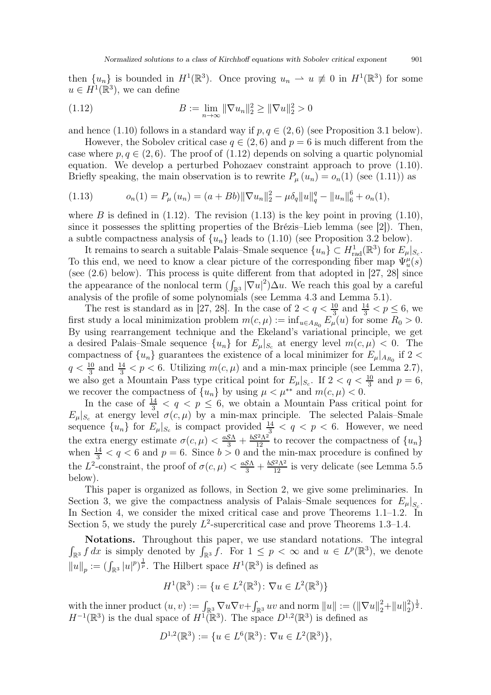then  $\{u_n\}$  is bounded in  $H^1(\mathbb{R}^3)$ . Once proving  $u_n \rightharpoonup u \not\equiv 0$  in  $H^1(\mathbb{R}^3)$  for some  $u \in \tilde{H}^1(\mathbb{R}^3)$ , we can define

<span id="page-6-0"></span>(1.12) 
$$
B := \lim_{n \to \infty} \|\nabla u_n\|_2^2 \ge \|\nabla u\|_2^2 > 0
$$

and hence [\(1.10\)](#page-5-0) follows in a standard way if  $p, q \in (2, 6)$  (see Proposition [3.1](#page-9-0) below).

However, the Sobolev critical case  $q \in (2, 6)$  and  $p = 6$  is much different from the case where  $p, q \in (2, 6)$ . The proof of  $(1.12)$  depends on solving a quartic polynomial equation. We develop a perturbed Pohozaev constraint approach to prove [\(1.10\)](#page-5-0). Briefly speaking, the main observation is to rewrite  $P_{\mu}(u_n) = o_n(1)$  (see [\(1.11\)](#page-5-1)) as

<span id="page-6-1"></span>(1.13) 
$$
o_n(1) = P_\mu(u_n) = (a + Bb) \|\nabla u_n\|_2^2 - \mu \delta_q \|u\|_q^q - \|u_n\|_6^6 + o_n(1),
$$

where B is defined in  $(1.12)$ . The revision  $(1.13)$  is the key point in proving  $(1.10)$ , since it possesses the splitting properties of the Brézis–Lieb lemma (see [\[2\]](#page-29-13)). Then, a subtle compactness analysis of  $\{u_n\}$  leads to [\(1.10\)](#page-5-0) (see Proposition [3.2](#page-10-0) below).

It remains to search a suitable Palais–Smale sequence  $\{u_n\} \subset H^1_{rad}(\mathbb{R}^3)$  for  $E_\mu|_{S_c}$ . To this end, we need to know a clear picture of the corresponding fiber map  $\Psi_u^{\mu}(s)$ (see [\(2.6\)](#page-8-0) below). This process is quite different from that adopted in [\[27,](#page-30-2) [28\]](#page-30-3) since the appearance of the nonlocal term  $(\int_{\mathbb{R}^3} |\nabla u|^2) \Delta u$ . We reach this goal by a careful analysis of the profile of some polynomials (see Lemma [4.3](#page-13-0) and Lemma [5.1\)](#page-23-0).

The rest is standard as in [\[27,](#page-30-2) [28\]](#page-30-3). In the case of  $2 < q < \frac{10}{3}$  and  $\frac{14}{3} < p \leq 6$ , we first study a local minimization problem  $m(c, \mu) := \inf_{u \in A_{R_0}} E_{\mu}(u)$  for some  $R_0 > 0$ . By using rearrangement technique and the Ekeland's variational principle, we get a desired Palais–Smale sequence  $\{u_n\}$  for  $E_\mu|_{S_c}$  at energy level  $m(c, \mu) < 0$ . The compactness of  $\{u_n\}$  guarantees the existence of a local minimizer for  $E_\mu|_{A_{R_0}}$  if 2  $q < \frac{10}{3}$  and  $\frac{14}{3} < p < 6$ . Utilizing  $m(c, \mu)$  and a min-max principle (see Lemma 2.7), we also get a Mountain Pass type critical point for  $E_{\mu}|_{S_c}$ . If  $2 < q < \frac{10}{3}$  and  $p = 6$ , we recover the compactness of  $\{u_n\}$  by using  $\mu < \mu^{**}$  and  $m(c, \mu) < 0$ .

In the case of  $\frac{14}{3} < q < p \leq 6$ , we obtain a Mountain Pass critical point for  $E_{\mu}|_{S_c}$  at energy level  $\sigma(c, \mu)$  by a min-max principle. The selected Palais–Smale sequence  $\{u_n\}$  for  $E_\mu|_{S_c}$  is compact provided  $\frac{14}{3} < q < p < 6$ . However, we need the extra energy estimate  $\sigma(c, \mu) < \frac{aS\Lambda}{3} + \frac{bS^2\Lambda^2}{12}$  to recover the compactness of  $\{u_n\}$ when  $\frac{14}{3} < q < 6$  and  $p = 6$ . Since  $b > 0$  and the min-max procedure is confined by the L<sup>2</sup>-constraint, the proof of  $\sigma(c, \mu) < \frac{aS\Lambda}{3} + \frac{bS^2\Lambda^2}{12}$  is very delicate (see Lemma [5.5](#page-24-0) below).

This paper is organized as follows, in Section 2, we give some preliminaries. In Section 3, we give the compactness analysis of Palais–Smale sequences for  $E_{\mu}|_{S_c}$ . In Section 4, we consider the mixed critical case and prove Theorems [1.1](#page-4-0)[–1.2.](#page-4-1) In Section 5, we study the purely  $L^2$ -supercritical case and prove Theorems [1.3–](#page-4-2)[1.4.](#page-4-3)

Notations. Throughout this paper, we use standard notations. The integral  $\int_{\mathbb{R}^3} f dx$  is simply denoted by  $\int_{\mathbb{R}^3} f$ . For  $1 \leq p < \infty$  and  $u \in L^p(\mathbb{R}^3)$ , we denote  $||u||_p := (\int_{\mathbb{R}^3} |u|^p)^{\frac{1}{p}}$ . The Hilbert space  $H^1(\mathbb{R}^3)$  is defined as

$$
H^1(\mathbb{R}^3) := \{ u \in L^2(\mathbb{R}^3) \colon \nabla u \in L^2(\mathbb{R}^3) \}
$$

with the inner product  $(u, v) := \int_{\mathbb{R}^3} \nabla u \nabla v + \int_{\mathbb{R}^3} uv$  and norm  $||u|| := (||\nabla u||_2^2 + ||u||_2^2)$  $\binom{2}{2}^{\frac{1}{2}}$ .  $H^{-1}(\mathbb{R}^3)$  is the dual space of  $H^1(\mathbb{R}^3)$ . The space  $D^{1,2}(\mathbb{R}^3)$  is defined as

$$
D^{1,2}(\mathbb{R}^3) := \{ u \in L^6(\mathbb{R}^3) \colon \nabla u \in L^2(\mathbb{R}^3) \},
$$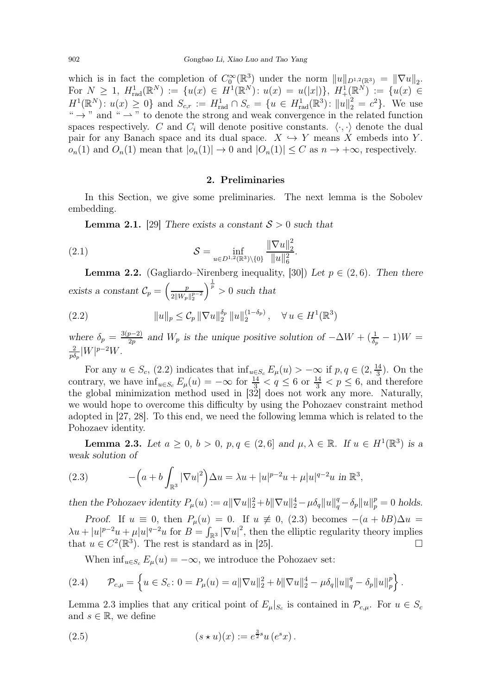which is in fact the completion of  $C_0^{\infty}(\mathbb{R}^3)$  under the norm  $||u||_{D^{1,2}(\mathbb{R}^3)} = ||\nabla u||_2$ . For  $N \geq 1$ ,  $H_{rad}^1(\mathbb{R}^N) := \{u(x) \in H^1(\mathbb{R}^N) : u(x) = u(|x|)\}, H_+^1(\mathbb{R}^N) := \{u(x) \in$  $H^1(\mathbb{R}^N): u(x) \geq 0$  and  $S_{c,r} := H^1_{rad} \cap S_c = \{u \in H^1_{rad}(\mathbb{R}^3): ||u||_2^2 = c^2\}$ . We use "  $\rightarrow$  " and "  $\rightarrow$  " to denote the strong and weak convergence in the related function spaces respectively. C and  $C_i$  will denote positive constants.  $\langle \cdot, \cdot \rangle$  denote the dual pair for any Banach space and its dual space.  $X \hookrightarrow Y$  means X embeds into Y.  $o_n(1)$  and  $O_n(1)$  mean that  $|o_n(1)| \to 0$  and  $|O_n(1)| \leq C$  as  $n \to +\infty$ , respectively.

#### 2. Preliminaries

In this Section, we give some preliminaries. The next lemma is the Sobolev embedding.

**Lemma 2.1.** [\[29\]](#page-30-11) There exists a constant  $S > 0$  such that

(2.1) 
$$
\mathcal{S} = \inf_{u \in D^{1,2}(\mathbb{R}^3) \setminus \{0\}} \frac{\|\nabla u\|_2^2}{\|u\|_6^2}.
$$

<span id="page-7-0"></span>**Lemma 2.2.** (Gagliardo–Nirenberg inequality, [\[30\]](#page-30-12)) Let  $p \in (2,6)$ . Then there exists a constant  $\mathcal{C}_p = \left(\frac{p}{2\|W_p}\right)$  $2\|W_p\|_2^{p-2}$  $\int_{0}^{\frac{1}{p}}$  > 0 such that

<span id="page-7-1"></span>(2.2) 
$$
||u||_p \leq C_p ||\nabla u||_2^{\delta_p} ||u||_2^{(1-\delta_p)}, \quad \forall u \in H^1(\mathbb{R}^3)
$$

where  $\delta_p = \frac{3(p-2)}{2p}$  and  $W_p$  is the unique positive solution of  $-\Delta W + (\frac{1}{\delta_p} - 1)W = \frac{2}{W} |W|^{p-2}W$  $\frac{2}{p\delta_p}|W|^{p-2}W$ .

For any  $u \in S_c$ , [\(2.2\)](#page-7-1) indicates that  $\inf_{u \in S_c} E_\mu(u) > -\infty$  if  $p, q \in (2, \frac{14}{3})$  $\frac{14}{3}$ ). On the contrary, we have  $\inf_{u \in S_c} E_{\mu}(u) = -\infty$  for  $\frac{14}{3} < q \leq 6$  or  $\frac{14}{3} < p \leq 6$ , and therefore the global minimization method used in [\[32\]](#page-30-6) does not work any more. Naturally, we would hope to overcome this difficulty by using the Pohozaev constraint method adopted in [\[27,](#page-30-2) [28\]](#page-30-3). To this end, we need the following lemma which is related to the Pohozaev identity.

<span id="page-7-3"></span>**Lemma 2.3.** Let  $a \geq 0$ ,  $b > 0$ ,  $p, q \in (2, 6]$  and  $\mu, \lambda \in \mathbb{R}$ . If  $u \in H^1(\mathbb{R}^3)$  is a weak solution of

<span id="page-7-2"></span>(2.3) 
$$
-\left(a+b\int_{\mathbb{R}^3} |\nabla u|^2\right)\Delta u = \lambda u + |u|^{p-2}u + \mu|u|^{q-2}u \text{ in } \mathbb{R}^3,
$$

then the Pohozaev identity  $P_{\mu}(u) := a ||\nabla u||_2^2 + b ||\nabla u||_2^4 - \mu \delta_q ||u||_q^q - \delta_p ||u||_p^p = 0$  holds.

Proof. If  $u \equiv 0$ , then  $P_{\mu}(u) = 0$ . If  $u \not\equiv 0$ , [\(2.3\)](#page-7-2) becomes  $-(a + bB)\Delta u =$  $\lambda u + |u|^{p-2}u + \mu |u|^{q-2}u$  for  $B = \int_{\mathbb{R}^3} |\nabla u|^2$ , then the elliptic regularity theory implies that  $u \in C^2(\mathbb{R}^3)$ . The rest is standard as in [\[25\]](#page-30-13).

When  $\inf_{u \in S_c} E_u(u) = -\infty$ , we introduce the Pohozaev set:

$$
(2.4) \qquad \mathcal{P}_{c,\mu} = \left\{ u \in S_c \colon 0 = P_{\mu}(u) = a \|\nabla u\|_2^2 + b \|\nabla u\|_2^4 - \mu \delta_q \|u\|_q^q - \delta_p \|u\|_p^p \right\}.
$$

Lemma [2.3](#page-7-3) implies that any critical point of  $E_{\mu}|_{S_c}$  is contained in  $\mathcal{P}_{c,\mu}$ . For  $u \in S_c$ and  $s \in \mathbb{R}$ , we define

(2.5) 
$$
(s * u)(x) := e^{\frac{3}{2}s}u(e^s x).
$$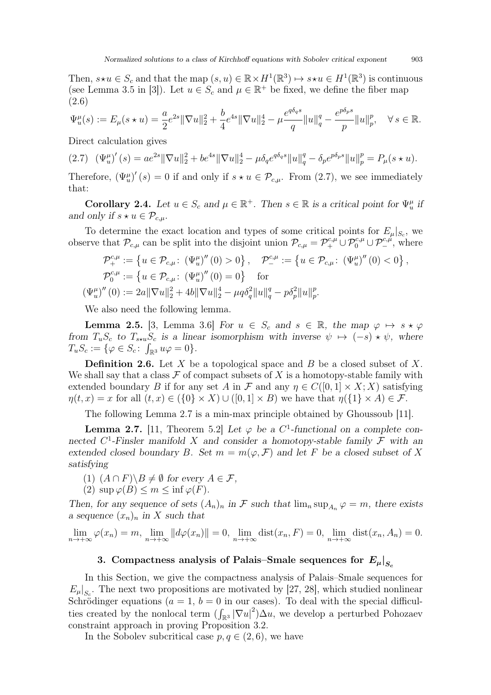Then,  $s \star u \in S_c$  and that the map  $(s, u) \in \mathbb{R} \times H^1(\mathbb{R}^3) \mapsto s \star u \in H^1(\mathbb{R}^3)$  is continuous (see Lemma 3.5 in [\[3\]](#page-29-14)). Let  $u \in S_c$  and  $\mu \in \mathbb{R}^+$  be fixed, we define the fiber map (2.6)

<span id="page-8-0"></span>
$$
\Psi_u^{\mu}(s):=E_{\mu}(s\star u)=\frac{a}{2}e^{2s}\|\nabla u\|_2^2+\frac{b}{4}e^{4s}\|\nabla u\|_2^4-\mu\frac{e^{q\delta_q s}}{q}\|u\|_q^q-\frac{e^{p\delta_p s}}{p}\|u\|_p^p,\quad \forall\,s\in\mathbb{R}.
$$

Direct calculation gives

<span id="page-8-1"></span>
$$
(2.7) \quad (\Psi_u^{\mu})'(s) = ae^{2s} \|\nabla u\|_2^2 + be^{4s} \|\nabla u\|_2^4 - \mu \delta_q e^{q\delta_q s} \|u\|_q^q - \delta_p e^{p\delta_p s} \|u\|_p^p = P_\mu(s \star u).
$$

Therefore,  $(\Psi_u^{\mu})'(s) = 0$  if and only if  $s \star u \in \mathcal{P}_{c,\mu}$ . From [\(2.7\)](#page-8-1), we see immediately that:

<span id="page-8-3"></span>Corollary 2.4. Let  $u \in S_c$  and  $\mu \in \mathbb{R}^+$ . Then  $s \in \mathbb{R}$  is a critical point for  $\Psi_u^{\mu}$  if and only if  $s \star u \in \mathcal{P}_{c,\mu}$ .

To determine the exact location and types of some critical points for  $E_{\mu}|_{S_c}$ , we observe that  $\mathcal{P}_{c,\mu}$  can be split into the disjoint union  $\mathcal{P}_{c,\mu} = \mathcal{P}_{+}^{c,\mu} \cup \mathcal{P}_{0}^{c,\mu} \cup \mathcal{P}_{-}^{c,\mu}$ , where

$$
\mathcal{P}_{+}^{c,\mu} := \left\{ u \in \mathcal{P}_{c,\mu}: \left( \Psi_{u}^{\mu} \right)^{\prime\prime} (0) > 0 \right\}, \quad \mathcal{P}_{-}^{c,\mu} := \left\{ u \in \mathcal{P}_{c,\mu}: \left( \Psi_{u}^{\mu} \right)^{\prime\prime} (0) < 0 \right\},
$$
  

$$
\mathcal{P}_{0}^{c,\mu} := \left\{ u \in \mathcal{P}_{c,\mu}: \left( \Psi_{u}^{\mu} \right)^{\prime\prime} (0) = 0 \right\} \quad \text{for}
$$
  

$$
\left( \Psi_{u}^{\mu} \right)^{\prime\prime} (0) := 2a \| \nabla u \|_{2}^{2} + 4b \| \nabla u \|_{2}^{4} - \mu q \delta_{q}^{2} \| u \|_{q}^{q} - p \delta_{p}^{2} \| u \|_{p}^{p}.
$$

We also need the following lemma.

<span id="page-8-4"></span>**Lemma 2.5.** [\[3,](#page-29-14) Lemma 3.6] For  $u \in S_c$  and  $s \in \mathbb{R}$ , the map  $\varphi \mapsto s \star \varphi$ from  $T_uS_c$  to  $T_{s\star u}S_c$  is a linear isomorphism with inverse  $\psi \mapsto (-s) \star \psi$ , where  $T_u S_c := \{ \varphi \in S_c: \int_{\mathbb{R}^3} u \varphi = 0 \}.$ 

**Definition 2.6.** Let  $X$  be a topological space and  $B$  be a closed subset of  $X$ . We shall say that a class  $\mathcal F$  of compact subsets of X is a homotopy-stable family with extended boundary B if for any set A in F and any  $\eta \in C([0,1] \times X; X)$  satisfying  $\eta(t, x) = x$  for all  $(t, x) \in (\{0\} \times X) \cup ([0, 1] \times B)$  we have that  $\eta(\{1\} \times A) \in \mathcal{F}$ .

The following Lemma [2.7](#page-8-2) is a min-max principle obtained by Ghoussoub [\[11\]](#page-29-15).

<span id="page-8-2"></span>**Lemma 2.7.** [\[11,](#page-29-15) Theorem 5.2] Let  $\varphi$  be a C<sup>1</sup>-functional on a complete connected  $C^1$ -Finsler manifold X and consider a homotopy-stable family F with an extended closed boundary B. Set  $m = m(\varphi, \mathcal{F})$  and let F be a closed subset of X satisfying

- (1)  $(A \cap F) \ B \neq \emptyset$  for every  $A \in \mathcal{F}$ ,
- (2)  $\sup \varphi(B) \leq m \leq \inf \varphi(F)$ .

Then, for any sequence of sets  $(A_n)_n$  in F such that  $\lim_n \sup_{A_n} \varphi = m$ , there exists a sequence  $(x_n)_n$  in X such that

$$
\lim_{n \to +\infty} \varphi(x_n) = m, \lim_{n \to +\infty} ||d\varphi(x_n)|| = 0, \lim_{n \to +\infty} \text{dist}(x_n, F) = 0, \lim_{n \to +\infty} \text{dist}(x_n, A_n) = 0.
$$

### 3. Compactness analysis of Palais–Smale sequences for  $E_\mu|_{S_\mu}$

In this Section, we give the compactness analysis of Palais–Smale sequences for  $E_{\mu}|_{S_c}$ . The next two propositions are motivated by [\[27,](#page-30-2) [28\]](#page-30-3), which studied nonlinear Schrödinger equations ( $a = 1$ ,  $b = 0$  in our cases). To deal with the special difficulties created by the nonlocal term  $(\int_{\mathbb{R}^3} |\nabla u|^2) \Delta u$ , we develop a perturbed Pohozaev constraint approach in proving Proposition [3.2.](#page-10-0)

In the Sobolev subcritical case  $p, q \in (2, 6)$ , we have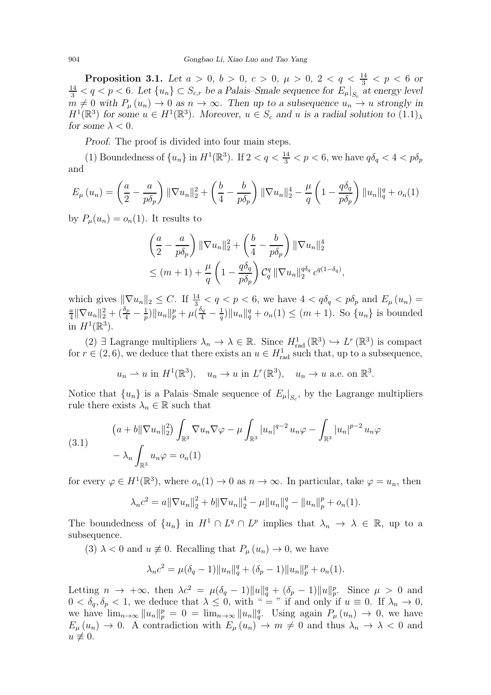<span id="page-9-0"></span>**Proposition 3.1.** Let  $a > 0$ ,  $b > 0$ ,  $c > 0$ ,  $\mu > 0$ ,  $2 < q < \frac{14}{3} < p < 6$  or  $\frac{14}{3} < q < p < 6$ . Let  $\{u_n\} \subset S_{c,r}$  be a Palais–Smale sequence for  $E_{\mu}|_{S_c}$  at energy level  $m \neq 0$  with  $P_{\mu}(u_n) \to 0$  as  $n \to \infty$ . Then up to a subsequence  $u_n \to u$  strongly in  $H^1(\mathbb{R}^3)$  for some  $u \in H^1(\mathbb{R}^3)$ . Moreover,  $u \in S_c$  and u is a radial solution to  $(1.1)_{\lambda}$ for some  $\lambda < 0$ .

Proof. The proof is divided into four main steps.

(1) Boundedness of  $\{u_n\}$  in  $H^1(\mathbb{R}^3)$ . If  $2 < q < \frac{14}{3} < p < 6$ , we have  $q\delta_q < 4 < p\delta_p$ and

$$
E_{\mu}(u_{n}) = \left(\frac{a}{2} - \frac{a}{p\delta_{p}}\right) \|\nabla u_{n}\|_{2}^{2} + \left(\frac{b}{4} - \frac{b}{p\delta_{p}}\right) \|\nabla u_{n}\|_{2}^{4} - \frac{\mu}{q} \left(1 - \frac{q\delta_{q}}{p\delta_{p}}\right) \|u_{n}\|_{q}^{q} + o_{n}(1)
$$

by  $P_{\mu}(u_n) = o_n(1)$ . It results to

$$
\left(\frac{a}{2} - \frac{a}{p\delta_p}\right) \|\nabla u_n\|_2^2 + \left(\frac{b}{4} - \frac{b}{p\delta_p}\right) \|\nabla u_n\|_2^4
$$
  

$$
\leq (m+1) + \frac{\mu}{q} \left(1 - \frac{q\delta_q}{p\delta_p}\right) C_q^q \|\nabla u_n\|_2^{q\delta_q} c^{q(1-\delta_q)}
$$

,

which gives  $\|\nabla u_n\|_2 \leq C$ . If  $\frac{14}{3} < q < p < 6$ , we have  $4 < q\delta_q < p\delta_p$  and  $E_\mu(u_n) =$ <br> $\frac{a}{\|\nabla u\|}\|_2 + (\frac{\delta_p}{\|\nabla u\|}\|_p + \mu(\frac{\delta_q}{\|\nabla u\|}\|_q + o(1)) < (m+1)$ . So  $\int u \cdot \ln \rho$  is bounded  $\frac{a}{4} \|\nabla u_n\|_2^2 + (\frac{\delta_p}{4} - \frac{1}{p})$  $\frac{1}{p}$ )  $\|u_n\|_p^p + \mu (\frac{\delta_q}{4} - \frac{1}{q})$  $\frac{1}{q}$ ]  $||u_n||_q^q + o_n(1) \le (m+1)$ . So  $\{u_n\}$  is bounded in  $H^1(\mathbb{R}^3)$ .

(2) ∃ Lagrange multipliers  $\lambda_n \to \lambda \in \mathbb{R}$ . Since  $H^1_{rad}(\mathbb{R}^3) \hookrightarrow L^r(\mathbb{R}^3)$  is compact for  $r \in (2, 6)$ , we deduce that there exists an  $u \in H_{rad}^1$  such that, up to a subsequence,

 $u_n \rightharpoonup u$  in  $H^1(\mathbb{R}^3)$ ,  $u_n \to u$  in  $L^r(\mathbb{R}^3)$ ,  $u_n \to u$  a.e. on  $\mathbb{R}^3$ .

Notice that  ${u_n}$  is a Palais–Smale sequence of  $E_\mu|_{S_c}$ , by the Lagrange multipliers rule there exists  $\lambda_n \in \mathbb{R}$  such that

<span id="page-9-1"></span>(3.1) 
$$
(a + b\|\nabla u_n\|_2^2) \int_{\mathbb{R}^3} \nabla u_n \nabla \varphi - \mu \int_{\mathbb{R}^3} |u_n|^{q-2} u_n \varphi - \int_{\mathbb{R}^3} |u_n|^{p-2} u_n \varphi - \lambda_n \int_{\mathbb{R}^3} u_n \varphi = o_n(1)
$$

for every  $\varphi \in H^1(\mathbb{R}^3)$ , where  $o_n(1) \to 0$  as  $n \to \infty$ . In particular, take  $\varphi = u_n$ , then

$$
\lambda_n c^2 = a \|\nabla u_n\|_2^2 + b \|\nabla u_n\|_2^4 - \mu \|u_n\|_q^q - \|u_n\|_p^p + o_n(1).
$$

The boundedness of  $\{u_n\}$  in  $H^1 \cap L^q \cap L^p$  implies that  $\lambda_n \to \lambda \in \mathbb{R}$ , up to a subsequence.

(3)  $\lambda$  < 0 and  $u \neq 0$ . Recalling that  $P_{\mu}(u_n) \to 0$ , we have

$$
\lambda_n c^2 = \mu(\delta_q - 1) \|u_n\|_q^q + (\delta_p - 1) \|u_n\|_p^p + o_n(1).
$$

Letting  $n \to +\infty$ , then  $\lambda c^2 = \mu(\delta_q - 1) ||u||_q^q + (\delta_p - 1) ||u||_p^p$ . Since  $\mu > 0$  and  $0 < \delta_q, \delta_p < 1$ , we deduce that  $\lambda \leq 0$ , with " = " if and only if  $u \equiv 0$ . If  $\lambda_n \to 0$ , we have  $\lim_{n\to\infty}||u_n||_p^p = 0 = \lim_{n\to\infty}||u_n||_q^q$ . Using again  $P_\mu(u_n) \to 0$ , we have  $E_{\mu}(u_n) \to 0$ . A contradiction with  $E_{\mu}(u_n) \to m \neq 0$  and thus  $\lambda_n \to \lambda < 0$  and  $u \not\equiv 0.$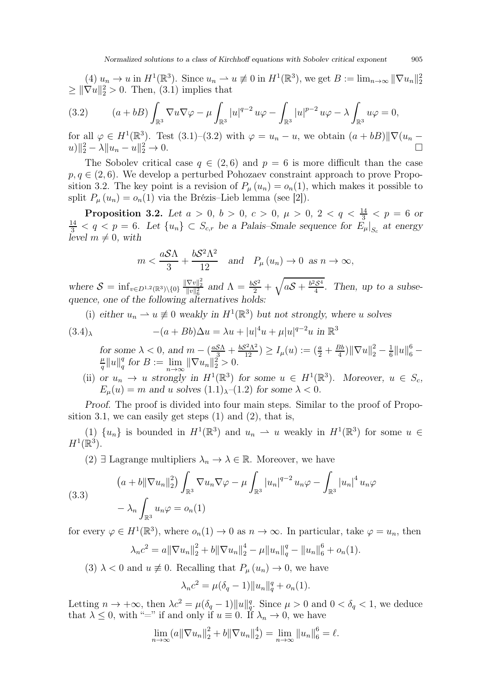$(4)$   $u_n \to u$  in  $H^1(\mathbb{R}^3)$ . Since  $u_n \to u \not\equiv 0$  in  $H^1(\mathbb{R}^3)$ , we get  $B := \lim_{n \to \infty} ||\nabla u_n||_2^2$  $\geq \|\nabla u\|_2^2 > 0$ . Then, [\(3.1\)](#page-9-1) implies that

<span id="page-10-1"></span>(3.2) 
$$
(a+bB)\int_{\mathbb{R}^3} \nabla u \nabla \varphi - \mu \int_{\mathbb{R}^3} |u|^{q-2} u \varphi - \int_{\mathbb{R}^3} |u|^{p-2} u \varphi - \lambda \int_{\mathbb{R}^3} u \varphi = 0,
$$

for all  $\varphi \in H^1(\mathbb{R}^3)$ . Test  $(3.1)$ – $(3.2)$  with  $\varphi = u_n - u$ , we obtain  $(a + bB)$  $\|\nabla(u_n ||u||_2^2 - \lambda ||u_n - u||_2^2$  $2\frac{2}{2} \rightarrow 0.$ 

The Sobolev critical case  $q \in (2,6)$  and  $p = 6$  is more difficult than the case  $p, q \in (2, 6)$ . We develop a perturbed Pohozaev constraint approach to prove Propo-sition [3.2.](#page-10-0) The key point is a revision of  $P_{\mu}(u_n) = o_n(1)$ , which makes it possible to split  $P_{\mu}(u_n) = o_n(1)$  via the Brézis–Lieb lemma (see [\[2\]](#page-29-13)).

<span id="page-10-0"></span>**Proposition 3.2.** Let  $a > 0$ ,  $b > 0$ ,  $c > 0$ ,  $\mu > 0$ ,  $2 < q < \frac{14}{3} < p = 6$  or  $\frac{14}{3} < q < p = 6$ . Let  $\{u_n\} \subset S_{c,r}$  be a Palais–Smale sequence for  $E_{\mu}|_{S_c}$  at energy level  $m \neq 0$ , with

$$
m < \frac{aS\Lambda}{3} + \frac{bS^2\Lambda^2}{12}
$$
 and  $P_\mu(u_n) \to 0$  as  $n \to \infty$ ,

where  $S = \inf_{v \in D^{1,2}(\mathbb{R}^3) \setminus \{0\}} \frac{\|\nabla v\|_2^2}{\|v\|_6^2}$  and  $\Lambda = \frac{bS^2}{2} + \sqrt{aS + \frac{b^2S^4}{4}}$ . Then, up to a subsequence, one of the following alternatives holds:

(i) either  $u_n \rightharpoonup u \not\equiv 0$  weakly in  $H^1(\mathbb{R}^3)$  but not strongly, where u solves

$$
(3.4)_{\lambda} \qquad -(a+Bb)\Delta u = \lambda u + |u|^4 u + \mu |u|^{q-2}u \text{ in } \mathbb{R}^3
$$

for some  $\lambda < 0$ , and  $m - \left(\frac{aS\Lambda}{3} + \frac{bS^2\Lambda^2}{12}\right) \ge I_\mu(u) := \left(\frac{a}{2} + \frac{Bb}{4}\right)$  $\frac{3b}{4}$ )  $\|\nabla u\|_2^2 - \frac{1}{6}$ for some  $\lambda < 0$ , and  $m - \left(\frac{aS\Lambda}{3} + \frac{bS^2\Lambda^2}{12}\right) \ge I_\mu(u) := \left(\frac{a}{2} + \frac{Bb}{4}\right) \|\nabla u\|_2^2 - \frac{1}{6} \|u\|_6^6 -$ <br>  $\frac{\mu \|u\|_2^q}{\|B\|_6^q}$  for  $B := \lim_{h \to \infty} \|\nabla u\|_2^2 > 0$  $\frac{\mu}{q}$ || $u$ || $\frac{q}{q}$  $_q^q$  for  $B := \lim_{n \to \infty} ||\nabla u_n||_2^2 > 0.$ 

(ii) or  $u_n \to u$  strongly in  $H^1(\mathbb{R}^3)$  for some  $u \in H^1(\mathbb{R}^3)$ . Moreover,  $u \in S_c$ ,  $E_{\mu}(u) = m$  and u solves  $(1.1)_{\lambda}$  $(1.1)_{\lambda}$ - $(1.2)$  for some  $\lambda < 0$ .

Proof. The proof is divided into four main steps. Similar to the proof of Propo-sition [3.1,](#page-9-0) we can easily get steps  $(1)$  and  $(2)$ , that is,

(1) 
$$
\{u_n\}
$$
 is bounded in  $H^1(\mathbb{R}^3)$  and  $u_n \rightharpoonup u$  weakly in  $H^1(\mathbb{R}^3)$  for some  $u \in H^1(\mathbb{R}^3)$ .

(2) ∃ Lagrange multipliers  $\lambda_n \to \lambda \in \mathbb{R}$ . Moreover, we have

<span id="page-10-2"></span>(3.3) 
$$
(a + b \|\nabla u_n\|_2^2) \int_{\mathbb{R}^3} \nabla u_n \nabla \varphi - \mu \int_{\mathbb{R}^3} |u_n|^{q-2} u_n \varphi - \int_{\mathbb{R}^3} |u_n|^4 u_n \varphi - \lambda_n \int_{\mathbb{R}^3} u_n \varphi = o_n(1)
$$

for every  $\varphi \in H^1(\mathbb{R}^3)$ , where  $o_n(1) \to 0$  as  $n \to \infty$ . In particular, take  $\varphi = u_n$ , then

$$
\lambda_n c^2 = a \|\nabla u_n\|_2^2 + b \|\nabla u_n\|_2^4 - \mu \|u_n\|_q^q - \|u_n\|_6^6 + o_n(1).
$$

(3)  $\lambda$  < 0 and  $u \neq 0$ . Recalling that  $P_{\mu}(u_n) \to 0$ , we have

$$
\lambda_n c^2 = \mu(\delta_q - 1) \|u_n\|_q^q + o_n(1).
$$

Letting  $n \to +\infty$ , then  $\lambda c^2 = \mu(\delta_q - 1) ||u||_q^q$ . Since  $\mu > 0$  and  $0 < \delta_q < 1$ , we deduce that  $\lambda \leq 0$ , with "=" if and only if  $u \equiv 0$ . If  $\lambda_n \to 0$ , we have

$$
\lim_{n \to \infty} (a \|\nabla u_n\|_2^2 + b \|\nabla u_n\|_2^4) = \lim_{n \to \infty} \|u_n\|_6^6 = \ell.
$$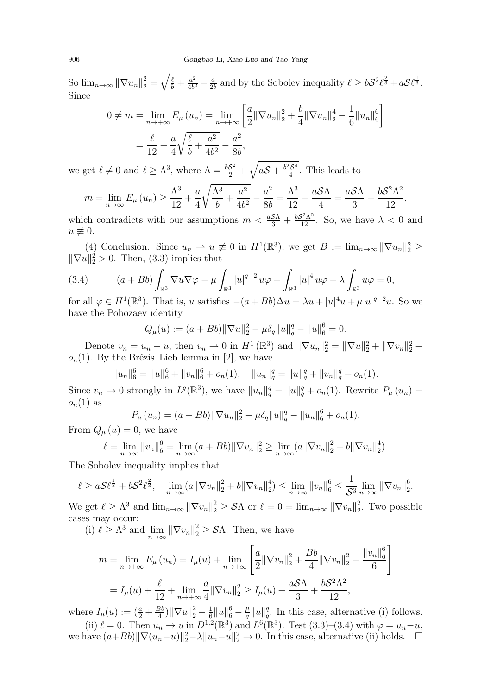So  $\lim_{n\to\infty} \|\nabla u_n\|_2^2 = \sqrt{\frac{\ell}{b} + \frac{a^2}{4b^2}}$  $\frac{a^2}{4b^2} - \frac{a}{2l}$  $\frac{a}{2b}$  and by the Sobolev inequality  $\ell \geq bS^2\ell^{\frac{2}{3}} + aS\ell^{\frac{1}{3}}$ . Since

$$
0 \neq m = \lim_{n \to +\infty} E_{\mu}(u_n) = \lim_{n \to +\infty} \left[ \frac{a}{2} ||\nabla u_n||_2^2 + \frac{b}{4} ||\nabla u_n||_2^4 - \frac{1}{6} ||u_n||_6^6 \right]
$$
  
=  $\frac{\ell}{12} + \frac{a}{4} \sqrt{\frac{\ell}{b} + \frac{a^2}{4b^2} - \frac{a^2}{8b}},$ 

we get  $\ell \neq 0$  and  $\ell \geq \Lambda^3$ , where  $\Lambda = \frac{bS^2}{2} + \sqrt{aS + \frac{b^2S^4}{4}}$ . This leads to

$$
m = \lim_{n \to \infty} E_{\mu}(u_n) \ge \frac{\Lambda^3}{12} + \frac{a}{4} \sqrt{\frac{\Lambda^3}{b} + \frac{a^2}{4b^2}} - \frac{a^2}{8b} = \frac{\Lambda^3}{12} + \frac{aS\Lambda}{4} = \frac{aS\Lambda}{3} + \frac{bS^2\Lambda^2}{12},
$$

which contradicts with our assumptions  $m < \frac{aS\Lambda}{3} + \frac{bS^2\Lambda^2}{12}$ . So, we have  $\lambda < 0$  and  $u \not\equiv 0.$ 

(4) Conclusion. Since  $u_n \rightharpoonup u \not\equiv 0$  in  $H^1(\mathbb{R}^3)$ , we get  $B := \lim_{n \to \infty} ||\nabla u_n||_2^2 \ge$  $\|\nabla u\|_2^2 > 0$ . Then, [\(3.3\)](#page-10-2) implies that

<span id="page-11-0"></span>(3.4) 
$$
(a + Bb) \int_{\mathbb{R}^3} \nabla u \nabla \varphi - \mu \int_{\mathbb{R}^3} |u|^{q-2} u \varphi - \int_{\mathbb{R}^3} |u|^4 u \varphi - \lambda \int_{\mathbb{R}^3} u \varphi = 0,
$$

for all  $\varphi \in H^1(\mathbb{R}^3)$ . That is, u satisfies  $-(a + Bb)\Delta u = \lambda u + |u|^4u + \mu |u|^{q-2}u$ . So we have the Pohozaev identity

$$
Q_{\mu}(u) := (a + Bb) \|\nabla u\|_2^2 - \mu \delta_q \|u\|_q^q - \|u\|_6^6 = 0.
$$

Denote  $v_n = u_n - u$ , then  $v_n \rightharpoonup 0$  in  $H^1(\mathbb{R}^3)$  and  $\|\nabla u_n\|_2^2 = \|\nabla u\|_2^2 + \|\nabla v_n\|_2^2 +$  $o_n(1)$ . By the Brézis–Lieb lemma in [\[2\]](#page-29-13), we have

 $||u_n||_6^6 = ||u||_6^6 + ||v_n||_6^6 + o_n(1)$ ,  $||u_n||_q^q = ||u||_q^q + ||v_n||_q^q + o_n(1)$ .

Since  $v_n \to 0$  strongly in  $L^q(\mathbb{R}^3)$ , we have  $||u_n||_q^q = ||u||_q^q + o_n(1)$ . Rewrite  $P_\mu(u_n) =$  $o_n(1)$  as

$$
P_{\mu}(u_n) = (a + Bb) \|\nabla u_n\|_2^2 - \mu \delta_q \|u\|_q^q - \|u_n\|_6^6 + o_n(1).
$$

From  $Q_{\mu}(u) = 0$ , we have

$$
\ell = \lim_{n \to \infty} ||v_n||_6^6 = \lim_{n \to \infty} (a + Bb) ||\nabla v_n||_2^2 \ge \lim_{n \to \infty} (a ||\nabla v_n||_2^2 + b ||\nabla v_n||_2^4).
$$

The Sobolev inequality implies that

$$
\ell \ge a\mathcal{S}\ell^{\frac{1}{3}} + b\mathcal{S}^2\ell^{\frac{2}{3}}, \quad \lim_{n \to \infty} (a\|\nabla v_n\|_2^2 + b\|\nabla v_n\|_2^4) \le \lim_{n \to \infty} \|v_n\|_6^6 \le \frac{1}{\mathcal{S}^3} \lim_{n \to \infty} \|\nabla v_n\|_2^6.
$$

We get  $\ell \geq \Lambda^3$  and  $\lim_{n\to\infty} ||\nabla v_n||_2^2 \geq \mathcal{S}\Lambda$  or  $\ell = 0 = \lim_{n\to\infty} ||\nabla v_n||_2^2$  $2<sub>2</sub>$ . Two possible cases may occur:

(i)  $\ell \geq \Lambda^3$  and  $\lim_{n \to \infty} ||\nabla v_n||_2^2 \geq \mathcal{S}\Lambda$ . Then, we have

$$
m = \lim_{n \to +\infty} E_{\mu}(u_n) = I_{\mu}(u) + \lim_{n \to +\infty} \left[ \frac{a}{2} ||\nabla v_n||_2^2 + \frac{Bb}{4} ||\nabla v_n||_2^2 - \frac{||v_n||_6^6}{6} \right]
$$
  
=  $I_{\mu}(u) + \frac{\ell}{12} + \lim_{n \to +\infty} \frac{a}{4} ||\nabla v_n||_2^2 \ge I_{\mu}(u) + \frac{aS\Lambda}{3} + \frac{bS^2\Lambda^2}{12},$ 

where  $I_{\mu}(u) := \left(\frac{a}{2} + \frac{Bb}{4}\right)$  $\frac{3b}{4}$ )  $\|\nabla u\|_2^2 - \frac{1}{6}$  $\frac{1}{6}||u||_6^6 - \frac{\mu}{q}$  $\frac{\mu}{q}$ || $u$ || $\frac{q}{q}$  $_q^q$ . In this case, alternative (i) follows. (ii)  $\ell = 0$ . Then  $u_n \to u$  in  $D^{1,2}(\mathbb{R}^3)$  and  $L^6(\mathbb{R}^3)$ . Test [\(3.3\)](#page-10-2)–[\(3.4\)](#page-11-0) with  $\varphi = u_n - u$ ,

we have  $(a+Bb)\|\nabla(u_n-u)\|_2^2-\lambda\|u_n-u\|_2^2\to 0$ . In this case, alternative (ii) holds.  $\Box$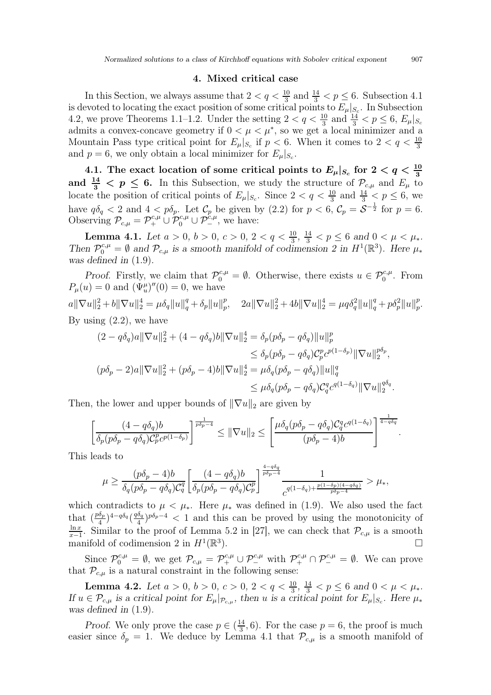#### 4. Mixed critical case

In this Section, we always assume that  $2 < q < \frac{10}{3}$  and  $\frac{14}{3} < p \leq 6$ . Subsection 4.1 is devoted to locating the exact position of some critical points to  $E_{\mu}|_{S_c}$ . In Subsection 4.2, we prove Theorems [1.1–](#page-4-0)[1.2.](#page-4-1) Under the setting  $2 < q < \frac{10}{3}$  and  $\frac{14}{3} < p \le 6$ ,  $E_{\mu}|_{S_c}$ admits a convex-concave geometry if  $0 < \mu < \mu^*$ , so we get a local minimizer and a Mountain Pass type critical point for  $E_{\mu}|_{S_c}$  if  $p < 6$ . When it comes to  $2 < q < \frac{10}{3}$ and  $p = 6$ , we only obtain a local minimizer for  $E_{\mu}|_{S_c}$ .

4.1. The exact location of some critical points to  $E_{\mu}|_{S_c}$  for  $2 < q < \frac{10}{3}$ and  $\frac{14}{3} < p \leq 6$ . In this Subsection, we study the structure of  $P_{c,\mu}$  and  $E_{\mu}$  to locate the position of critical points of  $E_{\mu}|_{S_c}$ . Since  $2 < q < \frac{10}{3}$  and  $\frac{14}{3} < p \le 6$ , we have  $q\delta_q < 2$  and  $4 < p\delta_p$ . Let  $\mathcal{C}_p$  be given by  $(2.2)$  for  $p < 6$ ,  $\mathcal{C}_p = \mathcal{S}^{-\frac{1}{2}}$  for  $p = 6$ . Observing  $\mathcal{P}_{c,\mu} = \mathcal{P}_+^{c,\mu} \cup \mathcal{P}_0^{c,\mu} \cup \mathcal{P}_-^{c,\mu}$ , we have:

<span id="page-12-1"></span>**Lemma 4.1.** Let  $a > 0$ ,  $b > 0$ ,  $c > 0$ ,  $2 < q < \frac{10}{3}$ ,  $\frac{14}{3} < p \le 6$  and  $0 < \mu < \mu_*$ . Then  $\mathcal{P}_0^{c,\mu} = \emptyset$  and  $\mathcal{P}_{c,\mu}$  is a smooth manifold of codimension 2 in  $H^1(\mathbb{R}^3)$ . Here  $\mu_*$ was defined in  $(1.9)$ .

Proof. Firstly, we claim that  $\mathcal{P}_0^{c,\mu} = \emptyset$ . Otherwise, there exists  $u \in \mathcal{P}_0^{c,\mu}$ . From  $P_{\mu}(u) = 0$  and  $(\Psi_{u}^{\mu})''(0) = 0$ , we have  $a \|\nabla u\|_2^2 + b \|\nabla u\|_2^4 = \mu \delta_q \|u\|_q^q + \delta_p \|u\|_p^p$  $\|p_p^n, \quad 2a \|\nabla u\|_2^2 + 4b \|\nabla u\|_2^4 = \mu q \delta_q^2 \|u\|_q^q + p \delta_p^2 \|u\|_p^p$ p.

By using  $(2.2)$ , we have

$$
(2 - q\delta_q)a \|\nabla u\|_2^2 + (4 - q\delta_q)b \|\nabla u\|_2^4 = \delta_p(p\delta_p - q\delta_q) \|u\|_p^p
$$
  
\n
$$
\leq \delta_p(p\delta_p - q\delta_q)C_p^p c^{p(1-\delta_p)} \|\nabla u\|_2^{p\delta_p},
$$
  
\n
$$
(p\delta_p - 2)a \|\nabla u\|_2^2 + (p\delta_p - 4)b \|\nabla u\|_2^4 = \mu \delta_q(p\delta_p - q\delta_q) \|u\|_q^q
$$
  
\n
$$
\leq \mu \delta_q(p\delta_p - q\delta_q)C_q^q c^{q(1-\delta_q)} \|\nabla u\|_2^{q\delta_q}.
$$

Then, the lower and upper bounds of  $\|\nabla u\|_2$  are given by

$$
\left[\frac{(4-q\delta_q)b}{\delta_p(p\delta_p-q\delta_q)\mathcal{C}_p^p c^{p(1-\delta_p)}}\right]^{\frac{1}{p\delta_p-4}} \leq \|\nabla u\|_2 \leq \left[\frac{\mu\delta_q(p\delta_p-q\delta_q)\mathcal{C}_q^q c^{q(1-\delta_q)}}{(p\delta_p-4)b}\right]^{\frac{1}{4-q\delta_q}}
$$

This leads to

$$
\mu \geq \frac{(p\delta_p-4)b}{\delta_q(p\delta_p-q\delta_q)\mathcal{C}_q^q} \bigg[ \frac{(4-q\delta_q)b}{\delta_p(p\delta_p-q\delta_q)\mathcal{C}_p^p} \bigg]^{\frac{4-q\delta_q}{p\delta_p-4}} \frac{1}{c^{q(1-\delta_q)+\frac{p(1-\delta_p)(4-q\delta_q)}{p\delta_p-4}}} > \mu_*,
$$

which contradicts to  $\mu < \mu_*$ . Here  $\mu_*$  was defined in [\(1.9\)](#page-3-0). We also used the fact that  $(\frac{p\delta_p}{4})$  $\frac{\delta_p}{4}$ )<sup>4-q $\delta_q$ </sup>( $\frac{q\delta_q}{4}$  $\frac{\delta_q}{4}$ )<sup>pδ<sub>p</sub>-4</sup> < 1 and this can be proved by using the monotonicity of  $ln x$  $\frac{\ln x}{x-1}$ . Similar to the proof of Lemma 5.2 in [\[27\]](#page-30-2), we can check that  $\mathcal{P}_{c,\mu}$  is a smooth manifold of codimension 2 in  $H^1(\mathbb{R}^3)$  $\Box$ 

Since  $\mathcal{P}_0^{c,\mu} = \emptyset$ , we get  $\mathcal{P}_{c,\mu} = \mathcal{P}_+^{c,\mu} \cup \mathcal{P}_-^{c,\mu}$  with  $\mathcal{P}_+^{c,\mu} \cap \mathcal{P}_-^{c,\mu} = \emptyset$ . We can prove that  $\mathcal{P}_{c,\mu}$  is a natural constraint in the following sense:

<span id="page-12-0"></span>**Lemma 4.2.** Let  $a > 0$ ,  $b > 0$ ,  $c > 0$ ,  $2 < q < \frac{10}{3}$ ,  $\frac{14}{3} < p \le 6$  and  $0 < \mu < \mu_*$ . If  $u \in \mathcal{P}_{c,\mu}$  is a critical point for  $E_{\mu}|_{\mathcal{P}_{c,\mu}}$ , then u is a critical point for  $E_{\mu}|_{S_c}$ . Here  $\mu_*$ was defined in  $(1.9)$ .

*Proof.* We only prove the case  $p \in (\frac{14}{3})$  $\frac{14}{3}$ , 6). For the case  $p = 6$ , the proof is much easier since  $\delta_p = 1$ . We deduce by Lemma [4.1](#page-12-1) that  $\mathcal{P}_{c,\mu}$  is a smooth manifold of

.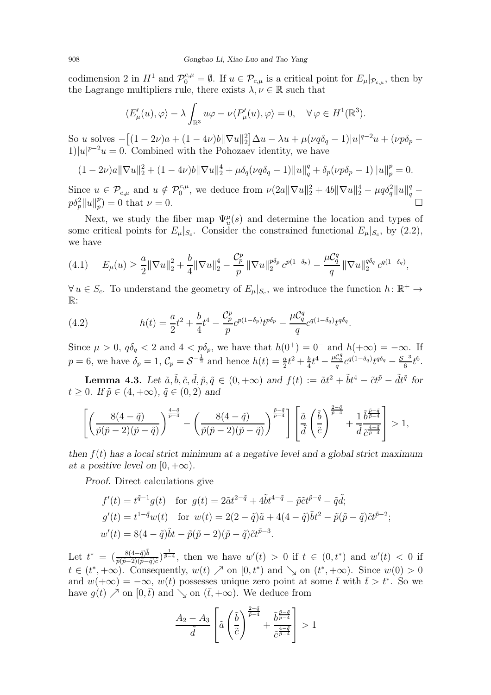codimension 2 in  $H^1$  and  $\mathcal{P}_0^{c,\mu} = \emptyset$ . If  $u \in \mathcal{P}_{c,\mu}$  is a critical point for  $E_{\mu}|_{\mathcal{P}_{c,\mu}}$ , then by the Lagrange multipliers rule, there exists  $\lambda, \nu \in \mathbb{R}$  such that

$$
\langle E'_{\mu}(u), \varphi \rangle - \lambda \int_{\mathbb{R}^3} u \varphi - \nu \langle P'_{\mu}(u), \varphi \rangle = 0, \quad \forall \varphi \in H^1(\mathbb{R}^3).
$$

So u solves  $-[(1-2\nu)a + (1-4\nu)b\|\nabla u\|_2^2] \Delta u - \lambda u + \mu(\nu q \delta_q - 1)|u|^{q-2}u + (\nu p \delta_p 1)|u|^{p-2}u=0.$  Combined with the Pohozaev identity, we have

$$
(1-2\nu)a\|\nabla u\|_2^2 + (1-4\nu)b\|\nabla u\|_2^4 + \mu\delta_q(\nu q\delta_q - 1)\|u\|_q^q + \delta_p(\nu p\delta_p - 1)\|u\|_p^p = 0.
$$

Since  $u \in \mathcal{P}_{c,\mu}$  and  $u \notin \mathcal{P}_0^{c,\mu}$ , we deduce from  $\nu(2a||\nabla u||_2^2 + 4b||\nabla u||_2^4 - \mu q \delta_q^2 ||u||_q^q$  $p\delta_p^2||u||_p^p$  $p_p(p) = 0$  that  $\nu = 0$ .

Next, we study the fiber map  $\Psi_u^{\mu}(s)$  and determine the location and types of some critical points for  $E_{\mu}|_{S_c}$ . Consider the constrained functional  $E_{\mu}|_{S_c}$ , by [\(2.2\)](#page-7-1), we have

<span id="page-13-1"></span>
$$
(4.1) \tE_{\mu}(u) \geq \frac{a}{2} \|\nabla u\|_{2}^{2} + \frac{b}{4} \|\nabla u\|_{2}^{4} - \frac{C_{p}^{p}}{p} \|\nabla u\|_{2}^{p\delta_{p}} c^{p(1-\delta_{p})} - \frac{\mu C_{q}^{q}}{q} \|\nabla u\|_{2}^{q\delta_{q}} c^{q(1-\delta_{q})},
$$

 $\forall u \in S_c$ . To understand the geometry of  $E_{\mu}|_{S_c}$ , we introduce the function  $h: \mathbb{R}^+ \to$  $\mathbb{R}$ :

(4.2) 
$$
h(t) = \frac{a}{2}t^2 + \frac{b}{4}t^4 - \frac{\mathcal{C}_p^p}{p}c^{p(1-\delta_p)}t^{p\delta_p} - \frac{\mu\mathcal{C}_q^q}{q}c^{q(1-\delta_q)}t^{q\delta_q}.
$$

Since  $\mu > 0$ ,  $q\delta_q < 2$  and  $4 < p\delta_p$ , we have that  $h(0^+) = 0^-$  and  $h(+\infty) = -\infty$ . If  $p = 6$ , we have  $\delta_p = 1$ ,  $C_p = S^{-\frac{1}{2}}$  and hence  $h(t) = \frac{a}{2}t^2 + \frac{b}{4}$  $\frac{b}{4}t^4-\frac{\mu\mathcal{C}_q^q}{q}c^{q(1-\delta_q)}t^{q\delta_q}-\frac{\mathcal{S}^{-3}}{6}t^6.$ 

<span id="page-13-0"></span>**Lemma 4.3.** Let  $\tilde{a}, \tilde{b}, \tilde{c}, \tilde{d}, \tilde{p}, \tilde{q} \in (0, +\infty)$  and  $f(t) := \tilde{a}t^2 + \tilde{b}t^4 - \tilde{c}t^{\tilde{p}} - \tilde{d}t^{\tilde{q}}$  for  $t > 0$ . If  $\tilde{p} \in (4, +\infty)$ ,  $\tilde{q} \in (0, 2)$  and

$$
\left[\left(\frac{8(4-\tilde{q})}{\tilde{p}(\tilde{p}-2)(\tilde{p}-\tilde{q})}\right)^{\frac{4-\tilde{q}}{\tilde{p}-4}}-\left(\frac{8(4-\tilde{q})}{\tilde{p}(\tilde{p}-2)(\tilde{p}-\tilde{q})}\right)^{\frac{\tilde{p}-\tilde{q}}{\tilde{p}-4}}\right]\left[\frac{\tilde{a}}{\tilde{d}}\left(\frac{\tilde{b}}{\tilde{c}}\right)^{\frac{2-\tilde{q}}{\tilde{p}-4}}+\frac{1}{\tilde{d}}\frac{\tilde{b}^{\frac{\tilde{p}-\tilde{q}}{\tilde{p}-4}}}{\tilde{c}^{\frac{4-\tilde{q}}{\tilde{p}-4}}}\right]>1,
$$

then  $f(t)$  has a local strict minimum at a negative level and a global strict maximum at a positive level on  $[0, +\infty)$ .

Proof. Direct calculations give

$$
f'(t) = t^{\tilde{q}-1}g(t) \text{ for } g(t) = 2\tilde{a}t^{2-\tilde{q}} + 4\tilde{b}t^{4-\tilde{q}} - \tilde{p}\tilde{c}t^{\tilde{p}-\tilde{q}} - \tilde{q}\tilde{d};
$$
  
\n
$$
g'(t) = t^{1-\tilde{q}}w(t) \text{ for } w(t) = 2(2-\tilde{q})\tilde{a} + 4(4-\tilde{q})\tilde{b}t^2 - \tilde{p}(\tilde{p}-\tilde{q})\tilde{c}t^{\tilde{p}-2};
$$
  
\n
$$
w'(t) = 8(4-\tilde{q})\tilde{b}t - \tilde{p}(\tilde{p}-2)(\tilde{p}-\tilde{q})\tilde{c}t^{\tilde{p}-3}.
$$

Let  $t^* = (\frac{8(4-\tilde{q})\tilde{b}}{\tilde{p}(\tilde{p}-2)(\tilde{p}-\tilde{q})\tilde{c}})^{\frac{1}{\tilde{p}-4}}$ , then we have  $w'(t) > 0$  if  $t \in (0, t^*)$  and  $w'(t) < 0$  if  $t \in (t^*, +\infty)$ . Consequently,  $w(t) \nearrow$  on  $[0, t^*)$  and  $\searrow$  on  $(t^*, +\infty)$ . Since  $w(0) > 0$ and  $w(+\infty) = -\infty$ ,  $w(t)$  possesses unique zero point at some  $\bar{t}$  with  $\bar{t} > t^*$ . So we have  $g(t) \nearrow$  on  $[0, \bar{t})$  and  $\searrow$  on  $(\bar{t}, +\infty)$ . We deduce from

$$
\frac{A_2 - A_3}{\tilde{d}} \left[ \tilde{a} \left( \frac{\tilde{b}}{\tilde{c}} \right)^{\frac{2 - \tilde{q}}{\tilde{p} - 4}} + \frac{\tilde{b}^{\frac{\tilde{p} - \tilde{q}}{\tilde{p} - 4}}}{\tilde{c}^{\frac{4 - \tilde{q}}{\tilde{p} - 4}}} \right] > 1
$$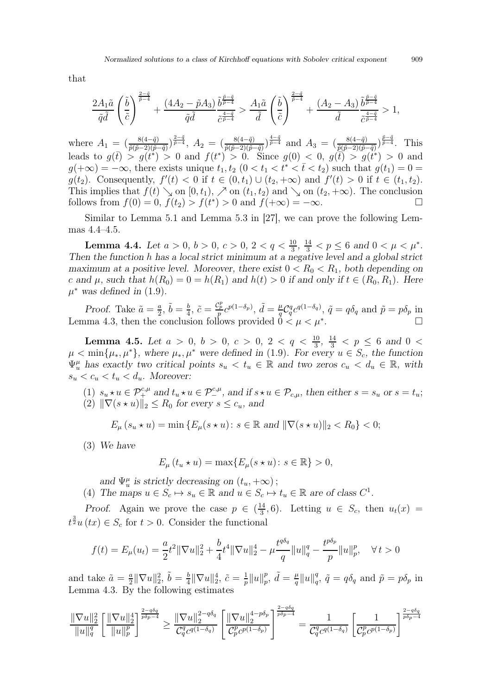that

$$
\frac{2A_1\tilde{a}}{\tilde{q}\tilde{d}}\left(\frac{\tilde{b}}{\tilde{c}}\right)^{\frac{2-\tilde{q}}{\tilde{p}-4}}+\frac{\left(4A_2-\tilde{p}A_3\right)}{\tilde{q}\tilde{d}}\frac{\tilde{b}^{\frac{\tilde{p}-\tilde{q}}{\tilde{p}-4}}}{\tilde{c}^{\frac{4-\tilde{q}}{\tilde{p}-4}}}> \frac{A_1\tilde{a}}{\tilde{d}}\left(\frac{\tilde{b}}{\tilde{c}}\right)^{\frac{2-\tilde{q}}{\tilde{p}-4}}+\frac{\left(A_2-A_3\right)}{\tilde{d}}\frac{\tilde{b}^{\frac{\tilde{p}-\tilde{q}}{\tilde{p}-4}}}{\tilde{c}^{\frac{4-\tilde{q}}{\tilde{p}-4}}}>1,
$$

where  $A_1 = \left(\frac{8(4-\tilde{q})}{\tilde{p}(\tilde{p}-2)(\tilde{p}-\tilde{q})}\right)^{\frac{2-\tilde{q}}{\tilde{p}-4}}$ ,  $A_2 = \left(\frac{8(4-\tilde{q})}{\tilde{p}(\tilde{p}-2)(\tilde{p}-\tilde{q})}\right)^{\frac{4-\tilde{q}}{\tilde{p}-4}}$  and  $A_3 = \left(\frac{8(4-\tilde{q})}{\tilde{p}(\tilde{p}-2)(\tilde{p}-\tilde{q})}\right)^{\frac{\tilde{p}-\tilde{q}}{\tilde{p}-4}}$ leads to  $g(\bar{t}) > g(\bar{t}^*) > 0$  and  $f(t^*) > 0$ . Since  $g(0) < 0$ ,  $g(\bar{t}) > g(\bar{t}^*) > 0$  and  $g(+\infty) = -\infty$ , there exists unique  $t_1, t_2 \ (0 \lt t_1 \lt t^* \lt \bar{t} \lt t_2)$  such that  $g(t_1) = 0 =$  $g(t_2)$ . Consequently,  $f'(t) < 0$  if  $t \in (0, t_1) \cup (t_2, +\infty)$  and  $f'(t) > 0$  if  $t \in (t_1, t_2)$ . This implies that  $f(t) \searrow$  on  $[0, t_1)$ ,  $\nearrow$  on  $(t_1, t_2)$  and  $\searrow$  on  $(t_2, +\infty)$ . The conclusion follows from  $f(0) = 0$ ,  $f(t_2) > f(t^*) > 0$  and  $f(+\infty) = -\infty$ . follows from  $f(0) = 0$ ,  $f(t_2) > f(t^*) > 0$  and  $f(+\infty) = -\infty$ .

Similar to Lemma 5.1 and Lemma 5.3 in [\[27\]](#page-30-2), we can prove the following Lemmas [4.4–](#page-14-0)[4.5.](#page-14-1)

<span id="page-14-0"></span>**Lemma 4.4.** Let  $a > 0$ ,  $b > 0$ ,  $c > 0$ ,  $2 < q < \frac{10}{3}$ ,  $\frac{14}{3} < p \le 6$  and  $0 < \mu < \mu^*$ . Then the function h has a local strict minimum at a negative level and a global strict maximum at a positive level. Moreover, there exist  $0 < R_0 < R_1$ , both depending on c and  $\mu$ , such that  $h(R_0) = 0 = h(R_1)$  and  $h(t) > 0$  if and only if  $t \in (R_0, R_1)$ . Here  $\mu^*$  was defined in [\(1.9\)](#page-3-0).

Proof. Take  $\tilde{a} = \frac{a}{2}$  $\frac{a}{2}, \, \tilde{b} = \frac{b}{4}$  $\frac{b}{4}$ ,  $\tilde{c} = \frac{\mathcal{C}_p^p}{p} c^{p(1-\delta_p)}$ ,  $\tilde{d} = \frac{\mu}{q}$  $q^{\mu}_{q} C_{q}^{q} c^{q(1-\delta_{q})}, \tilde{q} = q \delta_{q} \text{ and } \tilde{p} = p \delta_{p} \text{ in}$ Lemma [4.3,](#page-13-0) then the conclusion follows provided  $\vec{0} \leq \mu \leq \mu^*$ . .

<span id="page-14-1"></span>**Lemma 4.5.** Let  $a > 0$ ,  $b > 0$ ,  $c > 0$ ,  $2 < q < \frac{10}{3}$ ,  $\frac{14}{3} < p \le 6$  and  $0 <$  $\mu < \min\{\mu_*, \mu^*\}$ , where  $\mu_*, \mu^*$  were defined in [\(1.9\)](#page-3-0). For every  $u \in S_c$ , the function  $\Psi_u^{\mu}$  has exactly two critical points  $s_u < t_u \in \mathbb{R}$  and two zeros  $c_u < d_u \in \mathbb{R}$ , with  $s_u < c_u < t_u < d_u$ . Moreover:

(1)  $s_u \star u \in \mathcal{P}_+^{c,\mu}$  and  $t_u \star u \in \mathcal{P}_-^{c,\mu}$ , and if  $s \star u \in \mathcal{P}_{c,\mu}$ , then either  $s = s_u$  or  $s = t_u$ ; (2)  $\|\nabla(s \star u)\|_2 \leq R_0$  for every  $s \leq c_u$ , and

$$
E_{\mu}(s_u \star u) = \min \{ E_{\mu}(s \star u) : s \in \mathbb{R} \text{ and } ||\nabla(s \star u)||_2 < R_0 \} < 0;
$$

(3) We have

$$
E_{\mu}(t_u \star u) = \max\{E_{\mu}(s \star u) \colon s \in \mathbb{R}\} > 0,
$$

and  $\Psi_u^{\mu}$  is strictly decreasing on  $(t_u, +\infty)$ ;

(4) The maps  $u \in S_c \mapsto s_u \in \mathbb{R}$  and  $u \in S_c \mapsto t_u \in \mathbb{R}$  are of class  $C^1$ .

*Proof.* Again we prove the case  $p \in \left(\frac{14}{3}\right)$  $\frac{14}{3}$ , 6). Letting  $u \in S_c$ , then  $u_t(x) =$  $t^{\frac{3}{2}}u(tx) \in S_c$  for  $t > 0$ . Consider the functional

$$
f(t) = E_{\mu}(u_t) = \frac{a}{2}t^2 \|\nabla u\|_2^2 + \frac{b}{4}t^4 \|\nabla u\|_2^4 - \mu \frac{t^{q\delta_q}}{q} \|u\|_q^q - \frac{t^{p\delta_p}}{p} \|u\|_p^p, \quad \forall \, t > 0
$$

and take  $\tilde{a} = \frac{a}{2}$  $\frac{a}{2} \|\nabla u\|_2^2, \, \tilde{b} = \frac{b}{4}$  $\frac{b}{4} \|\nabla u\|_2^4, \ \tilde{c} = \frac{1}{p}$  $\frac{1}{p}$ || $u$ || $\frac{p}{p}$  $_p^p, \ \tilde{d} = \frac{\mu}{q}$  $\frac{\mu}{q}$ || $u$ || $\frac{q}{q}$  $q^q$ ,  $\tilde{q} = q \delta_q$  and  $\tilde{p} = p \delta_p$  in Lemma [4.3.](#page-13-0) By the following estimates

$$
\frac{\|\nabla u\|_2^2}{\|u\|_q^q} \left[ \frac{\|\nabla u\|_2^4}{\|u\|_p^p} \right]^{\frac{2-q\delta_q}{p\delta_p-4}} \ge \frac{\|\nabla u\|_2^{2-q\delta_q}}{\mathcal{C}_q^q c^{q(1-\delta_q)}} \left[ \frac{\|\nabla u\|_2^{4-p\delta_p}}{\mathcal{C}_p^p c^{p(1-\delta_p)}} \right]^{\frac{2-q\delta_q}{p\delta_p-4}} = \frac{1}{\mathcal{C}_q^q c^{q(1-\delta_q)}} \left[ \frac{1}{\mathcal{C}_p^p c^{p(1-\delta_p)}} \right]^{\frac{2-q\delta_q}{p\delta_p-4}}
$$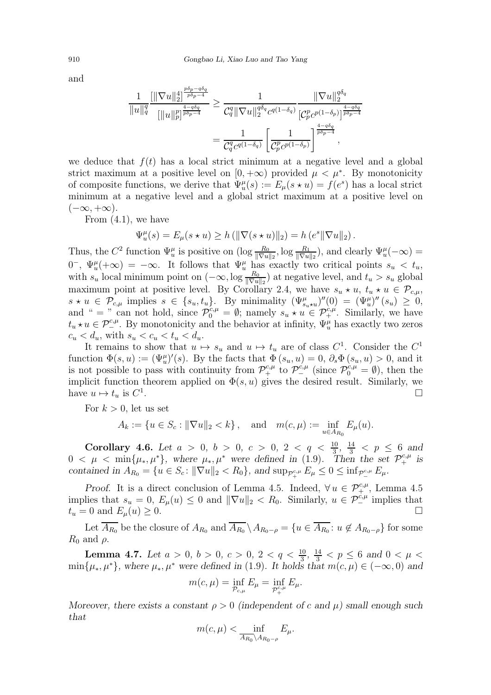and

$$
\frac{1}{\|u\|_q^q} \frac{\left[ \|\nabla u\|_2^4 \right]^{\frac{p\delta_p - q\delta_q}{p\delta_p - 4}}}{\left[ \|u\|_p^p \right]^{\frac{4 - q\delta_q}{p\delta_p - 4}}} \ge \frac{1}{\mathcal{C}_q^q \|\nabla u\|_2^{q\delta_q} c^{q(1 - \delta_q)}} \frac{\|\nabla u\|_2^{q\delta_q}}{\left[\mathcal{C}_p^p c^{p(1 - \delta_p)}\right]^{\frac{4 - q\delta_q}{p\delta_p - 4}}}
$$

$$
= \frac{1}{\mathcal{C}_q^q c^{q(1 - \delta_q)}} \left[ \frac{1}{\mathcal{C}_p^p c^{p(1 - \delta_p)}} \right]^{\frac{4 - q\delta_q}{p\delta_p - 4}},
$$

we deduce that  $f(t)$  has a local strict minimum at a negative level and a global strict maximum at a positive level on  $[0, +\infty)$  provided  $\mu < \mu^*$ . By monotonicity of composite functions, we derive that  $\Psi_u^{\mu}(s) := E_{\mu}(s \star u) = f(e^s)$  has a local strict minimum at a negative level and a global strict maximum at a positive level on  $(-\infty, +\infty).$ 

From [\(4.1\)](#page-13-1), we have

$$
\Psi_u^{\mu}(s) = E_{\mu}(s \star u) \ge h \left( \|\nabla(s \star u)\|_2 \right) = h \left(e^s \|\nabla u\|_2\right).
$$

Thus, the  $C^2$  function  $\Psi_u^{\mu}$  is positive on  $(\log \frac{R_0}{\|\nabla u\|_2}, \log \frac{R_1}{\|\nabla u\|_2})$ , and clearly  $\Psi_u^{\mu}(-\infty)$  =  $0^-$ ,  $\Psi_u^{\mu}(+\infty) = -\infty$ . It follows that  $\Psi_u^{\mu}$  has exactly two critical points  $s_u < t_u$ , with  $s_u$  local minimum point on  $(-\infty, \log \frac{R_0}{\|\nabla u\|_2})$  at negative level, and  $t_u > s_u$  global maximum point at positive level. By Corollary [2.4,](#page-8-3) we have  $s_u \star u$ ,  $t_u \star u \in \mathcal{P}_{c,\mu}$ ,  $s \star u \in \mathcal{P}_{c,\mu}$  implies  $s \in \{s_u, t_u\}$ . By minimality  $(\Psi_{s_u \star u}^{\mu})''(0) = (\Psi_u^{\mu})''(s_u) \geq 0$ , and " = " can not hold, since  $\mathcal{P}_0^{c,\mu} = \emptyset$ ; namely  $s_u \star u \in \mathcal{P}_+^{c,\mu}$ . Similarly, we have  $t_u \star u \in \mathcal{P}^{c,\mu}_{-1}$ . By monotonicity and the behavior at infinity,  $\Psi^{\mu}_u$  has exactly two zeros  $c_u < d_u$ , with  $s_u < c_u < t_u < d_u$ .

It remains to show that  $u \mapsto s_u$  and  $u \mapsto t_u$  are of class  $C^1$ . Consider the  $C^1$ function  $\Phi(s, u) := (\Psi_u^{\mu})'(s)$ . By the facts that  $\Phi(s_u, u) = 0$ ,  $\partial_s \Phi(s_u, u) > 0$ , and it is not possible to pass with continuity from  $\mathcal{P}_+^{c,\mu}$  to  $\mathcal{P}_-^{c,\mu}$  (since  $\mathcal{P}_0^{c,\mu} = \emptyset$ ), then the implicit function theorem applied on  $\Phi(s, u)$  gives the desired result. Similarly, we have  $u \mapsto t_u$  is  $C^1$ .

For  $k > 0$ , let us set

$$
A_k := \{ u \in S_c : ||\nabla u||_2 < k \}, \text{ and } m(c, \mu) := \inf_{u \in A_{R_0}} E_{\mu}(u).
$$

<span id="page-15-0"></span>Corollary 4.6. Let  $a > 0, b > 0, c > 0, 2 < q < \frac{10}{3}, \frac{14}{3} < p \le 6$  and  $0 < \mu < \min\{\mu_*, \mu^*\},\$  where  $\mu_*, \mu^*$  were defined in [\(1.9\)](#page-3-0). Then the set  $\mathcal{P}_+^{c,\mu}$  is contained in  $A_{R_0} = \{u \in S_c : ||\nabla u||_2 < R_0\}$ , and  $\sup_{\mathcal{P}_+^{c,\mu}} E_\mu \leq 0 \leq \inf_{\mathcal{P}_-^{c,\mu}} E_\mu$ .

Proof. It is a direct conclusion of Lemma [4.5.](#page-14-1) Indeed,  $\forall u \in \mathcal{P}^{c,\mu}_{\pm}$ , Lemma [4.5](#page-14-1) implies that  $s_u = 0$ ,  $E_\mu(u) \leq 0$  and  $\|\nabla u\|_2 < R_0$ . Similarly,  $u \in \mathcal{P}_-^{c,\mu}$  implies that  $t_u = 0$  and  $E_\mu(u) \geq 0$ .

Let  $A_{R_0}$  be the closure of  $A_{R_0}$  and  $A_{R_0} \setminus A_{R_0-\rho} = \{u \in A_{R_0}: u \notin A_{R_0-\rho}\}\$  for some  $R_0$  and  $\rho$ .

<span id="page-15-1"></span>**Lemma 4.7.** Let  $a > 0$ ,  $b > 0$ ,  $c > 0$ ,  $2 < q < \frac{10}{3}$ ,  $\frac{14}{3} < p \le 6$  and  $0 < \mu <$  $\min\{\mu_*, \mu^*\}\$ , where  $\mu_*, \mu^*$  were defined in [\(1.9\)](#page-3-0). It holds that  $m(c, \mu) \in (-\infty, 0)$  and

$$
m(c,\mu) = \inf_{\mathcal{P}_{c,\mu}} E_{\mu} = \inf_{\mathcal{P}_{+}^{c,\mu}} E_{\mu}.
$$

Moreover, there exists a constant  $\rho > 0$  (independent of c and  $\mu$ ) small enough such that

$$
m(c,\mu) < \inf_{\overline{A_{R_0} \setminus A_{R_0 - \rho}}} E_{\mu}.
$$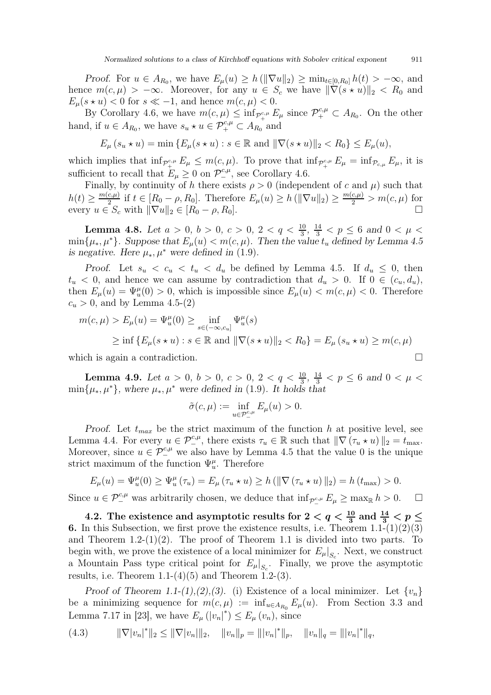Proof. For  $u \in A_{R_0}$ , we have  $E_\mu(u) \ge h(\|\nabla u\|_2) \ge \min_{t \in [0,R_0]} h(t) > -\infty$ , and hence  $m(c, \mu) > -\infty$ . Moreover, for any  $u \in S_c$  we have  $\|\nabla(s \star u)\|_2 < R_0$  and  $E_{\mu}(s \star u) < 0$  for  $s \ll -1$ , and hence  $m(c, \mu) < 0$ .

By Corollary [4.6,](#page-15-0) we have  $m(c, \mu) \leq \inf_{\mathcal{P}^{c,\mu}_+} E_{\mu}$  since  $\mathcal{P}^{c,\mu}_+ \subset A_{R_0}$ . On the other hand, if  $u \in A_{R_0}$ , we have  $s_u \star u \in \mathcal{P}_+^{c,\mu} \subset A_{R_0}$  and

$$
E_{\mu}(s_u \star u) = \min \{ E_{\mu}(s \star u) : s \in \mathbb{R} \text{ and } ||\nabla(s \star u)||_2 < R_0 \} \le E_{\mu}(u),
$$

which implies that  $\inf_{\mathcal{P}^{\text{c},\mu}_+} E_\mu \leq m(c,\mu)$ . To prove that  $\inf_{\mathcal{P}^{\text{c},\mu}_+} E_\mu = \inf_{\mathcal{P}_{\text{c},\mu}} E_\mu$ , it is sufficient to recall that  $E_{\mu} \ge 0$  on  $\mathcal{P}_-^{c,\mu}$ , see Corollary [4.6.](#page-15-0)

Finally, by continuity of h there exists  $\rho > 0$  (independent of c and  $\mu$ ) such that  $h(t) \geq \frac{m(c,\mu)}{2}$  $\frac{(c,\mu)}{2}$  if  $t \in [R_0 - \rho, R_0]$ . Therefore  $E_\mu(u) \ge h(\|\nabla u\|_2) \ge \frac{m(c,\mu)}{2} > m(c,\mu)$  for every  $u \in S_c$  with  $\|\nabla u\|_2 \in [R_0 - \rho, R_0].$ 

<span id="page-16-0"></span>**Lemma 4.8.** Let  $a > 0$ ,  $b > 0$ ,  $c > 0$ ,  $2 < q < \frac{10}{3}$ ,  $\frac{14}{3} < p \le 6$  and  $0 < \mu <$ min $\{\mu_*, \mu^*\}$ . Suppose that  $E_\mu(u) < m(c, \mu)$ . Then the value  $t_u$  defined by Lemma [4.5](#page-14-1) is negative. Here  $\mu_*, \mu^*$  were defined in [\(1.9\)](#page-3-0).

Proof. Let  $s_u < c_u < t_u < d_u$  be defined by Lemma [4.5.](#page-14-1) If  $d_u \leq 0$ , then  $t_u < 0$ , and hence we can assume by contradiction that  $d_u > 0$ . If  $0 \in (c_u, d_u)$ , then  $E_{\mu}(u) = \Psi_{u}^{\mu}(0) > 0$ , which is impossible since  $E_{\mu}(u) < m(c, \mu) < 0$ . Therefore  $c_u > 0$ , and by Lemma [4.5-](#page-14-1)(2)

$$
m(c, \mu) > E_{\mu}(u) = \Psi_{u}^{\mu}(0) \ge \inf_{s \in (-\infty, c_u]} \Psi_{u}^{\mu}(s)
$$
  
 
$$
\ge \inf \{ E_{\mu}(s \star u) : s \in \mathbb{R} \text{ and } ||\nabla(s \star u)||_2 < R_0 \} = E_{\mu}(s_u \star u) \ge m(c, \mu)
$$

which is again a contradiction.

<span id="page-16-1"></span>**Lemma 4.9.** Let  $a > 0$ ,  $b > 0$ ,  $c > 0$ ,  $2 < q < \frac{10}{3}$ ,  $\frac{14}{3} < p \le 6$  and  $0 < \mu <$  $\min\{\mu_*, \mu^*\}\$ , where  $\mu_*, \mu^*$  were defined in [\(1.9\)](#page-3-0). It holds that

$$
\tilde{\sigma}(c,\mu):=\inf_{u\in\mathcal{P}^{c,\mu}_{-}}E_{\mu}(u)>0.
$$

Proof. Let  $t_{max}$  be the strict maximum of the function h at positive level, see Lemma [4.4.](#page-14-0) For every  $u \in \mathcal{P}^{c,\mu}_{-}$ , there exists  $\tau_u \in \mathbb{R}$  such that  $\|\nabla (\tau_u \star u)\|_2 = t_{\max}$ . Moreover, since  $u \in \mathcal{P}_-^{c,\mu}$  we also have by Lemma [4.5](#page-14-1) that the value 0 is the unique strict maximum of the function  $\Psi_u^{\mu}$ . Therefore

$$
E_{\mu}(u) = \Psi_{u}^{\mu}(0) \ge \Psi_{u}^{\mu}(\tau_{u}) = E_{\mu}(\tau_{u} \star u) \ge h \left( \|\nabla (\tau_{u} \star u)\|_{2} \right) = h \left( t_{\max} \right) > 0.
$$

Since  $u \in \mathcal{P}_-^{c,\mu}$  was arbitrarily chosen, we deduce that  $\inf_{\mathcal{P}_-^{c,\mu}} E_\mu \ge \max_{\mathbb{R}} h > 0.$   $\Box$ 

4.2. The existence and asymptotic results for  $2 < q < \frac{10}{3}$  and  $\frac{14}{3} < p \le$ **6.** In this Subsection, we first prove the existence results, i.e. Theorem  $1.1-(1)(2)(3)$ and Theorem  $1.2-(1)(2)$ . The proof of Theorem [1.1](#page-4-0) is divided into two parts. To begin with, we prove the existence of a local minimizer for  $E_{\mu}|_{S_c}$ . Next, we construct a Mountain Pass type critical point for  $E_{\mu}|_{S_c}$ . Finally, we prove the asymptotic results, i.e. Theorem  $1.1-(4)(5)$  and Theorem  $1.2-(3)$ .

Proof of Theorem [1.1-](#page-4-0)(1),(2),(3). (i) Existence of a local minimizer. Let  $\{v_n\}$ be a minimizing sequence for  $m(c, \mu) := \inf_{u \in A_{R_0}} E_{\mu}(u)$ . From Section 3.3 and Lemma 7.17 in [\[23\]](#page-30-14), we have  $E_{\mu} (|v_n|^*) \le E_{\mu} (v_n)$ , since

$$
(4.3) \t ||\nabla |v_n|^*||_2 \le ||\nabla |v_n|||_2, \t ||v_n||_p = |||v_n|^*||_p, \t ||v_n||_q = |||v_n|^*||_q,
$$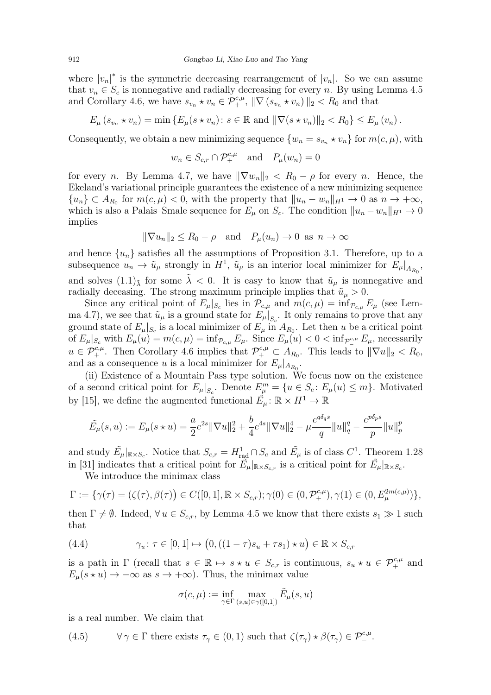where  $|v_n|^*$  is the symmetric decreasing rearrangement of  $|v_n|$ . So we can assume that  $v_n \in S_c$  is nonnegative and radially decreasing for every n. By using Lemma [4.5](#page-14-1) and Corollary [4.6,](#page-15-0) we have  $s_{v_n} \star v_n \in \mathcal{P}_+^{c,\mu}$ ,  $\|\nabla (s_{v_n} \star v_n)\|_2 < R_0$  and that

$$
E_{\mu}(s_{v_n} \star v_n) = \min \{ E_{\mu}(s \star v_n) : s \in \mathbb{R} \text{ and } ||\nabla(s \star v_n)||_2 < R_0 \} \le E_{\mu}(v_n).
$$

Consequently, we obtain a new minimizing sequence  $\{w_n = s_{v_n} \star v_n\}$  for  $m(c, \mu)$ , with

$$
w_n \in S_{c,r} \cap \mathcal{P}_+^{c,\mu}
$$
 and  $P_\mu(w_n) = 0$ 

for every n. By Lemma [4.7,](#page-15-1) we have  $\|\nabla w_n\|_2 < R_0 - \rho$  for every n. Hence, the Ekeland's variational principle guarantees the existence of a new minimizing sequence  ${u_n} \subset A_{R_0}$  for  $m(c, \mu) < 0$ , with the property that  $||u_n - w_n||_{H^1} \to 0$  as  $n \to +\infty$ , which is also a Palais–Smale sequence for  $E_{\mu}$  on  $S_c$ . The condition  $||u_n - w_n||_{H^1} \to 0$ implies

$$
\|\nabla u_n\|_2 \le R_0 - \rho \quad \text{and} \quad P_\mu(u_n) \to 0 \text{ as } n \to \infty
$$

and hence  $\{u_n\}$  satisfies all the assumptions of Proposition [3.1.](#page-9-0) Therefore, up to a subsequence  $u_n \to \tilde{u}_\mu$  strongly in  $H^1$ ,  $\tilde{u}_\mu$  is an interior local minimizer for  $E_\mu|_{A_{R_0}}$ , and solves  $(1.1)_{\tilde{\lambda}}$  for some  $\tilde{\lambda} < 0$ . It is easy to know that  $\tilde{u}_{\mu}$  is nonnegative and radially deceasing. The strong maximum principle implies that  $\tilde{u}_{\mu} > 0$ .

Since any critical point of  $E_{\mu}|_{S_c}$  lies in  $\mathcal{P}_{c,\mu}$  and  $m(c,\mu) = \inf_{\mathcal{P}_{c,\mu}} E_{\mu}$  (see Lem-ma [4.7\)](#page-15-1), we see that  $\tilde{u}_{\mu}$  is a ground state for  $E_{\mu}|_{S_c}$ . It only remains to prove that any ground state of  $E_{\mu}|_{S_c}$  is a local minimizer of  $E_{\mu}$  in  $A_{R_0}$ . Let then u be a critical point of  $E_{\mu}|_{S_c}$  with  $E_{\mu}(u) = m(c, \mu) = \inf_{\mathcal{P}_{c,\mu}} E_{\mu}$ . Since  $E_{\mu}(u) < 0 < \inf_{\mathcal{P}^{\text{c},\mu}_-} E_{\mu}$ , necessarily  $u \in \mathcal{P}_{+}^{c,\mu}$ . Then Corollary [4.6](#page-15-0) implies that  $\mathcal{P}_{+}^{c,\mu} \subset A_{R_0}$ . This leads to  $\|\nabla u\|_2 < R_0$ , and as a consequence u is a local minimizer for  $E_{\mu}|_{A_{R_0}}$ .

(ii) Existence of a Mountain Pass type solution. We focus now on the existence of a second critical point for  $E_{\mu}|_{S_c}$ . Denote  $E_{\mu}^m = \{u \in S_c : E_{\mu}(u) \leq m\}$ . Motivated by [\[15\]](#page-29-12), we define the augmented functional  $\tilde{E}_{\mu} : \mathbb{R} \times H^1 \to \mathbb{R}$ 

$$
\tilde{E}_{\mu}(s, u) := E_{\mu}(s \star u) = \frac{a}{2} e^{2s} \|\nabla u\|_{2}^{2} + \frac{b}{4} e^{4s} \|\nabla u\|_{2}^{4} - \mu \frac{e^{q\delta_{q}s}}{q} \|u\|_{q}^{q} - \frac{e^{p\delta_{p}s}}{p} \|u\|_{p}^{p}
$$

and study  $\tilde{E}_{\mu}|_{\mathbb{R}\times S_c}$ . Notice that  $S_{c,r} = H_{\text{rad}}^1 \cap S_c$  and  $\tilde{E}_{\mu}$  is of class  $C^1$ . Theorem 1.28 in [\[31\]](#page-30-15) indicates that a critical point for  $\tilde{E}_{\mu}|_{\mathbb{R}\times S_{c,r}}$  is a critical point for  $\tilde{E}_{\mu}|_{\mathbb{R}\times S_{c}}$ .

We introduce the minimax class

$$
\Gamma := \{ \gamma(\tau) = (\zeta(\tau), \beta(\tau)) \in C([0, 1], \mathbb{R} \times S_{c,r}); \gamma(0) \in (0, \mathcal{P}_+^{c,\mu}), \gamma(1) \in (0, E_{\mu}^{2m(c,\mu)}) \},
$$

then  $\Gamma \neq \emptyset$ . Indeed,  $\forall u \in S_{c,r}$ , by Lemma [4.5](#page-14-1) we know that there exists  $s_1 \gg 1$  such that

(4.4) 
$$
\gamma_u \colon \tau \in [0,1] \mapsto (0, ((1-\tau)s_u + \tau s_1) \star u) \in \mathbb{R} \times S_{c,r}
$$

is a path in  $\Gamma$  (recall that  $s \in \mathbb{R} \mapsto s \star u \in S_{c,r}$  is continuous,  $s_u \star u \in \mathcal{P}_+^{c,\mu}$  and  $E_{\mu}(s \star u) \rightarrow -\infty$  as  $s \rightarrow +\infty$ ). Thus, the minimax value

<span id="page-17-1"></span>
$$
\sigma(c,\mu) := \inf_{\gamma \in \Gamma} \max_{(s,u) \in \gamma([0,1])} \tilde{E}_{\mu}(s,u)
$$

is a real number. We claim that

<span id="page-17-0"></span>(4.5) 
$$
\forall \gamma \in \Gamma \text{ there exists } \tau_{\gamma} \in (0,1) \text{ such that } \zeta(\tau_{\gamma}) \star \beta(\tau_{\gamma}) \in \mathcal{P}_{-}^{c,\mu}.
$$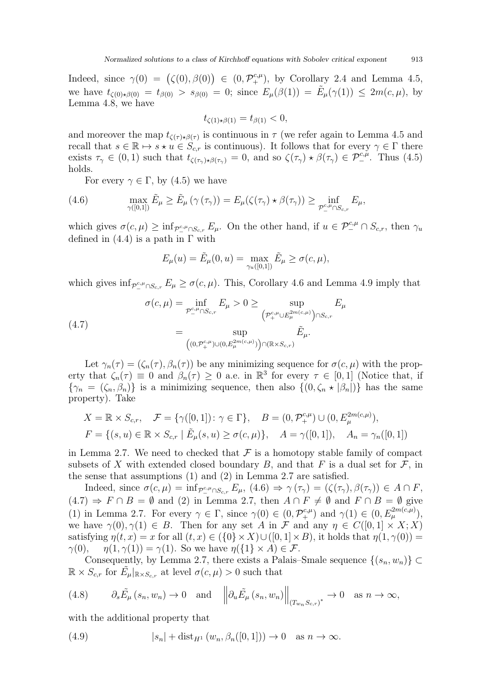Indeed, since  $\gamma(0) = (\zeta(0), \beta(0)) \in (0, \mathcal{P}_+^{c,\mu})$ , by Corollary [2.4](#page-8-3) and Lemma [4.5,](#page-14-1) we have  $t_{\zeta(0)\star\beta(0)} = t_{\beta(0)} > s_{\beta(0)} = 0$ ; since  $E_{\mu}(\beta(1)) = \tilde{E}_{\mu}(\gamma(1)) \leq 2m(c, \mu)$ , by Lemma [4.8,](#page-16-0) we have

$$
t_{\zeta(1)\star\beta(1)} = t_{\beta(1)} < 0,
$$

and moreover the map  $t_{\zeta(\tau)\star\beta(\tau)}$  is continuous in  $\tau$  (we refer again to Lemma [4.5](#page-14-1) and recall that  $s \in \mathbb{R} \mapsto s \star u \in S_{c,r}$  is continuous). It follows that for every  $\gamma \in \Gamma$  there exists  $\tau_{\gamma} \in (0,1)$  such that  $t_{\zeta(\tau_{\gamma}) \star \beta(\tau_{\gamma})} = 0$ , and so  $\zeta(\tau_{\gamma}) \star \beta(\tau_{\gamma}) \in \mathcal{P}^{c,\mu}_{-}$ . Thus [\(4.5\)](#page-17-0) holds.

<span id="page-18-0"></span>For every  $\gamma \in \Gamma$ , by [\(4.5\)](#page-17-0) we have

(4.6) 
$$
\max_{\gamma([0,1])} \tilde{E}_{\mu} \ge \tilde{E}_{\mu} (\gamma(\tau_{\gamma})) = E_{\mu}(\zeta(\tau_{\gamma}) \star \beta(\tau_{\gamma})) \ge \inf_{\mathcal{P}_{-}^{c,\mu} \cap S_{c,r}} E_{\mu},
$$

which gives  $\sigma(c, \mu) \geq \inf_{\mathcal{P}^{\mathcal{C},\mu}_{-} \cap S_{c,r}} E_{\mu}$ . On the other hand, if  $u \in \mathcal{P}^{\mathcal{C},\mu}_{-} \cap S_{c,r}$ , then  $\gamma_u$ defined in  $(4.4)$  is a path in  $\Gamma$  with

$$
E_{\mu}(u) = \tilde{E}_{\mu}(0, u) = \max_{\gamma_u([0,1])} \tilde{E}_{\mu} \ge \sigma(c, \mu),
$$

which gives  $\inf_{\mathcal{P}^{\text{c},\mu}_{-} \cap S_{c,r}} E_{\mu} \ge \sigma(c,\mu)$ . This, Corollary [4.6](#page-15-0) and Lemma [4.9](#page-16-1) imply that

<span id="page-18-1"></span>(4.7) 
$$
\sigma(c,\mu) = \inf_{\mathcal{P}^{c,\mu}_{-} \cap S_{c,r}} E_{\mu} > 0 \ge \sup_{\left(\mathcal{P}^{c,\mu}_{+} \cup E^{2m(c,\mu)}_{\mu}\right) \cap S_{c,r}} E_{\mu}
$$

$$
= \sup_{\left((0,\mathcal{P}^{c,\mu}_{+}) \cup (0,E^{2m(c,\mu)}_{\mu})\right) \cap (\mathbb{R} \times S_{c,r})} \tilde{E}_{\mu}.
$$

Let  $\gamma_n(\tau) = (\zeta_n(\tau), \beta_n(\tau))$  be any minimizing sequence for  $\sigma(c, \mu)$  with the property that  $\zeta_n(\tau) \equiv 0$  and  $\beta_n(\tau) \geq 0$  a.e. in  $\mathbb{R}^3$  for every  $\tau \in [0,1]$  (Notice that, if  ${\gamma_n = (\zeta_n, \beta_n)}$  is a minimizing sequence, then also  ${(0, \zeta_n * |\beta_n|)}$  has the same property). Take

$$
X = \mathbb{R} \times S_{c,r}, \quad \mathcal{F} = \{ \gamma([0, 1]) \colon \gamma \in \Gamma \}, \quad B = (0, \mathcal{P}_+^{c, \mu}) \cup (0, E_{\mu}^{2m(c, \mu)}), F = \{ (s, u) \in \mathbb{R} \times S_{c,r} \mid \tilde{E}_{\mu}(s, u) \ge \sigma(c, \mu) \}, \quad A = \gamma([0, 1]), \quad A_n = \gamma_n([0, 1])
$$

in Lemma [2.7.](#page-8-2) We need to checked that  $\mathcal F$  is a homotopy stable family of compact subsets of X with extended closed boundary B, and that F is a dual set for  $\mathcal F$ , in the sense that assumptions (1) and (2) in Lemma [2.7](#page-8-2) are satisfied.

Indeed, since  $\sigma(c,\mu) = \inf_{\mathcal{P} \subset \mu \cap S_{c,r}} E_{\mu}, (4.6) \Rightarrow \gamma(\tau_{\gamma}) = (\zeta(\tau_{\gamma}), \beta(\tau_{\gamma})) \in A \cap F$  $\sigma(c,\mu) = \inf_{\mathcal{P} \subset \mu \cap S_{c,r}} E_{\mu}, (4.6) \Rightarrow \gamma(\tau_{\gamma}) = (\zeta(\tau_{\gamma}), \beta(\tau_{\gamma})) \in A \cap F$  $\sigma(c,\mu) = \inf_{\mathcal{P} \subset \mu \cap S_{c,r}} E_{\mu}, (4.6) \Rightarrow \gamma(\tau_{\gamma}) = (\zeta(\tau_{\gamma}), \beta(\tau_{\gamma})) \in A \cap F$ ,  $(4.7) \Rightarrow F \cap B = \emptyset$  $(4.7) \Rightarrow F \cap B = \emptyset$  and  $(2)$  in Lemma [2.7,](#page-8-2) then  $A \cap F \neq \emptyset$  and  $F \cap B = \emptyset$  give (1) in Lemma [2.7.](#page-8-2) For every  $\gamma \in \Gamma$ , since  $\gamma(0) \in (0, \mathcal{P}_+^{c,\mu})$  and  $\gamma(1) \in (0, E_{\mu}^{2m(c,\mu)}),$ we have  $\gamma(0), \gamma(1) \in B$ . Then for any set A in F and any  $\eta \in C([0,1] \times X; X)$ satisfying  $\eta(t, x) = x$  for all  $(t, x) \in (\{0\} \times X) \cup ([0, 1] \times B)$ , it holds that  $\eta(1, \gamma(0)) = \gamma(0)$ ,  $\eta(1, \gamma(1)) = \gamma(1)$ . So we have  $\eta(\{1\} \times A) \in \mathcal{F}$ .  $\eta(1,\gamma(1)) = \gamma(1)$ . So we have  $\eta(\{1\} \times A) \in \mathcal{F}$ .

Consequently, by Lemma [2.7,](#page-8-2) there exists a Palais–Smale sequence  $\{(s_n, w_n)\}\subset$  $\mathbb{R} \times S_{c,r}$  for  $\tilde{E}_{\mu}|_{\mathbb{R} \times S_{c,r}}$  at level  $\sigma(c,\mu) > 0$  such that

<span id="page-18-2"></span>(4.8) 
$$
\partial_s \tilde{E}_{\mu}(s_n, w_n) \to 0
$$
 and  $\left\| \partial_u \tilde{E}_{\mu}(s_n, w_n) \right\|_{(T_{w_n} S_{c,r})^*} \to 0$  as  $n \to \infty$ ,

with the additional property that

<span id="page-18-3"></span>(4.9) 
$$
|s_n| + \text{dist}_{H^1}(w_n, \beta_n([0,1])) \to 0 \quad \text{as } n \to \infty.
$$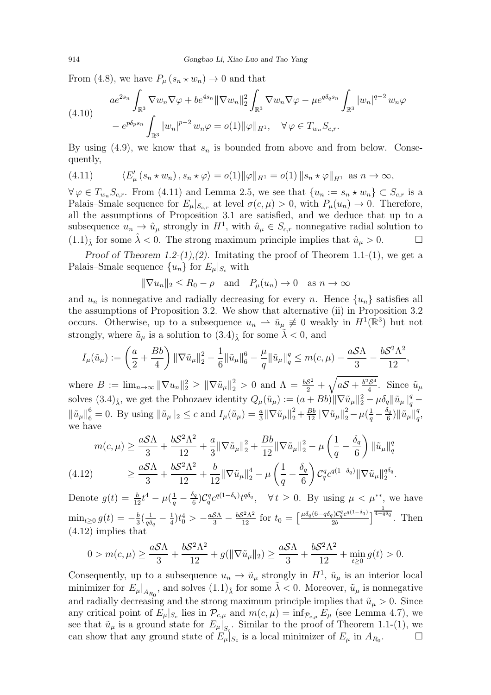From [\(4.8\)](#page-18-2), we have  $P_{\mu}(s_n \star w_n) \to 0$  and that

$$
(4.10) \quad a e^{2s_n} \int_{\mathbb{R}^3} \nabla w_n \nabla \varphi + b e^{4s_n} \|\nabla w_n\|_2^2 \int_{\mathbb{R}^3} \nabla w_n \nabla \varphi - \mu e^{q \delta_q s_n} \int_{\mathbb{R}^3} |w_n|^{q-2} w_n \varphi
$$
  

$$
- e^{p \delta_p s_n} \int_{\mathbb{R}^3} |w_n|^{p-2} w_n \varphi = o(1) \|\varphi\|_{H^1}, \quad \forall \varphi \in T_{w_n} S_{c,r}.
$$

By using [\(4.9\)](#page-18-3), we know that  $s_n$  is bounded from above and from below. Consequently,

<span id="page-19-0"></span>(4.11) 
$$
\langle E'_{\mu}(s_n \star w_n), s_n \star \varphi \rangle = o(1) \|\varphi\|_{H^1} = o(1) \|s_n \star \varphi\|_{H^1} \text{ as } n \to \infty,
$$

 $\forall \varphi \in T_{w_n} S_{c,r}$ . From [\(4.11\)](#page-19-0) and Lemma [2.5,](#page-8-4) we see that  $\{u_n := s_n \star w_n\} \subset S_{c,r}$  is a Palais–Smale sequence for  $E_{\mu}|_{S_{c,r}}$  at level  $\sigma(c, \mu) > 0$ , with  $P_{\mu}(u_n) \to 0$ . Therefore, all the assumptions of Proposition [3.1](#page-9-0) are satisfied, and we deduce that up to a subsequence  $u_n \to \hat{u}_\mu$  strongly in  $H^1$ , with  $\hat{u}_\mu \in S_{c,r}$  nonnegative radial solution to  $(1.1)$ <sup>5</sup> for some  $\lambda < 0$ . The strong maximum principle implies that  $\hat{u}_{\mu} > 0$ .

Proof of Theorem [1.2-](#page-4-1) $(1)$ , $(2)$ . Imitating the proof of Theorem [1.1-](#page-4-0) $(1)$ , we get a Palais–Smale sequence  $\{u_n\}$  for  $E_\mu|_{S_c}$  with

$$
\|\nabla u_n\|_2 \le R_0 - \rho \quad \text{and} \quad P_\mu(u_n) \to 0 \quad \text{as } n \to \infty
$$

and  $u_n$  is nonnegative and radially decreasing for every n. Hence  $\{u_n\}$  satisfies all the assumptions of Proposition [3.2.](#page-10-0) We show that alternative (ii) in Proposition [3.2](#page-10-0) occurs. Otherwise, up to a subsequence  $u_n \rightharpoonup \tilde{u}_{\mu} \neq 0$  weakly in  $H^1(\mathbb{R}^3)$  but not strongly, where  $\tilde{u}_{\mu}$  is a solution to  $(3.4)_{\tilde{\lambda}}$  for some  $\lambda < 0$ , and

$$
I_{\mu}(\tilde{u}_{\mu}) := \left(\frac{a}{2} + \frac{Bb}{4}\right) \|\nabla \tilde{u}_{\mu}\|_{2}^{2} - \frac{1}{6} \|\tilde{u}_{\mu}\|_{6}^{6} - \frac{\mu}{q} \|\tilde{u}_{\mu}\|_{q}^{q} \leq m(c, \mu) - \frac{aS\Lambda}{3} - \frac{bS^{2}\Lambda^{2}}{12},
$$

where  $B := \lim_{n \to \infty} ||\nabla u_n||_2^2 \ge ||\nabla \tilde{u}_\mu||_2^2 > 0$  and  $\Lambda = \frac{bS^2}{2} + \sqrt{aS + \frac{b^2S^4}{4}}$ . Since  $\tilde{u}_\mu$ solves  $(3.4)_{\tilde{\lambda}}$ , we get the Pohozaev identity  $Q_{\mu}(\tilde{u}_{\mu}) := (a + Bb) \|\nabla \tilde{u}_{\mu}\|_{2}^{2} - \mu \delta_{q} \|\tilde{u}_{\mu}\|_{q}^{q} \|\tilde{u}_\mu\|_6^6 = 0$ . By using  $\|\tilde{u}_\mu\|_2 \leq c$  and  $I_\mu(\tilde{u}_\mu) = \frac{a}{3} \|\nabla \tilde{u}_\mu\|_2^2 + \frac{Bb}{12} \|\nabla \tilde{u}_\mu\|_2^2 - \mu(\frac{1}{q} - \frac{\delta_q}{6})$  $\frac{\delta_q}{6})\|\tilde u_\mu\|_q^q$  $_q^q,$ we have

$$
m(c,\mu) \ge \frac{aS\Lambda}{3} + \frac{bS^2\Lambda^2}{12} + \frac{a}{3} \|\nabla \tilde{u}_{\mu}\|_2^2 + \frac{Bb}{12} \|\nabla \tilde{u}_{\mu}\|_2^2 - \mu \left(\frac{1}{q} - \frac{\delta_q}{6}\right) \|\tilde{u}_{\mu}\|_q^q
$$
  
(4.12) 
$$
\ge \frac{aS\Lambda}{3} + \frac{bS^2\Lambda^2}{12} + \frac{b}{12} \|\nabla \tilde{u}_{\mu}\|_2^4 - \mu \left(\frac{1}{q} - \frac{\delta_q}{6}\right) C_q^q c^{q(1-\delta_q)} \|\nabla \tilde{u}_{\mu}\|_2^{q\delta_q}.
$$

<span id="page-19-1"></span>Denote  $g(t) = \frac{b}{12}t^4 - \mu(\frac{1}{q} - \frac{\delta_q}{6})$  $\frac{\partial q}{\partial \theta}$ ) $C_q^q c^{q(1-\delta_q)} t^{q\delta_q}$ ,  $\forall t \geq 0$ . By using  $\mu < \mu^{**}$ , we have  $\min_{t\geq 0} g(t) = -\frac{b}{3}$  $rac{b}{3}(\frac{1}{q\delta}$  $\frac{1}{q\delta_q}-\frac{1}{4}$  $\frac{1}{4}$ ) $t_0^4 > -\frac{aS\Lambda}{3} - \frac{bS^2\Lambda^2}{12}$  for  $t_0 = \left[\frac{\mu \delta_q (6 - q\delta_q)C_q^q c^{q(1-\delta_q)}}{2b}\right]$  $\left[\frac{2b}{2b}\right]$  $\frac{1}{4-q\delta q}$ . Then [\(4.12\)](#page-19-1) implies that

$$
0 > m(c, \mu) \ge \frac{aS\Lambda}{3} + \frac{bS^2\Lambda^2}{12} + g(\|\nabla \tilde{u}_{\mu}\|_2) \ge \frac{aS\Lambda}{3} + \frac{bS^2\Lambda^2}{12} + \min_{t \ge 0} g(t) > 0.
$$

Consequently, up to a subsequence  $u_n \to \tilde{u}_\mu$  strongly in  $H^1$ ,  $\tilde{u}_\mu$  is an interior local minimizer for  $E_{\mu}|_{A_{R_0}}$ , and solves  $(1.1)_{\tilde{\lambda}}$  for some  $\tilde{\lambda} < 0$ . Moreover,  $\tilde{u}_{\mu}$  is nonnegative and radially decreasing and the strong maximum principle implies that  $\tilde{u}_{\mu} > 0$ . Since any critical point of  $E_{\mu}|_{S_c}$  lies in  $\mathcal{P}_{c,\mu}$  and  $m(c,\mu) = \inf_{\mathcal{P}_{c,\mu}} E_{\mu}$  (see Lemma [4.7\)](#page-15-1), we see that  $\tilde{u}_{\mu}$  is a ground state for  $E_{\mu}|_{S_c}$ . Similar to the proof of Theorem [1.1-](#page-4-0)(1), we can show that any ground state of  $E_{\mu}|_{S_c}$  is a local minimizer of  $E_{\mu}$  in  $A_{R_0}$  $\Box$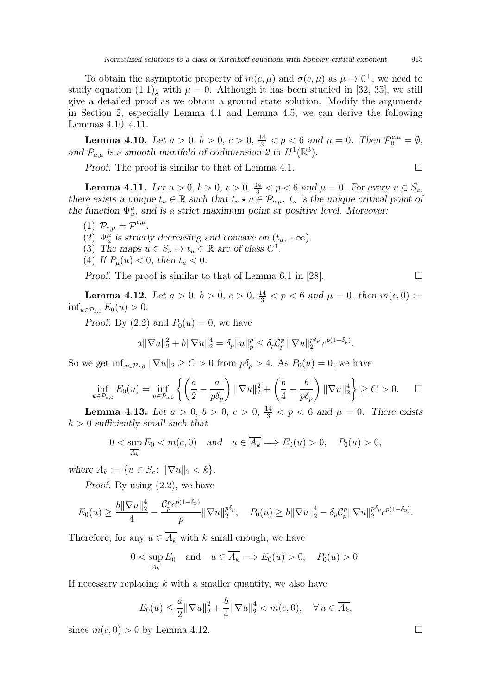To obtain the asymptotic property of  $m(c, \mu)$  and  $\sigma(c, \mu)$  as  $\mu \to 0^+$ , we need to study equation  $(1.1)$ <sub>λ</sub> with  $\mu = 0$ . Although it has been studied in [\[32,](#page-30-6) [35\]](#page-30-10), we still give a detailed proof as we obtain a ground state solution. Modify the arguments in Section 2, especially Lemma [4.1](#page-12-1) and Lemma [4.5,](#page-14-1) we can derive the following Lemmas [4.10](#page-20-0)[–4.11.](#page-20-1)

<span id="page-20-0"></span>**Lemma 4.10.** Let  $a > 0$ ,  $b > 0$ ,  $c > 0$ ,  $\frac{14}{3} < p < 6$  and  $\mu = 0$ . Then  $\mathcal{P}_0^{c,\mu} = \emptyset$ , and  $\mathcal{P}_{c,\mu}$  is a smooth manifold of codimension 2 in  $H^1(\mathbb{R}^3)$ .

*Proof.* The proof is similar to that of Lemma [4.1.](#page-12-1)

<span id="page-20-1"></span>**Lemma 4.11.** Let  $a > 0$ ,  $b > 0$ ,  $c > 0$ ,  $\frac{14}{3} < p < 6$  and  $\mu = 0$ . For every  $u \in S_c$ , there exists a unique  $t_u \in \mathbb{R}$  such that  $t_u \star u \in \mathcal{P}_{c,\mu}$ .  $t_u$  is the unique critical point of the function  $\Psi_u^{\mu}$ , and is a strict maximum point at positive level. Moreover:

$$
(1) \ \mathcal{P}_{c,\mu} = \mathcal{P}^{c,\mu}_{-}.
$$

- (2)  $\Psi_u^{\mu}$  is strictly decreasing and concave on  $(t_u, +\infty)$ .
- (3) The maps  $u \in S_c \mapsto t_u \in \mathbb{R}$  are of class  $C^1$ .
- (4) If  $P_{\mu}(u) < 0$ , then  $t_u < 0$ .

Proof. The proof is similar to that of Lemma 6.1 in [\[28\]](#page-30-3).  $\Box$ 

<span id="page-20-2"></span>**Lemma 4.12.** Let  $a > 0$ ,  $b > 0$ ,  $c > 0$ ,  $\frac{14}{3} < p < 6$  and  $\mu = 0$ , then  $m(c, 0) :=$  $\inf_{u \in \mathcal{P}_{c,0}} E_0(u) > 0.$ 

Proof. By  $(2.2)$  and  $P_0(u) = 0$ , we have

$$
a\|\nabla u\|_{2}^{2} + b\|\nabla u\|_{2}^{4} = \delta_{p} \|u\|_{p}^{p} \leq \delta_{p} C_{p}^{p} \|\nabla u\|_{2}^{p\delta_{p}} c^{p(1-\delta_{p})}.
$$

So we get  $\inf_{u \in \mathcal{P}_{c,0}} ||\nabla u||_2 \ge C > 0$  from  $p\delta_p > 4$ . As  $P_0(u) = 0$ , we have

$$
\inf_{u \in \mathcal{P}_{c,0}} E_0(u) = \inf_{u \in \mathcal{P}_{c,0}} \left\{ \left( \frac{a}{2} - \frac{a}{p\delta_p} \right) \|\nabla u\|_2^2 + \left( \frac{b}{4} - \frac{b}{p\delta_p} \right) \|\nabla u\|_2^4 \right\} \ge C > 0. \quad \Box
$$

<span id="page-20-3"></span>**Lemma 4.13.** Let  $a > 0$ ,  $b > 0$ ,  $c > 0$ ,  $\frac{14}{3} < p < 6$  and  $\mu = 0$ . There exists  $k > 0$  sufficiently small such that

$$
0 < \sup_{\overline{A_k}} E_0 < m(c, 0) \quad \text{and} \quad u \in \overline{A_k} \Longrightarrow E_0(u) > 0, \quad P_0(u) > 0,
$$

where  $A_k := \{u \in S_c : ||\nabla u||_2 < k\}.$ 

Proof. By using [\(2.2\)](#page-7-1), we have

$$
E_0(u) \ge \frac{b\|\nabla u\|_2^4}{4} - \frac{\mathcal{C}_p^p c^{p(1-\delta_p)}}{p} \|\nabla u\|_2^{p\delta_p}, \quad P_0(u) \ge b\|\nabla u\|_2^4 - \delta_p \mathcal{C}_p^p \|\nabla u\|_2^{p\delta_p} c^{p(1-\delta_p)}.
$$

Therefore, for any  $u \in \overline{A_k}$  with k small enough, we have

$$
0 < \sup_{\overline{A_k}} E_0 \quad \text{and} \quad u \in \overline{A_k} \Longrightarrow E_0(u) > 0, \quad P_0(u) > 0.
$$

If necessary replacing  $k$  with a smaller quantity, we also have

$$
E_0(u) \le \frac{a}{2} ||\nabla u||_2^2 + \frac{b}{4} ||\nabla u||_2^4 < m(c, 0), \quad \forall u \in \overline{A_k},
$$

since  $m(c, 0) > 0$  by Lemma [4.12.](#page-20-2)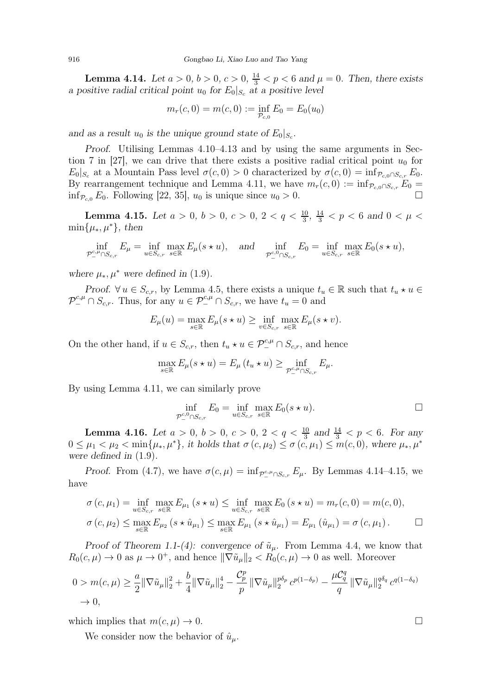<span id="page-21-0"></span>**Lemma 4.14.** Let  $a > 0, b > 0, c > 0, \frac{14}{3} < p < 6$  and  $\mu = 0$ . Then, there exists a positive radial critical point  $u_0$  for  $E_0|_{S_c}$  at a positive level

$$
m_r(c,0) = m(c,0) := \inf_{P_{c,0}} E_0 = E_0(u_0)
$$

and as a result  $u_0$  is the unique ground state of  $E_0|_{S_c}$ .

Proof. Utilising Lemmas [4.10–](#page-20-0)[4.13](#page-20-3) and by using the same arguments in Sec-tion 7 in [\[27\]](#page-30-2), we can drive that there exists a positive radial critical point  $u_0$  for  $E_0|_{S_c}$  at a Mountain Pass level  $\sigma(c, 0) > 0$  characterized by  $\sigma(c, 0) = \inf_{\mathcal{P}_{c,0} \cap S_{c,r}} E_0$ . By rearrangement technique and Lemma [4.11,](#page-20-1) we have  $m_r(c, 0) := \inf_{\mathcal{P}_{c,0} \cap S_{c,r}} E_0 =$  $\inf_{\mathcal{P}_{c,0}} E_0$ . Following [\[22,](#page-30-16) [35\]](#page-30-10),  $u_0$  is unique since  $u_0 > 0$ .

<span id="page-21-1"></span>**Lemma 4.15.** Let  $a > 0$ ,  $b > 0$ ,  $c > 0$ ,  $2 < q < \frac{10}{3}$ ,  $\frac{14}{3} < p < 6$  and  $0 < \mu <$  $\min\{\mu_*,\mu^*\},\$  then

$$
\inf_{\mathcal{P}^{\text{c},\mu}_{-} \cap S_{c,r}} E_{\mu} = \inf_{u \in S_{c,r}} \max_{s \in \mathbb{R}} E_{\mu}(s \star u), \quad \text{and} \quad \inf_{\mathcal{P}^{\text{c},0}_{-} \cap S_{c,r}} E_{0} = \inf_{u \in S_{c,r}} \max_{s \in \mathbb{R}} E_{0}(s \star u),
$$

where  $\mu_*, \mu^*$  were defined in [\(1.9\)](#page-3-0).

Proof.  $\forall u \in S_{c,r}$ , by Lemma [4.5,](#page-14-1) there exists a unique  $t_u \in \mathbb{R}$  such that  $t_u \star u \in$  $\mathcal{P}^{c,\mu}_{-} \cap S_{c,r}$ . Thus, for any  $u \in \mathcal{P}^{c,\mu}_{-} \cap S_{c,r}$ , we have  $t_u = 0$  and

$$
E_{\mu}(u) = \max_{s \in \mathbb{R}} E_{\mu}(s \star u) \ge \inf_{v \in S_{c,r}} \max_{s \in \mathbb{R}} E_{\mu}(s \star v).
$$

On the other hand, if  $u \in S_{c,r}$ , then  $t_u \star u \in \mathcal{P}_-^{c,\mu} \cap S_{c,r}$ , and hence

$$
\max_{s \in \mathbb{R}} E_{\mu}(s \star u) = E_{\mu}(t_u \star u) \ge \inf_{\mathcal{P}^{c,\mu}_{-} \cap S_{c,r}} E_{\mu}.
$$

By using Lemma [4.11,](#page-20-1) we can similarly prove

$$
\inf_{\mathcal{P}_-^{c,0}\cap S_{c,r}} E_0 = \inf_{u \in S_{c,r}} \max_{s \in \mathbb{R}} E_0(s \star u).
$$

<span id="page-21-2"></span>**Lemma 4.16.** Let  $a > 0$ ,  $b > 0$ ,  $c > 0$ ,  $2 < q < \frac{10}{3}$  and  $\frac{14}{3} < p < 6$ . For any  $0 \leq \mu_1 < \mu_2 < \min\{\mu_*, \mu^*\},\$ it holds that  $\sigma(c, \mu_2) \leq \sigma(c, \mu_1) \leq m(c, 0),$  where  $\mu_*, \mu^*$ were defined in [\(1.9\)](#page-3-0).

Proof. From [\(4.7\)](#page-18-1), we have  $\sigma(c, \mu) = \inf_{\mathcal{P}_-^{c,\mu} \cap S_{c,r}} E_{\mu}$ . By Lemmas [4.14–](#page-21-0)[4.15,](#page-21-1) we have

$$
\sigma(c, \mu_1) = \inf_{u \in S_{c,r}} \max_{s \in \mathbb{R}} E_{\mu_1}(s \star u) \le \inf_{u \in S_{c,r}} \max_{s \in \mathbb{R}} E_0(s \star u) = m_r(c, 0) = m(c, 0),
$$
  

$$
\sigma(c, \mu_2) \le \max_{s \in \mathbb{R}} E_{\mu_2}(s \star \hat{u}_{\mu_1}) \le \max_{s \in \mathbb{R}} E_{\mu_1}(s \star \hat{u}_{\mu_1}) = E_{\mu_1}(\hat{u}_{\mu_1}) = \sigma(c, \mu_1).
$$

Proof of Theorem [1.1-](#page-4-0)(4): convergence of  $\tilde{u}_{\mu}$ . From Lemma [4.4,](#page-14-0) we know that  $R_0(c, \mu) \to 0$  as  $\mu \to 0^+$ , and hence  $\|\nabla \tilde{u}_\mu\|_2 < R_0(c, \mu) \to 0$  as well. Moreover

$$
0 > m(c, \mu) \ge \frac{a}{2} \|\nabla \tilde{u}_{\mu}\|_{2}^{2} + \frac{b}{4} \|\nabla \tilde{u}_{\mu}\|_{2}^{4} - \frac{C_{p}^{p}}{p} \|\nabla \tilde{u}_{\mu}\|_{2}^{p\delta_{p}} c^{p(1-\delta_{p})} - \frac{\mu C_{q}^{q}}{q} \|\nabla \tilde{u}_{\mu}\|_{2}^{q\delta_{q}} c^{q(1-\delta_{q})} \to 0,
$$

which implies that  $m(c, \mu) \to 0$ .

We consider now the behavior of  $\hat{u}_{\mu}$ .

$$
\Box
$$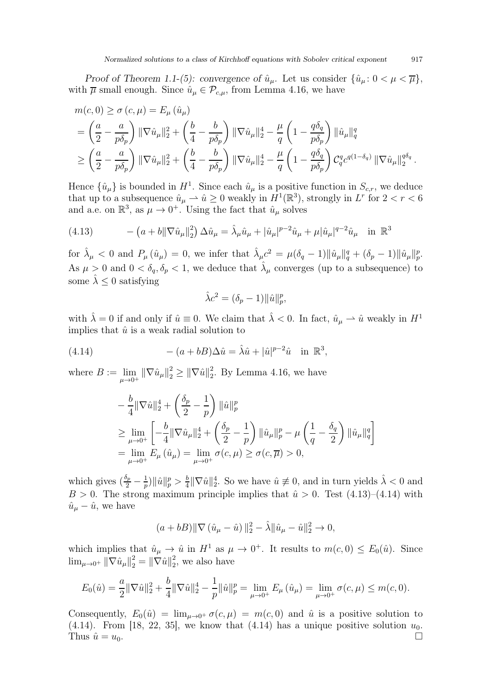Proof of Theorem [1.1-](#page-4-0)(5): convergence of  $\hat{u}_{\mu}$ . Let us consider  $\{\hat{u}_{\mu}: 0 < \mu < \overline{\mu}\}\,$ with  $\overline{\mu}$  small enough. Since  $\hat{u}_{\mu} \in \mathcal{P}_{c,\mu}$ , from Lemma [4.16,](#page-21-2) we have

$$
m(c,0) \ge \sigma(c,\mu) = E_{\mu}(\hat{u}_{\mu})
$$
  
=  $\left(\frac{a}{2} - \frac{a}{p\delta_p}\right) \|\nabla \hat{u}_{\mu}\|_2^2 + \left(\frac{b}{4} - \frac{b}{p\delta_p}\right) \|\nabla \hat{u}_{\mu}\|_2^4 - \frac{\mu}{q} \left(1 - \frac{q\delta_q}{p\delta_p}\right) \|\hat{u}_{\mu}\|_q^q$   

$$
\ge \left(\frac{a}{2} - \frac{a}{p\delta_p}\right) \|\nabla \hat{u}_{\mu}\|_2^2 + \left(\frac{b}{4} - \frac{b}{p\delta_p}\right) \|\nabla \hat{u}_{\mu}\|_2^4 - \frac{\mu}{q} \left(1 - \frac{q\delta_q}{p\delta_p}\right) C_q^q c^{q(1-\delta_q)} \|\nabla \hat{u}_{\mu}\|_2^{q\delta_q}.
$$

Hence  $\{\hat{u}_{\mu}\}\$ is bounded in  $H^1$ . Since each  $\hat{u}_{\mu}$  is a positive function in  $S_{c,r}$ , we deduce that up to a subsequence  $\hat{u}_{\mu} \to \hat{u} \ge 0$  weakly in  $H^1(\mathbb{R}^3)$ , strongly in  $L^r$  for  $2 < r < 6$ and a.e. on  $\mathbb{R}^3$ , as  $\mu \to 0^+$ . Using the fact that  $\hat{u}_{\mu}$  solves

<span id="page-22-0"></span>(4.13) 
$$
- (a + b \|\nabla \hat{u}_{\mu}\|_{2}^{2}) \Delta \hat{u}_{\mu} = \hat{\lambda}_{\mu} \hat{u}_{\mu} + |\hat{u}_{\mu}|^{p-2} \hat{u}_{\mu} + \mu |\hat{u}_{\mu}|^{q-2} \hat{u}_{\mu} \text{ in } \mathbb{R}^{3}
$$

for  $\hat{\lambda}_{\mu} < 0$  and  $P_{\mu}(\hat{u}_{\mu}) = 0$ , we infer that  $\hat{\lambda}_{\mu} c^2 = \mu (\delta_q - 1) ||\hat{u}_{\mu}||_q^q + (\delta_p - 1) ||\hat{u}_{\mu}||_p^p$ . As  $\mu > 0$  and  $0 < \delta_q$ ,  $\delta_p < 1$ , we deduce that  $\hat{\lambda}_{\mu}$  converges (up to a subsequence) to some  $\lambda \leq 0$  satisfying

$$
\hat{\lambda}c^2 = (\delta_p - 1) \|\hat{u}\|_p^p,
$$

with  $\hat{\lambda} = 0$  if and only if  $\hat{u} \equiv 0$ . We claim that  $\hat{\lambda} < 0$ . In fact,  $\hat{u}_{\mu} \rightarrow \hat{u}$  weakly in  $H^1$ implies that  $\hat{u}$  is a weak radial solution to

(4.14) 
$$
- (a + bB)\Delta \hat{u} = \hat{\lambda}\hat{u} + |\hat{u}|^{p-2}\hat{u} \text{ in } \mathbb{R}^3,
$$

where  $B := \lim$  $\lim_{\mu \to 0^+} \|\nabla \hat{u}_{\mu}\|_{2}^{2} \geq \|\nabla \hat{u}\|_{2}^{2}$  $2<sub>2</sub>$ . By Lemma [4.16,](#page-21-2) we have

<span id="page-22-1"></span>
$$
\begin{split} &-\frac{b}{4}\|\nabla\hat{u}\|_2^4+\left(\frac{\delta_p}{2}-\frac{1}{p}\right)\|\hat{u}\|_p^p\\ &\geq\lim_{\mu\to 0^+}\left[-\frac{b}{4}\|\nabla\hat{u}_\mu\|_2^4+\left(\frac{\delta_p}{2}-\frac{1}{p}\right)\|\hat{u}_\mu\|_p^p-\mu\left(\frac{1}{q}-\frac{\delta_q}{2}\right)\|\hat{u}_\mu\|_q^q\right]\\ &=\lim_{\mu\to 0^+}E_\mu\left(\hat{u}_\mu\right)=\lim_{\mu\to 0^+}\sigma(c,\mu)\geq\sigma(c,\overline{\mu})>0,\end{split}
$$

which gives  $\left(\frac{\delta_p}{2} - \frac{1}{p}\right)$  $\frac{1}{p}$  $\|\hat{u}\|_p^p > \frac{b}{4}$  $\frac{b}{4} \|\nabla \hat{u}\|_2^4$ . So we have  $\hat{u} \not\equiv 0$ , and in turn yields  $\hat{\lambda} < 0$  and  $B > 0$ . The strong maximum principle implies that  $\hat{u} > 0$ . Test [\(4.13\)](#page-22-0)–[\(4.14\)](#page-22-1) with  $\hat{u}_{\mu} - \hat{u}$ , we have

$$
(a+bB)\|\nabla(\hat{u}_{\mu}-\hat{u})\|_{2}^{2}-\hat{\lambda}\|\hat{u}_{\mu}-\hat{u}\|_{2}^{2}\to 0,
$$

which implies that  $\hat{u}_{\mu} \to \hat{u}$  in  $H^1$  as  $\mu \to 0^+$ . It results to  $m(c, 0) \le E_0(\hat{u})$ . Since  $\lim_{\mu \to 0^+} \|\nabla \hat{u}_\mu\|_2^2 = \|\nabla \hat{u}\|_2^2$  $2<sub>2</sub>$ , we also have

$$
E_0(\hat{u}) = \frac{a}{2} \|\nabla \hat{u}\|_2^2 + \frac{b}{4} \|\nabla \hat{u}\|_2^4 - \frac{1}{p} \|\hat{u}\|_p^p = \lim_{\mu \to 0^+} E_\mu(\hat{u}_\mu) = \lim_{\mu \to 0^+} \sigma(c, \mu) \le m(c, 0).
$$

Consequently,  $E_0(\hat{u}) = \lim_{\mu \to 0^+} \sigma(c, \mu) = m(c, 0)$  and  $\hat{u}$  is a positive solution to [\(4.14\)](#page-22-1). From [\[18,](#page-30-17) [22,](#page-30-16) [35\]](#page-30-10), we know that [\(4.14\)](#page-22-1) has a unique positive solution  $u_0$ . Thus  $\hat{u} = u_0$ .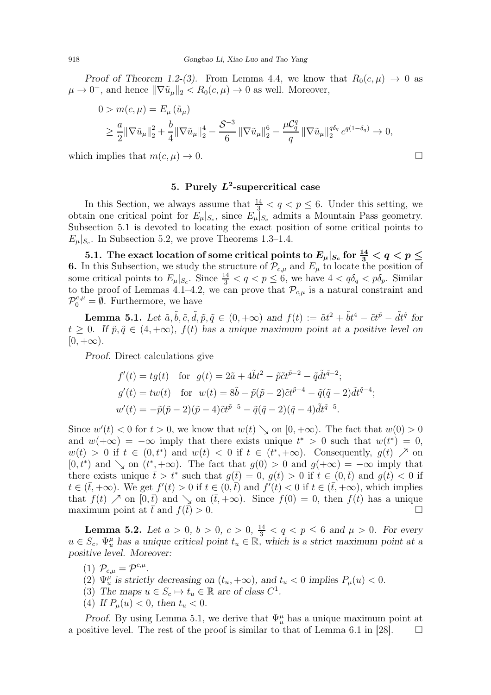Proof of Theorem [1.2-](#page-4-1)(3). From Lemma [4.4,](#page-14-0) we know that  $R_0(c, \mu) \to 0$  as  $\mu \to 0^+$ , and hence  $\|\nabla \tilde{u}_{\mu}\|_2 < R_0(c, \mu) \to 0$  as well. Moreover,

$$
0 > m(c, \mu) = E_{\mu}(\tilde{u}_{\mu})
$$
  
\n
$$
\geq \frac{a}{2} ||\nabla \tilde{u}_{\mu}||_{2}^{2} + \frac{b}{4} ||\nabla \tilde{u}_{\mu}||_{2}^{4} - \frac{S^{-3}}{6} ||\nabla \tilde{u}_{\mu}||_{2}^{6} - \frac{\mu C_{q}^{q}}{q} ||\nabla \tilde{u}_{\mu}||_{2}^{q\delta_{q}} c^{q(1-\delta_{q})} \to 0,
$$

which implies that  $m(c, \mu) \to 0$ .

## 5. Purely  $L^2$ -supercritical case

In this Section, we always assume that  $\frac{14}{3} < q < p \leq 6$ . Under this setting, we obtain one critical point for  $E_{\mu}|_{S_c}$ , since  $E_{\mu}|_{S_c}$  admits a Mountain Pass geometry. Subsection 5.1 is devoted to locating the exact position of some critical points to  $E_{\mu}|_{S_c}$ . In Subsection 5.2, we prove Theorems [1.3](#page-4-2)[–1.4.](#page-4-3)

5.1. The exact location of some critical points to  $E_\mu|_{S_c}$  for  $\frac{14}{3} < q < p \leq 1$ 6. In this Subsection, we study the structure of  $\mathcal{P}_{c,\mu}$  and  $E_{\mu}$  to locate the position of some critical points to  $E_{\mu}|_{S_c}$ . Since  $\frac{14}{3} < q < p \leq 6$ , we have  $4 < q\delta_q < p\delta_p$ . Similar to the proof of Lemmas [4.1–](#page-12-1)[4.2,](#page-12-0) we can prove that  $\mathcal{P}_{c,\mu}$  is a natural constraint and  $\mathcal{P}_0^{c,\mu} = \emptyset$ . Furthermore, we have

<span id="page-23-0"></span>**Lemma 5.1.** Let  $\tilde{a}, \tilde{b}, \tilde{c}, \tilde{d}, \tilde{p}, \tilde{q} \in (0, +\infty)$  and  $f(t) := \tilde{a}t^2 + \tilde{b}t^4 - \tilde{c}t^{\tilde{p}} - \tilde{d}t^{\tilde{q}}$  for  $t > 0$ . If  $\tilde{p}, \tilde{q} \in (4, +\infty)$ ,  $f(t)$  has a unique maximum point at a positive level on  $[0, +\infty).$ 

Proof. Direct calculations give

$$
f'(t) = tg(t) \text{ for } g(t) = 2\tilde{a} + 4\tilde{b}t^2 - \tilde{p}\tilde{c}t^{\tilde{p}-2} - \tilde{q}\tilde{d}t^{\tilde{q}-2};
$$
  
\n
$$
g'(t) = tw(t) \text{ for } w(t) = 8\tilde{b} - \tilde{p}(\tilde{p} - 2)\tilde{c}t^{\tilde{p}-4} - \tilde{q}(\tilde{q} - 2)\tilde{d}t^{\tilde{q}-4};
$$
  
\n
$$
w'(t) = -\tilde{p}(\tilde{p} - 2)(\tilde{p} - 4)\tilde{c}t^{\tilde{p}-5} - \tilde{q}(\tilde{q} - 2)(\tilde{q} - 4)\tilde{d}t^{\tilde{q}-5}.
$$

Since  $w'(t) < 0$  for  $t > 0$ , we know that  $w(t) \searrow$  on  $[0, +\infty)$ . The fact that  $w(0) > 0$ and  $w(+\infty) = -\infty$  imply that there exists unique  $t^* > 0$  such that  $w(t^*) = 0$ ,  $w(t) > 0$  if  $t \in (0, t^*)$  and  $w(t) < 0$  if  $t \in (t^*, +\infty)$ . Consequently,  $g(t) \nearrow$  on  $[0, t^*)$  and  $\searrow$  on  $(t^*, +\infty)$ . The fact that  $g(0) > 0$  and  $g(+\infty) = -\infty$  imply that there exists unique  $\bar{t} > t^*$  such that  $g(\bar{t}) = 0$ ,  $g(t) > 0$  if  $t \in (0,\bar{t})$  and  $g(t) < 0$  if  $t \in (\bar{t}, +\infty)$ . We get  $f'(t) > 0$  if  $t \in (0, \bar{t})$  and  $f'(t) < 0$  if  $t \in (\bar{t}, +\infty)$ , which implies that  $f(t) \nearrow$  on  $[0,\bar{t})$  and  $\searrow$  on  $(\bar{t},+\infty)$ . Since  $f(0) = 0$ , then  $f(t)$  has a unique maximum point at  $\bar{t}$  and  $f(\bar{t}) > 0$ .

<span id="page-23-1"></span>**Lemma 5.2.** Let  $a > 0$ ,  $b > 0$ ,  $c > 0$ ,  $\frac{14}{3} < q < p \le 6$  and  $\mu > 0$ . For every  $u \in S_c$ ,  $\Psi_u^{\mu}$  has a unique critical point  $t_u \in \mathbb{R}$ , which is a strict maximum point at a positive level. Moreover:

(1)  $\mathcal{P}_{c,\mu} = \mathcal{P}_{-}^{c,\mu}$ .

- (2)  $\Psi_u^{\mu}$  is strictly decreasing on  $(t_u, +\infty)$ , and  $t_u < 0$  implies  $P_{\mu}(u) < 0$ .
- (3) The maps  $u \in S_c \mapsto t_u \in \mathbb{R}$  are of class  $C^1$ .
- (4) If  $P_u(u) < 0$ , then  $t_u < 0$ .

Proof. By using Lemma [5.1,](#page-23-0) we derive that  $\Psi_u^{\mu}$  has a unique maximum point at a positive level. The rest of the proof is similar to that of Lemma 6.1 in [\[28\]](#page-30-3).  $\Box$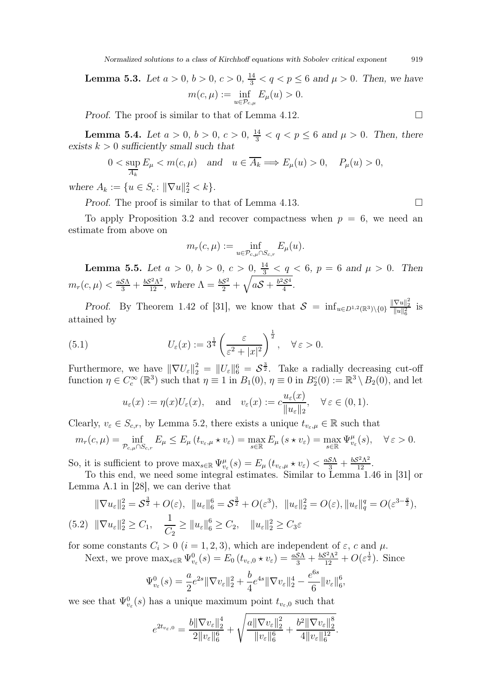Normalized solutions to a class of Kirchhoff equations with Sobolev critical exponent 919

**Lemma 5.3.** Let  $a > 0, b > 0, c > 0, \frac{14}{3} < q < p \le 6$  and  $\mu > 0$ . Then, we have  $m(c, \mu) := \inf$  $_{u\in\mathcal{P}_{c,\mu}}$  $E_{\mu}(u) > 0.$ 

*Proof.* The proof is similar to that of Lemma [4.12.](#page-20-2)

<span id="page-24-2"></span>**Lemma 5.4.** Let  $a > 0, b > 0, c > 0, \frac{14}{3} < q < p \le 6$  and  $\mu > 0$ . Then, there exists  $k > 0$  sufficiently small such that

$$
0 < \sup_{\overline{A_k}} E_{\mu} < m(c, \mu) \quad \text{and} \quad u \in \overline{A_k} \Longrightarrow E_{\mu}(u) > 0, \quad P_{\mu}(u) > 0,
$$

where  $A_k := \{ u \in S_c : ||\nabla u||_2^2 < k \}.$ 

Proof. The proof is similar to that of Lemma [4.13.](#page-20-3) □

To apply Proposition [3.2](#page-10-0) and recover compactness when  $p = 6$ , we need an estimate from above on

$$
m_r(c,\mu) := \inf_{u \in \mathcal{P}_{c,\mu} \cap S_{c,r}} E_{\mu}(u).
$$

<span id="page-24-0"></span>**Lemma 5.5.** Let  $a > 0$ ,  $b > 0$ ,  $c > 0$ ,  $\frac{14}{3} < q < 6$ ,  $p = 6$  and  $\mu > 0$ . Then  $m_r(c,\mu) < \frac{aS\Lambda}{3} + \frac{bS^2\Lambda^2}{12}$ , where  $\Lambda = \frac{bS^2}{2} + \sqrt{aS + \frac{b^2S^4}{4}}$ .

Proof. By Theorem 1.42 of [\[31\]](#page-30-15), we know that  $S = \inf_{u \in D^{1,2}(\mathbb{R}^3) \setminus \{0\}} \frac{\|\nabla u\|_2^2}{\|u\|_6^2}$  is attained by

(5.1) 
$$
U_{\varepsilon}(x) := 3^{\frac{1}{4}} \left( \frac{\varepsilon}{\varepsilon^2 + |x|^2} \right)^{\frac{1}{2}}, \quad \forall \varepsilon > 0.
$$

Furthermore, we have  $\|\nabla U_{\varepsilon}\|_{2}^{2} = \|U_{\varepsilon}\|_{6}^{6} = S^{\frac{3}{2}}$ . Take a radially decreasing cut-off function  $\eta \in C_c^{\infty}(\mathbb{R}^3)$  such that  $\eta \equiv 1$  in  $B_1(0), \eta \equiv 0$  in  $B_2^c(0) := \mathbb{R}^3 \setminus B_2(0)$ , and let

$$
u_{\varepsilon}(x) := \eta(x)U_{\varepsilon}(x), \text{ and } v_{\varepsilon}(x) := c \frac{u_{\varepsilon}(x)}{\|u_{\varepsilon}\|_2}, \quad \forall \varepsilon \in (0,1).
$$

Clearly,  $v_{\varepsilon} \in S_{c,r}$ , by Lemma [5.2,](#page-23-1) there exists a unique  $t_{v_{\varepsilon},\mu} \in \mathbb{R}$  such that

$$
m_r(c,\mu) = \inf_{\mathcal{P}_{c,\mu} \cap S_{c,r}} E_{\mu} \le E_{\mu} (t_{v_{\varepsilon},\mu} \star v_{\varepsilon}) = \max_{s \in \mathbb{R}} E_{\mu} (s \star v_{\varepsilon}) = \max_{s \in \mathbb{R}} \Psi_{v_{\varepsilon}}^{\mu}(s), \quad \forall \, \varepsilon > 0.
$$

So, it is sufficient to prove  $\max_{s \in \mathbb{R}} \Psi_{v_{\varepsilon}}^{\mu}(s) = E_{\mu}(t_{v_{\varepsilon},\mu} \star v_{\varepsilon}) < \frac{a \mathcal{S} \Lambda}{3} + \frac{b \mathcal{S}^2 \Lambda^2}{12}.$ 

To this end, we need some integral estimates. Similar to Lemma 1.46 in [\[31\]](#page-30-15) or Lemma A.1 in [\[28\]](#page-30-3), we can derive that

<span id="page-24-1"></span>
$$
\|\nabla u_{\varepsilon}\|_{2}^{2} = S^{\frac{3}{2}} + O(\varepsilon), \quad \|u_{\varepsilon}\|_{6}^{6} = S^{\frac{3}{2}} + O(\varepsilon^{3}), \quad \|u_{\varepsilon}\|_{2}^{2} = O(\varepsilon), \|u_{\varepsilon}\|_{q}^{q} = O(\varepsilon^{3-\frac{q}{2}}),
$$
\n
$$
(5.2) \quad \|\nabla u_{\varepsilon}\|_{2}^{2} \ge C_{1}, \quad \frac{1}{C_{2}} \ge \|u_{\varepsilon}\|_{6}^{6} \ge C_{2}, \quad \|u_{\varepsilon}\|_{2}^{2} \ge C_{3}\varepsilon
$$

for some constants  $C_i > 0$   $(i = 1, 2, 3)$ , which are independent of  $\varepsilon$ , c and  $\mu$ .

Next, we prove  $\max_{s \in \mathbb{R}} \Psi_{v_{\varepsilon}}^0(s) = E_0(t_{v_{\varepsilon},0} \star v_{\varepsilon}) = \frac{aS\Lambda}{3} + \frac{bS^2\Lambda^2}{12} + O(\varepsilon^{\frac{1}{2}})$ . Since

$$
\Psi_{v_{\varepsilon}}^{0}(s) = \frac{a}{2}e^{2s} \|\nabla v_{\varepsilon}\|_{2}^{2} + \frac{b}{4}e^{4s} \|\nabla v_{\varepsilon}\|_{2}^{4} - \frac{e^{6s}}{6} \|v_{\varepsilon}\|_{6}^{6}
$$

,

we see that  $\Psi_{v_{\varepsilon}}^{0}(s)$  has a unique maximum point  $t_{v_{\varepsilon},0}$  such that

$$
e^{2t_{v_{\varepsilon},0}} = \frac{b\|\nabla v_{\varepsilon}\|_{2}^{4}}{2\|v_{\varepsilon}\|_{6}^{6}} + \sqrt{\frac{a\|\nabla v_{\varepsilon}\|_{2}^{2}}{\|v_{\varepsilon}\|_{6}^{6}}} + \frac{b^{2}\|\nabla v_{\varepsilon}\|_{2}^{8}}{4\|v_{\varepsilon}\|_{6}^{12}}.
$$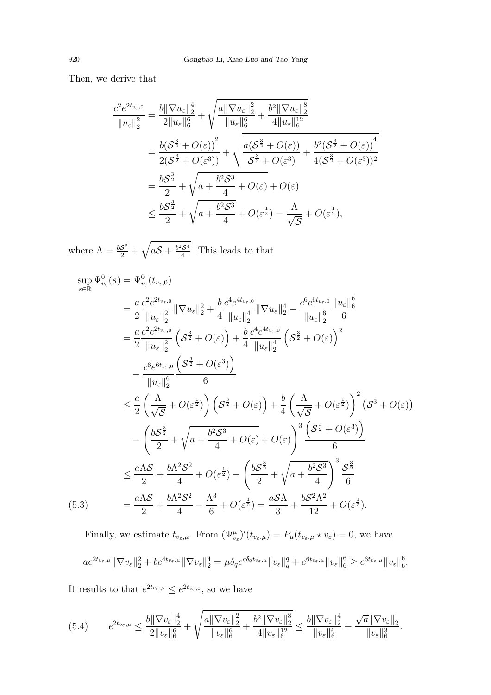Then, we derive that

$$
\frac{c^2 e^{2t_{v_{\varepsilon},0}}}{\|u_{\varepsilon}\|_2^2} = \frac{b \|\nabla u_{\varepsilon}\|_2^4}{2\|u_{\varepsilon}\|_6^6} + \sqrt{\frac{a \|\nabla u_{\varepsilon}\|_2^2}{\|u_{\varepsilon}\|_6^6} + \frac{b^2 \|\nabla u_{\varepsilon}\|_2^8}{4\|u_{\varepsilon}\|_6^{12}}} \n= \frac{b(\mathcal{S}^{\frac{3}{2}} + O(\varepsilon))}{2(\mathcal{S}^{\frac{3}{2}} + O(\varepsilon^3))} + \sqrt{\frac{a(\mathcal{S}^{\frac{3}{2}} + O(\varepsilon))}{\mathcal{S}^{\frac{3}{2}} + O(\varepsilon^3)} + \frac{b^2(\mathcal{S}^{\frac{3}{2}} + O(\varepsilon))}{4(\mathcal{S}^{\frac{3}{2}} + O(\varepsilon^3))^2}} \n= \frac{b\mathcal{S}^{\frac{3}{2}}}{2} + \sqrt{a + \frac{b^2 \mathcal{S}^3}{4} + O(\varepsilon)} + O(\varepsilon) \n\le \frac{b\mathcal{S}^{\frac{3}{2}}}{2} + \sqrt{a + \frac{b^2 \mathcal{S}^3}{4} + O(\varepsilon^{\frac{1}{2}})} = \frac{\Lambda}{\sqrt{\mathcal{S}}} + O(\varepsilon^{\frac{1}{2}}),
$$

where  $\Lambda = \frac{bS^2}{2} + \sqrt{aS + \frac{b^2S^4}{4}}$ . This leads to that

$$
\sup_{s \in \mathbb{R}} \Psi_{v_{\varepsilon}}^{0}(s) = \Psi_{v_{\varepsilon}}^{0}(t_{v_{\varepsilon},0})
$$
\n
$$
= \frac{a}{2} \frac{c^{2} e^{2t_{v_{\varepsilon},0}}}{\|u_{\varepsilon}\|_{2}^{2}} \|\nabla u_{\varepsilon}\|_{2}^{2} + \frac{b}{4} \frac{c^{4} e^{4t_{v_{\varepsilon},0}}}{\|u_{\varepsilon}\|_{2}^{4}} \|\nabla u_{\varepsilon}\|_{2}^{4} - \frac{c^{6} e^{6t_{v_{\varepsilon},0}} \|\nu_{\varepsilon}\|_{6}^{6}}{\|u_{\varepsilon}\|_{2}^{6}}
$$
\n
$$
= \frac{a}{2} \frac{c^{2} e^{2t_{v_{\varepsilon},0}}}{\|u_{\varepsilon}\|_{2}^{2}} \left(\mathcal{S}^{\frac{3}{2}} + O(\varepsilon)\right) + \frac{b}{4} \frac{c^{4} e^{4t_{v_{\varepsilon},0}}}{\|u_{\varepsilon}\|_{2}^{4}} \left(\mathcal{S}^{\frac{3}{2}} + O(\varepsilon)\right)^{2}
$$
\n
$$
- \frac{c^{6} e^{6t_{v_{\varepsilon},0}} \left(\mathcal{S}^{\frac{3}{2}} + O(\varepsilon^{3})\right)}{\|u_{\varepsilon}\|_{2}^{6}} \frac{6}
$$
\n
$$
\leq \frac{a}{2} \left(\frac{\Lambda}{\sqrt{S}} + O(\varepsilon^{\frac{1}{2}})\right) \left(\mathcal{S}^{\frac{3}{2}} + O(\varepsilon)\right) + \frac{b}{4} \left(\frac{\Lambda}{\sqrt{S}} + O(\varepsilon^{\frac{1}{2}})\right)^{2} \left(\mathcal{S}^{3} + O(\varepsilon)\right)
$$
\n
$$
- \left(\frac{b\mathcal{S}^{\frac{3}{2}}}{2} + \sqrt{a + \frac{b^{2}\mathcal{S}^{3}}{4}} + O(\varepsilon) + O(\varepsilon)\right)^{3} \frac{\left(\mathcal{S}^{\frac{3}{2}} + O(\varepsilon^{3})\right)}{6}
$$
\n
$$
\leq \frac{a\Lambda S}{2} + \frac{b\Lambda^{2} S^{2}}{4} +
$$

Finally, we estimate  $t_{v_{\varepsilon},\mu}$ . From  $(\Psi_{v_{\varepsilon}}^{\mu})'(t_{v_{\varepsilon},\mu}) = P_{\mu}(t_{v_{\varepsilon},\mu} \star v_{\varepsilon}) = 0$ , we have  $ae^{2t_{v_{\varepsilon},\mu}}\|\nabla v_{\varepsilon}\|_2^2+be^{4t_{v_{\varepsilon},\mu}}\|\nabla v_{\varepsilon}\|_2^4=\mu \delta_q e^{q\delta_q t_{v_{\varepsilon},\mu}}\|v_{\varepsilon}\|_q^q+e^{6t_{v_{\varepsilon},\mu}}\|v_{\varepsilon}\|_6^6\geq e^{6t_{v_{\varepsilon},\mu}}\|v_{\varepsilon}\|_6^6$ 

o<br>6.

It results to that  $e^{2t_{v_{\varepsilon},\mu}} \leq e^{2t_{v_{\varepsilon},0}}$ , so we have

<span id="page-25-0"></span>
$$
(5.4) \qquad e^{2t_{v_{\varepsilon},\mu}} \leq \frac{b\|\nabla v_{\varepsilon}\|_2^4}{2\|v_{\varepsilon}\|_6^6} + \sqrt{\frac{a\|\nabla v_{\varepsilon}\|_2^2}{\|v_{\varepsilon}\|_6^6} + \frac{b^2\|\nabla v_{\varepsilon}\|_2^8}{4\|v_{\varepsilon}\|_6^{12}}} \leq \frac{b\|\nabla v_{\varepsilon}\|_2^4}{\|v_{\varepsilon}\|_6^6} + \frac{\sqrt{a}\|\nabla v_{\varepsilon}\|_2}{\|v_{\varepsilon}\|_6^3}.
$$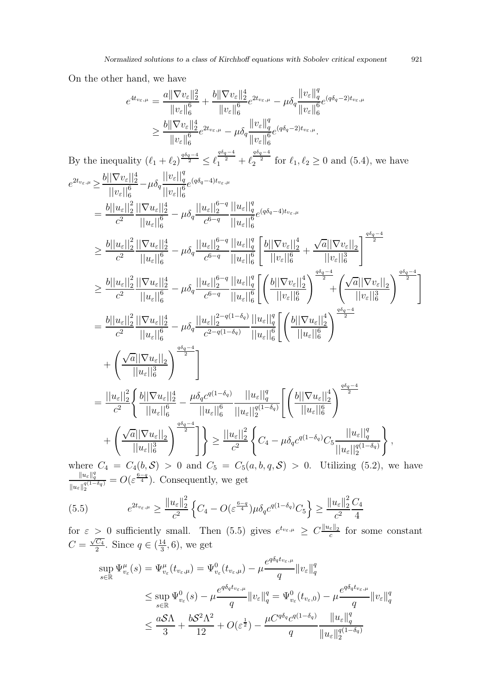On the other hand, we have

 $By$ 

$$
e^{4t_{v_{\varepsilon},\mu}} = \frac{a||\nabla v_{\varepsilon}||_2^2}{||v_{\varepsilon}||_0^6} + \frac{b||\nabla v_{\varepsilon}||_2^4}{||v_{\varepsilon}||_0^6} e^{2t_{v_{\varepsilon},\mu}} - \mu \delta_q \frac{||v_{\varepsilon}||_q^2}{||v_{\varepsilon}||_6^6} e^{(q\delta_q - 2)t_{v_{\varepsilon},\mu}}
$$
\n
$$
\geq \frac{b||\nabla v_{\varepsilon}||_2^4}{||v_{\varepsilon}||_0^6} e^{2t_{v_{\varepsilon},\mu}} - \mu \delta_q \frac{||v_{\varepsilon}||_q^2}{||v_{\varepsilon}||_6^6} e^{(q\delta_q - 2)t_{v_{\varepsilon},\mu}}
$$
\nBy the inequality  $(\ell_1 + \ell_2) \frac{\omega_2}{2} = \ell_1^{\frac{\delta_2 - 4}{2}} + \ell_2^{\frac{\delta_2 - 4}{2}}$  for  $\ell_1, \ell_2 \geq 0$  and (5.4), we have  
\n
$$
e^{2t_{v_{\varepsilon},\mu}} \geq \frac{b||\nabla v_{\varepsilon}||_2^4}{||v_{\varepsilon}||_0^6} - \mu \delta_q \frac{||v_{\varepsilon}||_q^2}{||v_{\varepsilon}||_6^6} e^{(q\delta_q - 4)t_{v_{\varepsilon},\mu}}
$$
\n
$$
= \frac{b||u_{\varepsilon}||_2^2}{c^2} \frac{||\nabla u_{\varepsilon}||_2^4}{||u_{\varepsilon}||_6^6} - \mu \delta_q \frac{||u_{\varepsilon}||_2^{6-q}}{c^{6-q}} \frac{||u_{\varepsilon}||_q^6}{||u_{\varepsilon}||_6^6} e^{(q\delta_q - 4)t_{v_{\varepsilon},\mu}}
$$
\n
$$
\geq \frac{b||u_{\varepsilon}||_2^2}{c^2} \frac{||\nabla u_{\varepsilon}||_2^4}{||u_{\varepsilon}||_6^6} - \mu \delta_q \frac{||u_{\varepsilon}||_2^{6-q}}{c^{6-q}} \frac{||u_{\varepsilon}
$$

where  $C_4 = C_4(b, S) > 0$  and  $C_5 = C_5(a, b, q, S) > 0$ . Utilizing [\(5.2\)](#page-24-1), we have  $||u_\varepsilon||_2^{q(1-\delta q)}$  $= O(\varepsilon^{\frac{6-q}{4}})$ . Consequently, we get

<span id="page-26-0"></span>
$$
(5.5) \t e^{2t_{v_{\varepsilon},\mu}} \ge \frac{\|u_{\varepsilon}\|_{2}^{2}}{c^{2}} \left\{ C_{4} - O(\varepsilon^{\frac{6-q}{4}}) \mu \delta_{q} c^{q(1-\delta_{q})} C_{5} \right\} \ge \frac{\|u_{\varepsilon}\|_{2}^{2}}{c^{2}} \frac{C_{4}}{4}
$$

for  $\varepsilon > 0$  sufficiently small. Then [\(5.5\)](#page-26-0) gives  $e^{t_{v_{\varepsilon},\mu}} \geq C \frac{\|\mu_{\varepsilon}\|_2}{c}$  for some constant  $C=\frac{\sqrt{C_4}}{2}$  $\frac{C_4}{2}$ . Since  $q \in (\frac{14}{3})$  $\frac{14}{3}$ , 6), we get

$$
\sup_{s \in \mathbb{R}} \Psi_{v_{\varepsilon}}^{\mu}(s) = \Psi_{v_{\varepsilon}}^{\mu}(t_{v_{\varepsilon},\mu}) = \Psi_{v_{\varepsilon}}^0(t_{v_{\varepsilon},\mu}) - \mu \frac{e^{q\delta_q t_{v_{\varepsilon},\mu}}}{q} \|v_{\varepsilon}\|_q^q
$$
  

$$
\leq \sup_{s \in \mathbb{R}} \Psi_{v_{\varepsilon}}^0(s) - \mu \frac{e^{q\delta_q t_{v_{\varepsilon},\mu}}}{q} \|v_{\varepsilon}\|_q^q = \Psi_{v_{\varepsilon}}^0(t_{v_{\varepsilon},0}) - \mu \frac{e^{q\delta_q t_{v_{\varepsilon},\mu}}}{q} \|v_{\varepsilon}\|_q^q
$$
  

$$
\leq \frac{a\mathcal{S}\Lambda}{3} + \frac{b\mathcal{S}^2\Lambda^2}{12} + O(\varepsilon^{\frac{1}{2}}) - \frac{\mu C^{q\delta_q}c^{q(1-\delta_q)}}{q} \frac{\|u_{\varepsilon}\|_q^q}{\|u_{\varepsilon}\|_2^{q(1-\delta_q)}}
$$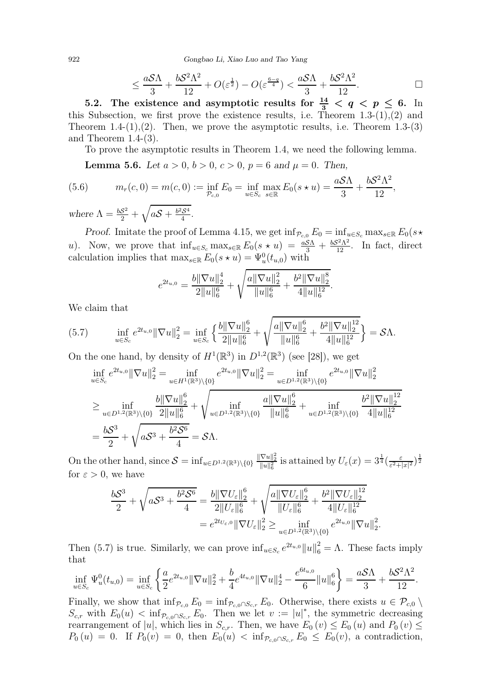922 Gongbao Li, Xiao Luo and Tao Yang

$$
\leq \frac{aS\Lambda}{3} + \frac{bS^2\Lambda^2}{12} + O(\varepsilon^{\frac{1}{2}}) - O(\varepsilon^{\frac{6-q}{4}}) < \frac{aS\Lambda}{3} + \frac{bS^2\Lambda^2}{12}.\tag{}
$$

5.2. The existence and asymptotic results for  $\frac{14}{3} < q < p \leq 6$ . In this Subsection, we first prove the existence results, i.e. Theorem  $1.3-(1)$ ,  $(2)$  and Theorem  $1.4-(1),(2)$ . Then, we prove the asymptotic results, i.e. Theorem  $1.3-(3)$ and Theorem [1.4-](#page-4-3)(3).

To prove the asymptotic results in Theorem [1.4,](#page-4-3) we need the following lemma.

<span id="page-27-1"></span>**Lemma 5.6.** Let  $a > 0, b > 0, c > 0, p = 6$  and  $\mu = 0$ . Then,

<span id="page-27-2"></span>(5.6) 
$$
m_r(c, 0) = m(c, 0) := \inf_{\mathcal{P}_{c,0}} E_0 = \inf_{u \in S_c} \max_{s \in \mathbb{R}} E_0(s \star u) = \frac{aS\Lambda}{3} + \frac{bS^2\Lambda^2}{12},
$$
  
where  $\Lambda = \frac{bS^2}{2} + \sqrt{aS + \frac{b^2S^4}{4}}$ .

Proof. Imitate the proof of Lemma [4.15,](#page-21-1) we get  $\inf_{\mathcal{P}_{c,0}} E_0 = \inf_{u \in S_c} \max_{s \in \mathbb{R}} E_0(s \star$ u). Now, we prove that  $\inf_{u \in S_c} \max_{s \in \mathbb{R}} E_0(s \star u) = \frac{aS\Lambda}{3} + \frac{bS^2\Lambda^2}{12}$ . In fact, direct calculation implies that  $\max_{s \in \mathbb{R}} E_0(s \star u) = \Psi_u^0(t_{u,0})$  with

$$
e^{2t_{u,0}} = \frac{b\|\nabla u\|_2^4}{2\|u\|_6^6} + \sqrt{\frac{a\|\nabla u\|_2^2}{\|u\|_6^6}} + \frac{b^2\|\nabla u\|_2^8}{4\|u\|_6^{12}}.
$$

We claim that

<span id="page-27-0"></span>
$$
(5.7) \qquad \inf_{u \in S_c} e^{2t_{u,0}} \|\nabla u\|_2^2 = \inf_{u \in S_c} \left\{ \frac{b \|\nabla u\|_2^6}{2\|u\|_6^6} + \sqrt{\frac{a \|\nabla u\|_2^6}{\|u\|_6^6} + \frac{b^2 \|\nabla u\|_2^{12}}{4\|u\|_6^{12}}} \right\} = \mathcal{S}\Lambda.
$$

On the one hand, by density of  $H^1(\mathbb{R}^3)$  in  $D^{1,2}(\mathbb{R}^3)$  (see [\[28\]](#page-30-3)), we get

$$
\inf_{u \in S_c} e^{2t_{u,0}} \|\nabla u\|_2^2 = \inf_{u \in H^1(\mathbb{R}^3) \setminus \{0\}} e^{2t_{u,0}} \|\nabla u\|_2^2 = \inf_{u \in D^{1,2}(\mathbb{R}^3) \setminus \{0\}} e^{2t_{u,0}} \|\nabla u\|_2^2
$$
\n
$$
\geq \inf_{u \in D^{1,2}(\mathbb{R}^3) \setminus \{0\}} \frac{b \|\nabla u\|_2^6}{2 \|u\|_6^6} + \sqrt{\inf_{u \in D^{1,2}(\mathbb{R}^3) \setminus \{0\}} \frac{a \|\nabla u\|_2^6}{\|u\|_6^6} + \inf_{u \in D^{1,2}(\mathbb{R}^3) \setminus \{0\}} \frac{b^2 \|\nabla u\|_2^{12}}{4 \|u\|_6^{12}}}
$$
\n
$$
= \frac{bS^3}{2} + \sqrt{aS^3 + \frac{b^2 S^6}{4}} = S\Lambda.
$$

On the other hand, since  $S = \inf_{u \in D^{1,2}(\mathbb{R}^3) \setminus \{0\}} \frac{\|\nabla u\|_2^2}{\|u\|_6^2}$  is attained by  $U_{\varepsilon}(x) = 3^{\frac{1}{4}} \left(\frac{\varepsilon}{\varepsilon^2 + 1}\right)$  $\frac{\varepsilon}{\varepsilon^2+|x|^2}\Big)^{\frac{1}{2}}$ for  $\varepsilon > 0$ , we have

$$
\frac{bS^3}{2} + \sqrt{aS^3 + \frac{b^2S^6}{4}} = \frac{b\|\nabla U_{\varepsilon}\|_{2}^{6}}{2\|U_{\varepsilon}\|_{6}^{6}} + \sqrt{\frac{a\|\nabla U_{\varepsilon}\|_{2}^{6}}{\|U_{\varepsilon}\|_{6}^{6}} + \frac{b^2\|\nabla U_{\varepsilon}\|_{2}^{12}}{4\|U_{\varepsilon}\|_{6}^{12}}}
$$

$$
= e^{2t_{U_{\varepsilon},0}}\|\nabla U_{\varepsilon}\|_{2}^{2} \ge \inf_{u \in D^{1,2}(\mathbb{R}^{3})\setminus\{0\}} e^{2t_{u,0}}\|\nabla u\|_{2}^{2}
$$

.

Then [\(5.7\)](#page-27-0) is true. Similarly, we can prove  $\inf_{u \in S_c} e^{2t_{u,0}} ||u||_6^2 = \Lambda$ . These facts imply that

$$
\inf_{u \in S_c} \Psi_u^0(t_{u,0}) = \inf_{u \in S_c} \left\{ \frac{a}{2} e^{2t_{u,0}} \|\nabla u\|_2^2 + \frac{b}{4} e^{4t_{u,0}} \|\nabla u\|_2^4 - \frac{e^{6t_{u,0}}}{6} \|u\|_6^6 \right\} = \frac{aS\Lambda}{3} + \frac{bS^2\Lambda^2}{12}.
$$

Finally, we show that  $\inf_{\mathcal{P}_{c,0}} E_0 = \inf_{\mathcal{P}_{c,0} \cap S_{c,r}} E_0$ . Otherwise, there exists  $u \in \mathcal{P}_{c,0}$  $S_{c,r}$  with  $E_0(u) < \inf_{\mathcal{P}_{c,0} \cap S_{c,r}} E_0$ . Then we let  $v := |u|^*$ , the symmetric decreasing rearrangement of |u|, which lies in  $S_{c,r}$ . Then, we have  $E_0(v) \le E_0(u)$  and  $P_0(v) \le$  $P_0 (u) = 0$ . If  $P_0 (v) = 0$ , then  $E_0 (u) < \inf_{\mathcal{P}_{c,0} \cap S_{c,r}} E_0 \leq E_0 (v)$ , a contradiction,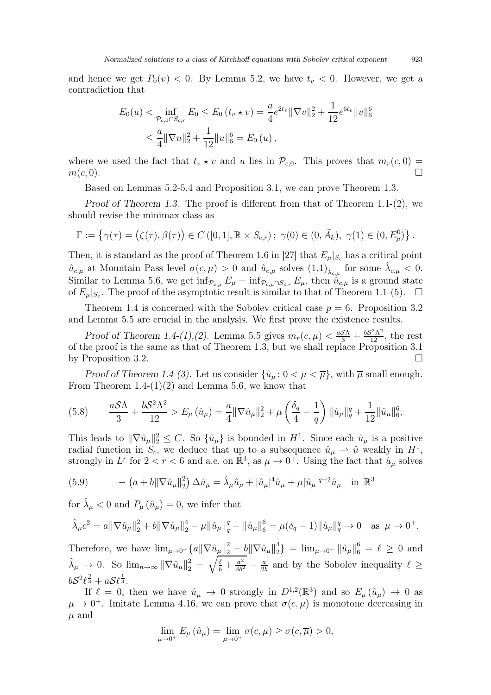and hence we get  $P_0(v) < 0$ . By Lemma [5.2,](#page-23-1) we have  $t_v < 0$ . However, we get a contradiction that

$$
E_0(u) < \inf_{\mathcal{P}_{c,0} \cap S_{c,r}} E_0 \le E_0(t_v \star v) = \frac{a}{4} e^{2t_v} \|\nabla v\|_2^2 + \frac{1}{12} e^{6t_v} \|v\|_6^6
$$
\n
$$
\le \frac{a}{4} \|\nabla u\|_2^2 + \frac{1}{12} \|u\|_6^6 = E_0(u),
$$

where we used the fact that  $t_v \star v$  and u lies in  $\mathcal{P}_{c,0}$ . This proves that  $m_r(c, 0) = m(c, 0)$ .  $m(c, 0)$ .

Based on Lemmas [5.2-](#page-23-1)[5.4](#page-24-2) and Proposition [3.1,](#page-9-0) we can prove Theorem [1.3.](#page-4-2)

Proof of Theorem [1.3.](#page-4-2) The proof is different from that of Theorem [1.1-](#page-4-0)(2), we should revise the minimax class as

$$
\Gamma := \left\{ \gamma(\tau) = (\zeta(\tau), \beta(\tau)) \in C([0, 1], \mathbb{R} \times S_{c,r}) ; \ \gamma(0) \in (0, \bar{A}_k), \ \gamma(1) \in (0, E^0_\mu) \right\}.
$$

Then, it is standard as the proof of Theorem 1.6 in [\[27\]](#page-30-2) that  $E_{\mu}|_{S_c}$  has a critical point  $\hat{u}_{c,\mu}$  at Mountain Pass level  $\sigma(c,\mu) > 0$  and  $\hat{u}_{c,\mu}$  solves  $(1.1)_{\hat{\lambda}_{c,\mu}}$  for some  $\hat{\lambda}_{c,\mu} < 0$ . Similar to Lemma [5.6,](#page-27-1) we get  $\inf_{\mathcal{P}_{c,\mu}} E_{\mu} = \inf_{\mathcal{P}_{c,\mu} \cap S_{c,r}} E_{\mu}$ , then  $\hat{u}_{c,\mu}$  is a ground state of  $E_{\mu}|_{S_c}$ . The proof of the asymptotic result is similar to that of Theorem [1.1-](#page-4-0)(5).  $\Box$ 

Theorem [1.4](#page-4-3) is concerned with the Sobolev critical case  $p = 6$ . Proposition [3.2](#page-10-0) and Lemma [5.5](#page-24-0) are crucial in the analysis. We first prove the existence results.

Proof of Theorem [1.4-](#page-4-3)(1),(2). Lemma [5.5](#page-24-0) gives  $m_r(c, \mu) < \frac{aS\Lambda}{3} + \frac{bS^2\Lambda^2}{12}$ , the rest of the proof is the same as that of Theorem [1.3,](#page-4-2) but we shall replace Proposition [3.1](#page-9-0) by Proposition [3.2.](#page-10-0)

Proof of Theorem [1.4-](#page-4-3)(3). Let us consider  $\{\hat{u}_\mu: 0 < \mu < \overline{\mu}\}\$ , with  $\overline{\mu}$  small enough. From Theorem [1.4-](#page-4-3) $(1)(2)$  and Lemma [5.6,](#page-27-1) we know that

$$
(5.8) \qquad \frac{aS\Lambda}{3} + \frac{bS^2\Lambda^2}{12} > E_{\mu}(\hat{u}_{\mu}) = \frac{a}{4} \|\nabla \hat{u}_{\mu}\|_2^2 + \mu \left(\frac{\delta_q}{4} - \frac{1}{q}\right) \|\hat{u}_{\mu}\|_q^q + \frac{1}{12} \|\hat{u}_{\mu}\|_6^6,
$$

This leads to  $\|\nabla \hat{u}_{\mu}\|_2^2 \leq C$ . So  $\{\hat{u}_{\mu}\}\$ is bounded in  $H^1$ . Since each  $\hat{u}_{\mu}$  is a positive radial function in  $S_c$ , we deduce that up to a subsequence  $\hat{u}_{\mu} \to \hat{u}$  weakly in  $H^1$ , strongly in  $L^r$  for  $2 < r < 6$  and a.e. on  $\mathbb{R}^3$ , as  $\mu \to 0^+$ . Using the fact that  $\hat{u}_\mu$  solves

(5.9) 
$$
- (a + b \|\nabla \hat{u}_{\mu}\|_{2}^{2}) \Delta \hat{u}_{\mu} = \hat{\lambda}_{\mu} \hat{u}_{\mu} + |\hat{u}_{\mu}|^{4} \hat{u}_{\mu} + \mu |\hat{u}_{\mu}|^{q-2} \hat{u}_{\mu} \text{ in } \mathbb{R}^{3}
$$

for  $\hat{\lambda}_{\mu} < 0$  and  $P_{\mu}(\hat{u}_{\mu}) = 0$ , we infer that

$$
\hat{\lambda}_{\mu}c^2 = a \|\nabla \hat{u}_{\mu}\|_{2}^{2} + b \|\nabla \hat{u}_{\mu}\|_{2}^{4} - \mu \|\hat{u}_{\mu}\|_{q}^{q} - \|\hat{u}_{\mu}\|_{6}^{6} = \mu(\delta_{q} - 1) \|\hat{u}_{\mu}\|_{q}^{q} \to 0 \quad \text{as } \mu \to 0^{+}.
$$

Therefore, we have  $\lim_{\mu\to 0^+} \{a \|\nabla \hat{u}_\mu\|_2^2 + b \|\nabla \hat{u}_\mu\|_2^4$  $\binom{4}{2}$  =  $\lim_{\mu \to 0^+} ||\hat{u}_{\mu}||_6^6 = \ell \ge 0$  and  $\hat{\lambda}_{\mu} \to 0$ . So  $\lim_{n \to \infty} {\|\nabla \hat{u}_{\mu}\|_{2}^{2}} = \sqrt{\frac{\ell}{b} + \frac{a^{2}}{4b^{2}}}$  $\frac{a^2}{4b^2} - \frac{a}{2b}$  $\frac{a}{2b}$  and by the Sobolev inequality  $\ell \geq$  $bS^2\ell^{\frac{2}{3}}+aS\ell^{\frac{1}{3}}.$ 

If  $\ell = 0$ , then we have  $\hat{u}_{\mu} \to 0$  strongly in  $D^{1,2}(\mathbb{R}^3)$  and so  $E_{\mu}(\hat{u}_{\mu}) \to 0$  as  $\mu \to 0^+$ . Imitate Lemma [4.16,](#page-21-2) we can prove that  $\sigma(c, \mu)$  is monotone decreasing in  $\mu$  and

$$
\lim_{\mu \to 0^+} E_{\mu}(\hat{u}_{\mu}) = \lim_{\mu \to 0^+} \sigma(c, \mu) \ge \sigma(c, \overline{\mu}) > 0,
$$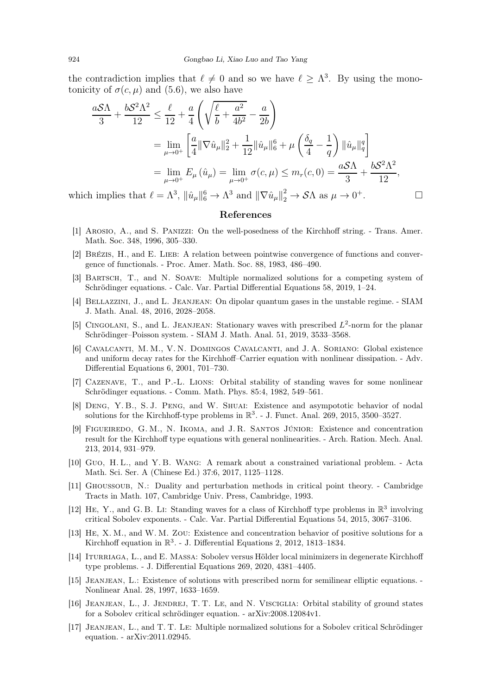the contradiction implies that  $\ell \neq 0$  and so we have  $\ell \geq \Lambda^3$ . By using the monotonicity of  $\sigma(c, \mu)$  and [\(5.6\)](#page-27-2), we also have

$$
\frac{a\mathcal{S}\Lambda}{3} + \frac{b\mathcal{S}^2\Lambda^2}{12} \le \frac{\ell}{12} + \frac{a}{4} \left( \sqrt{\frac{\ell}{b} + \frac{a^2}{4b^2}} - \frac{a}{2b} \right)
$$
  
= 
$$
\lim_{\mu \to 0^+} \left[ \frac{a}{4} ||\nabla \hat{u}_{\mu}||_2^2 + \frac{1}{12} ||\hat{u}_{\mu}||_6^6 + \mu \left( \frac{\delta_q}{4} - \frac{1}{q} \right) ||\hat{u}_{\mu}||_q^q \right]
$$
  
= 
$$
\lim_{\mu \to 0^+} E_{\mu} (\hat{u}_{\mu}) = \lim_{\mu \to 0^+} \sigma(c, \mu) \le m_r(c, 0) = \frac{a\mathcal{S}\Lambda}{3} + \frac{b\mathcal{S}^2\Lambda^2}{12},
$$

which implies that  $\ell = \Lambda^3$ ,  $\|\hat{u}_\mu\|_6^6 \to \Lambda^3$  and  $\|\nabla \hat{u}_\mu\|_2^2 \to \mathcal{S}\Lambda$  as  $\mu \to 0^+$ .

#### References

- <span id="page-29-13"></span><span id="page-29-7"></span>[1] Arosio, A., and S. Panizzi: On the well-posedness of the Kirchhoff string. - Trans. Amer. Math. Soc. 348, 1996, 305–330.
- <span id="page-29-14"></span>[2] Brézis, H., and E. Lieb: A relation between pointwise convergence of functions and convergence of functionals. - Proc. Amer. Math. Soc. 88, 1983, 486–490.
- [3] Bartsch, T., and N. Soave: Multiple normalized solutions for a competing system of Schrödinger equations. - Calc. Var. Partial Differential Equations 58, 2019, 1–24.
- <span id="page-29-11"></span>[4] Bellazzini, J., and L. Jeanjean: On dipolar quantum gases in the unstable regime. - SIAM J. Math. Anal. 48, 2016, 2028–2058.
- <span id="page-29-8"></span>[5] CINGOLANI, S., and L. JEANJEAN: Stationary waves with prescribed  $L^2$ -norm for the planar Schrödinger–Poisson system. - SIAM J. Math. Anal. 51, 2019, 3533–3568.
- [6] Cavalcanti, M. M., V. N. Domingos Cavalcanti, and J. A. Soriano: Global existence and uniform decay rates for the Kirchhoff–Carrier equation with nonlinear dissipation. - Adv. Differential Equations 6, 2001, 701–730.
- <span id="page-29-3"></span><span id="page-29-0"></span>[7] Cazenave, T., and P.-L. Lions: Orbital stability of standing waves for some nonlinear Schrödinger equations. - Comm. Math. Phys. 85:4, 1982, 549–561.
- <span id="page-29-9"></span>[8] Deng, Y. B., S. J. Peng, and W. Shuai: Existence and asympototic behavior of nodal solutions for the Kirchhoff-type problems in  $\mathbb{R}^3$ . - J. Funct. Anal. 269, 2015, 3500–3527.
- [9] FIGUEIREDO, G.M., N. IKOMA, and J.R. SANTOS JÚNIOR: Existence and concentration result for the Kirchhoff type equations with general nonlinearities. - Arch. Ration. Mech. Anal. 213, 2014, 931–979.
- <span id="page-29-15"></span><span id="page-29-10"></span>[10] Guo, H. L., and Y. B. Wang: A remark about a constrained variational problem. - Acta Math. Sci. Ser. A (Chinese Ed.) 37:6, 2017, 1125–1128.
- <span id="page-29-1"></span>[11] Ghoussoub, N.: Duality and perturbation methods in critical point theory. - Cambridge Tracts in Math. 107, Cambridge Univ. Press, Cambridge, 1993.
- [12] HE, Y., and G.B. LI: Standing waves for a class of Kirchhoff type problems in  $\mathbb{R}^3$  involving critical Sobolev exponents. - Calc. Var. Partial Differential Equations 54, 2015, 3067–3106.
- <span id="page-29-6"></span><span id="page-29-2"></span>[13] He, X. M., and W. M. Zou: Existence and concentration behavior of positive solutions for a Kirchhoff equation in  $\mathbb{R}^3$ . - J. Differential Equations 2, 2012, 1813–1834.
- <span id="page-29-12"></span>[14] ITURRIAGA, L., and E. MASSA: Sobolev versus Hölder local minimizers in degenerate Kirchhoff type problems. - J. Differential Equations 269, 2020, 4381–4405.
- <span id="page-29-4"></span>[15] Jeanjean, L.: Existence of solutions with prescribed norm for semilinear elliptic equations. - Nonlinear Anal. 28, 1997, 1633–1659.
- <span id="page-29-5"></span>[16] Jeanjean, L., J. Jendrej, T. T. Le, and N. Visciglia: Orbital stability of ground states for a Sobolev critical schrödinger equation. - arXiv:2008.12084v1.
- [17] Jeanjean, L., and T. T. Le: Multiple normalized solutions for a Sobolev critical Schrödinger equation. - arXiv:2011.02945.